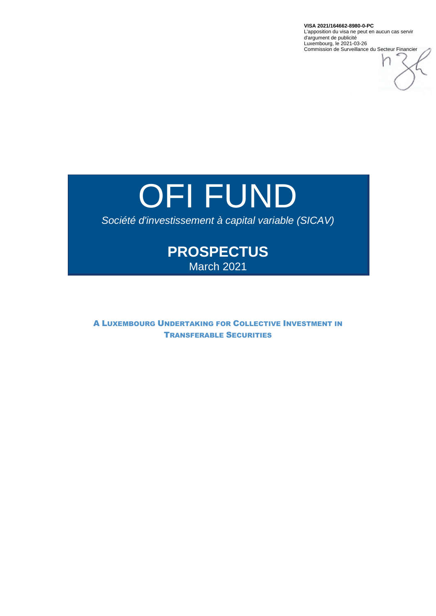**VISA 2021/164662-8980-0-PC** L'apposition du visa ne peut en aucun cas servir d'argument de publicité Luxembourg, le 2021-03-26 Commission de Surveillance du Secteur Financier

# OFI FUND

# *Société d'investissement à capital variable (SICAV)*

# **PROSPECTUS**  March 2021

A LUXEMBOURG UNDERTAKING FOR COLLECTIVE INVESTMENT IN TRANSFERABLE SECURITIES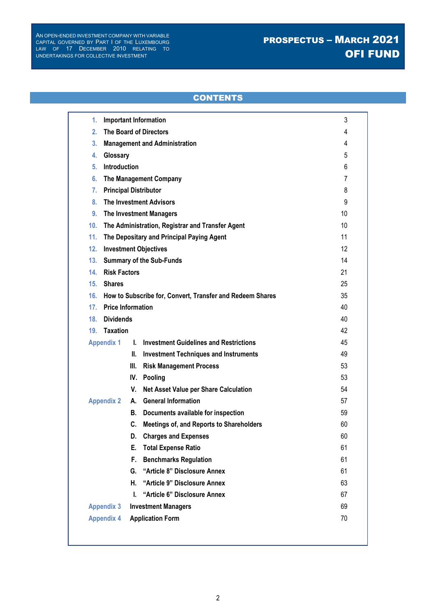# PROSPECTUS – MARCH 2021 OFI FUND

# **CONTENTS**

| 1.                | <b>Important Information</b>                              | 3  |  |  |  |  |  |  |  |  |
|-------------------|-----------------------------------------------------------|----|--|--|--|--|--|--|--|--|
| 2.                | <b>The Board of Directors</b>                             |    |  |  |  |  |  |  |  |  |
| 3.                | <b>Management and Administration</b>                      |    |  |  |  |  |  |  |  |  |
| 4.                | Glossary                                                  |    |  |  |  |  |  |  |  |  |
| 5.                | <b>Introduction</b>                                       |    |  |  |  |  |  |  |  |  |
| 6.                | The Management Company<br>7                               |    |  |  |  |  |  |  |  |  |
| 7.                | <b>Principal Distributor</b>                              | 8  |  |  |  |  |  |  |  |  |
| 8.                | <b>The Investment Advisors</b>                            | 9  |  |  |  |  |  |  |  |  |
| 9.                | <b>The Investment Managers</b>                            | 10 |  |  |  |  |  |  |  |  |
| 10 <sub>1</sub>   | The Administration, Registrar and Transfer Agent          | 10 |  |  |  |  |  |  |  |  |
| 11.               | The Depositary and Principal Paying Agent                 | 11 |  |  |  |  |  |  |  |  |
| 12.               | <b>Investment Objectives</b>                              | 12 |  |  |  |  |  |  |  |  |
| 13.               | <b>Summary of the Sub-Funds</b>                           | 14 |  |  |  |  |  |  |  |  |
| 14.               | <b>Risk Factors</b>                                       | 21 |  |  |  |  |  |  |  |  |
| 15.               | <b>Shares</b>                                             |    |  |  |  |  |  |  |  |  |
| 16.               | How to Subscribe for, Convert, Transfer and Redeem Shares |    |  |  |  |  |  |  |  |  |
| 17.               | <b>Price Information</b>                                  |    |  |  |  |  |  |  |  |  |
| 18.               | <b>Dividends</b>                                          |    |  |  |  |  |  |  |  |  |
| 19.               | <b>Taxation</b>                                           | 42 |  |  |  |  |  |  |  |  |
| <b>Appendix 1</b> | <b>Investment Guidelines and Restrictions</b><br>L.       | 45 |  |  |  |  |  |  |  |  |
|                   | Ш.<br><b>Investment Techniques and Instruments</b>        | 49 |  |  |  |  |  |  |  |  |
|                   | Ш.<br><b>Risk Management Process</b>                      | 53 |  |  |  |  |  |  |  |  |
|                   | IV.<br>Pooling                                            | 53 |  |  |  |  |  |  |  |  |
|                   | V.<br>Net Asset Value per Share Calculation               | 54 |  |  |  |  |  |  |  |  |
| <b>Appendix 2</b> | <b>General Information</b><br>А.                          | 57 |  |  |  |  |  |  |  |  |
|                   | Documents available for inspection<br>В.                  | 59 |  |  |  |  |  |  |  |  |
|                   | C.<br>Meetings of, and Reports to Shareholders            | 60 |  |  |  |  |  |  |  |  |
|                   | <b>Charges and Expenses</b><br>D.                         | 60 |  |  |  |  |  |  |  |  |
|                   | Е.<br><b>Total Expense Ratio</b>                          | 61 |  |  |  |  |  |  |  |  |
|                   | F.<br><b>Benchmarks Regulation</b>                        | 61 |  |  |  |  |  |  |  |  |
|                   | "Article 8" Disclosure Annex<br>G.                        | 61 |  |  |  |  |  |  |  |  |
|                   | Η.<br>"Article 9" Disclosure Annex                        | 63 |  |  |  |  |  |  |  |  |
|                   | "Article 6" Disclosure Annex<br>I.                        | 67 |  |  |  |  |  |  |  |  |
| <b>Appendix 3</b> | <b>Investment Managers</b>                                | 69 |  |  |  |  |  |  |  |  |
| <b>Appendix 4</b> | <b>Application Form</b>                                   | 70 |  |  |  |  |  |  |  |  |
|                   |                                                           |    |  |  |  |  |  |  |  |  |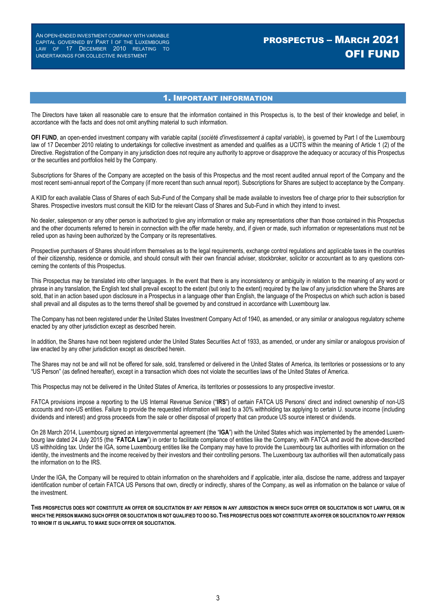# PROSPECTUS – MARCH 2021 OFI FUND

### 1. IMPORTANT INFORMATION

The Directors have taken all reasonable care to ensure that the information contained in this Prospectus is, to the best of their knowledge and belief, in accordance with the facts and does not omit anything material to such information.

**OFI FUND**, an open-ended investment company with variable capital (*société d'investissement à capital variable*), is governed by Part I of the Luxembourg law of 17 December 2010 relating to undertakings for collective investment as amended and qualifies as a UCITS within the meaning of Article 1 (2) of the Directive. Registration of the Company in any jurisdiction does not require any authority to approve or disapprove the adequacy or accuracy of this Prospectus or the securities and portfolios held by the Company.

Subscriptions for Shares of the Company are accepted on the basis of this Prospectus and the most recent audited annual report of the Company and the most recent semi-annual report of the Company (if more recent than such annual report). Subscriptions for Shares are subject to acceptance by the Company.

A KIID for each available Class of Shares of each Sub-Fund of the Company shall be made available to investors free of charge prior to their subscription for Shares. Prospective investors must consult the KIID for the relevant Class of Shares and Sub-Fund in which they intend to invest.

No dealer, salesperson or any other person is authorized to give any information or make any representations other than those contained in this Prospectus and the other documents referred to herein in connection with the offer made hereby, and, if given or made, such information or representations must not be relied upon as having been authorized by the Company or its representatives.

Prospective purchasers of Shares should inform themselves as to the legal requirements, exchange control regulations and applicable taxes in the countries of their citizenship, residence or domicile, and should consult with their own financial adviser, stockbroker, solicitor or accountant as to any questions concerning the contents of this Prospectus.

This Prospectus may be translated into other languages. In the event that there is any inconsistency or ambiguity in relation to the meaning of any word or phrase in any translation, the English text shall prevail except to the extent (but only to the extent) required by the law of any jurisdiction where the Shares are sold, that in an action based upon disclosure in a Prospectus in a language other than English, the language of the Prospectus on which such action is based shall prevail and all disputes as to the terms thereof shall be governed by and construed in accordance with Luxembourg law.

The Company has not been registered under the United States Investment Company Act of 1940, as amended, or any similar or analogous regulatory scheme enacted by any other jurisdiction except as described herein.

In addition, the Shares have not been registered under the United States Securities Act of 1933, as amended, or under any similar or analogous provision of law enacted by any other jurisdiction except as described herein.

The Shares may not be and will not be offered for sale, sold, transferred or delivered in the United States of America, its territories or possessions or to any "US Person" (as defined hereafter), except in a transaction which does not violate the securities laws of the United States of America.

This Prospectus may not be delivered in the United States of America, its territories or possessions to any prospective investor.

FATCA provisions impose a reporting to the US Internal Revenue Service ("**IRS**") of certain FATCA US Persons' direct and indirect ownership of non-US accounts and non-US entities. Failure to provide the requested information will lead to a 30% withholding tax applying to certain U. source income (including dividends and interest) and gross proceeds from the sale or other disposal of property that can produce US source interest or dividends.

On 28 March 2014, Luxembourg signed an intergovernmental agreement (the "**IGA**") with the United States which was implemented by the amended Luxembourg law dated 24 July 2015 (the "**FATCA Law**") in order to facilitate compliance of entities like the Company, with FATCA and avoid the above-described US withholding tax. Under the IGA, some Luxembourg entities like the Company may have to provide the Luxembourg tax authorities with information on the identity, the investments and the income received by their investors and their controlling persons. The Luxembourg tax authorities will then automatically pass the information on to the IRS.

Under the IGA, the Company will be required to obtain information on the shareholders and if applicable, inter alia, disclose the name, address and taxpayer identification number of certain FATCA US Persons that own, directly or indirectly, shares of the Company, as well as information on the balance or value of the investment.

**THIS PROSPECTUS DOES NOT CONSTITUTE AN OFFER OR SOLICITATION BY ANY PERSON IN ANY JURISDICTION IN WHICH SUCH OFFER OR SOLICITATION IS NOT LAWFUL OR IN WHICH THE PERSON MAKING SUCH OFFER OR SOLICITATION IS NOT QUALIFIED TO DO SO. THIS PROSPECTUS DOES NOT CONSTITUTE AN OFFER OR SOLICITATION TO ANY PERSON TO WHOM IT IS UNLAWFUL TO MAKE SUCH OFFER OR SOLICITATION.**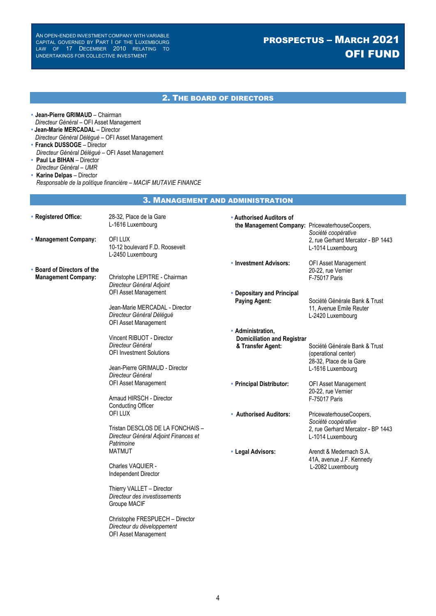# PROSPECTUS – MARCH 2021 OFI FUND

|                                                                                                                                                                                                                                                                                                                                                |                                                                                                                                                                  | <b>2. THE BOARD OF DIRECTORS</b>                                             |                                                                                                          |
|------------------------------------------------------------------------------------------------------------------------------------------------------------------------------------------------------------------------------------------------------------------------------------------------------------------------------------------------|------------------------------------------------------------------------------------------------------------------------------------------------------------------|------------------------------------------------------------------------------|----------------------------------------------------------------------------------------------------------|
| • Jean-Pierre GRIMAUD - Chairman<br>Directeur Général - OFI Asset Management<br>• Jean-Marie MERCADAL - Director<br>Directeur Général Délégué - OFI Asset Management<br>• Franck DUSSOGE - Director<br>Directeur Général Délégué - OFI Asset Management<br>• Paul Le BIHAN - Director<br>Directeur Général - UMR<br>• Karine Delpas - Director | Responsable de la politique financière - MACIF MUTAVIE FINANCE                                                                                                   |                                                                              |                                                                                                          |
|                                                                                                                                                                                                                                                                                                                                                |                                                                                                                                                                  | <b>3. MANAGEMENT AND ADMINISTRATION</b>                                      |                                                                                                          |
| • Registered Office:<br>• Management Company:                                                                                                                                                                                                                                                                                                  | 28-32, Place de la Gare<br>L-1616 Luxembourg<br>OFI LUX                                                                                                          | • Authorised Auditors of<br>the Management Company: PricewaterhouseCoopers,  | Société coopérative<br>2, rue Gerhard Mercator - BP 1443                                                 |
|                                                                                                                                                                                                                                                                                                                                                | 10-12 boulevard F.D. Roosevelt<br>L-2450 Luxembourg                                                                                                              |                                                                              | L-1014 Luxembourg                                                                                        |
| • Board of Directors of the<br><b>Management Company:</b>                                                                                                                                                                                                                                                                                      | Christophe LEPITRE - Chairman<br>Directeur Général Adjoint                                                                                                       | • Investment Advisors:                                                       | OFI Asset Management<br>20-22, rue Vernier<br>F-75017 Paris                                              |
|                                                                                                                                                                                                                                                                                                                                                | OFI Asset Management<br>Jean-Marie MERCADAL - Director<br>Directeur Général Délégué                                                                              | • Depositary and Principal<br><b>Paying Agent:</b>                           | Société Générale Bank & Trust<br>11, Avenue Emile Reuter<br>L-2420 Luxembourg                            |
|                                                                                                                                                                                                                                                                                                                                                | OFI Asset Management<br>Vincent RIBUOT - Director<br>Directeur Général<br><b>OFI Investment Solutions</b><br>Jean-Pierre GRIMAUD - Director<br>Directeur Général | • Administration,<br><b>Domiciliation and Registrar</b><br>& Transfer Agent: | Société Générale Bank & Trust<br>(operational center)<br>28-32, Place de la Gare<br>L-1616 Luxembourg    |
|                                                                                                                                                                                                                                                                                                                                                | OFI Asset Management<br>Arnaud HIRSCH - Director<br><b>Conducting Officer</b>                                                                                    | • Principal Distributor:                                                     | OFI Asset Management<br>20-22, rue Vernier<br><b>F-75017 Paris</b>                                       |
|                                                                                                                                                                                                                                                                                                                                                | OFI LUX<br>Tristan DESCLOS DE LA FONCHAIS -<br>Directeur Général Adjoint Finances et<br>Patrimoine                                                               | • Authorised Auditors:                                                       | PricewaterhouseCoopers,<br>Société coopérative<br>2, rue Gerhard Mercator - BP 1443<br>L-1014 Luxembourg |
|                                                                                                                                                                                                                                                                                                                                                | <b>MATMUT</b><br>Charles VAQUIER -<br>Independent Director                                                                                                       | • Legal Advisors:                                                            | Arendt & Medernach S.A.<br>41A, avenue J.F. Kennedy<br>L-2082 Luxembourg                                 |
|                                                                                                                                                                                                                                                                                                                                                | Thierry VALLET - Director<br>Directeur des investissements<br><b>Groupe MACIF</b>                                                                                |                                                                              |                                                                                                          |
|                                                                                                                                                                                                                                                                                                                                                | Christophe FRESPUECH - Director<br>Directeur du développement<br>OFI Asset Management                                                                            |                                                                              |                                                                                                          |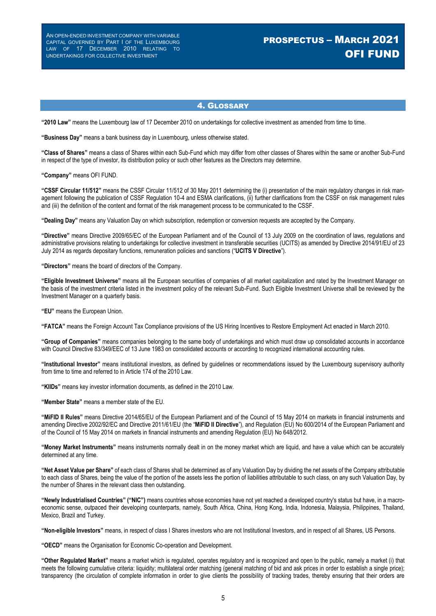# PROSPECTUS – MARCH 2021 OFI FUND

### 4. GLOSSARY

**"2010 Law"** means the Luxembourg law of 17 December 2010 on undertakings for collective investment as amended from time to time.

**"Business Day"** means a bank business day in Luxembourg, unless otherwise stated.

**"Class of Shares"** means a class of Shares within each Sub-Fund which may differ from other classes of Shares within the same or another Sub-Fund in respect of the type of investor, its distribution policy or such other features as the Directors may determine.

**"Company"** means OFI FUND.

**"CSSF Circular 11/512"** means the CSSF Circular 11/512 of 30 May 2011 determining the (i) presentation of the main regulatory changes in risk management following the publication of CSSF Regulation 10-4 and ESMA clarifications, (ii) further clarifications from the CSSF on risk management rules and (iii) the definition of the content and format of the risk management process to be communicated to the CSSF.

**"Dealing Day"** means any Valuation Day on which subscription, redemption or conversion requests are accepted by the Company.

**"Directive"** means Directive 2009/65/EC of the European Parliament and of the Council of 13 July 2009 on the coordination of laws, regulations and administrative provisions relating to undertakings for collective investment in transferable securities (UCITS) as amended by Directive 2014/91/EU of 23 July 2014 as regards depositary functions, remuneration policies and sanctions ("**UCITS V Directive**").

**"Directors"** means the board of directors of the Company.

**"Eligible Investment Universe"** means all the European securities of companies of all market capitalization and rated by the Investment Manager on the basis of the investment criteria listed in the investment policy of the relevant Sub-Fund. Such Eligible Investment Universe shall be reviewed by the Investment Manager on a quarterly basis.

**"EU"** means the European Union.

**"FATCA"** means the Foreign Account Tax Compliance provisions of the US Hiring Incentives to Restore Employment Act enacted in March 2010.

**"Group of Companies"** means companies belonging to the same body of undertakings and which must draw up consolidated accounts in accordance with Council Directive 83/349/EEC of 13 June 1983 on consolidated accounts or according to recognized international accounting rules.

**"Institutional Investor"** means institutional investors, as defined by guidelines or recommendations issued by the Luxembourg supervisory authority from time to time and referred to in Article 174 of the 2010 Law.

**"KIIDs"** means key investor information documents, as defined in the 2010 Law.

**"Member State"** means a member state of the EU.

**"MiFID II Rules"** means Directive 2014/65/EU of the European Parliament and of the Council of 15 May 2014 on markets in financial instruments and amending Directive 2002/92/EC and Directive 2011/61/EU (the "**MiFID II Directive**"), and Regulation (EU) No 600/2014 of the European Parliament and of the Council of 15 May 2014 on markets in financial instruments and amending Regulation (EU) No 648/2012.

**"Money Market Instruments"** means instruments normally dealt in on the money market which are liquid, and have a value which can be accurately determined at any time.

**"Net Asset Value per Share"** of each class of Shares shall be determined as of any Valuation Day by dividing the net assets of the Company attributable to each class of Shares, being the value of the portion of the assets less the portion of liabilities attributable to such class, on any such Valuation Day, by the number of Shares in the relevant class then outstanding.

**"Newly Industrialised Countries" ("NIC")** means countries whose economies have not yet reached a developed country's status but have, in a macroeconomic sense, outpaced their developing counterparts, namely, South Africa, China, Hong Kong, India, Indonesia, Malaysia, Philippines, Thailand, Mexico, Brazil and Turkey.

**"Non-eligible Investors"** means, in respect of class I Shares investors who are not Institutional Investors, and in respect of all Shares, US Persons.

**"OECD"** means the Organisation for Economic Co-operation and Development.

**"Other Regulated Market"** means a market which is regulated, operates regulatory and is recognized and open to the public, namely a market (i) that meets the following cumulative criteria: liquidity; multilateral order matching (general matching of bid and ask prices in order to establish a single price); transparency (the circulation of complete information in order to give clients the possibility of tracking trades, thereby ensuring that their orders are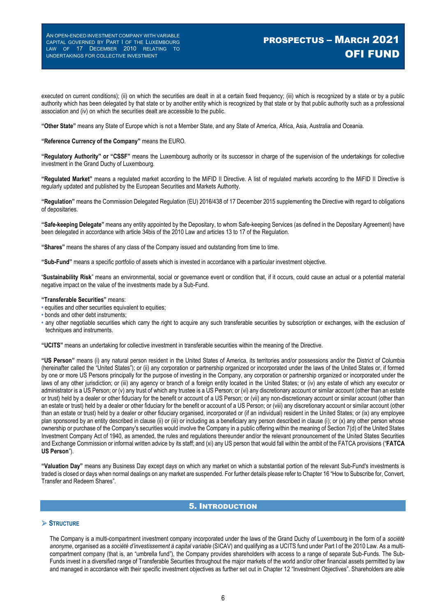# PROSPECTUS – MARCH 2021 OFI FUND

executed on current conditions); (ii) on which the securities are dealt in at a certain fixed frequency; (iii) which is recognized by a state or by a public authority which has been delegated by that state or by another entity which is recognized by that state or by that public authority such as a professional association and (iv) on which the securities dealt are accessible to the public.

**"Other State"** means any State of Europe which is not a Member State, and any State of America, Africa, Asia, Australia and Oceania.

#### **"Reference Currency of the Company"** means the EURO.

**"Regulatory Authority" or "CSSF"** means the Luxembourg authority or its successor in charge of the supervision of the undertakings for collective investment in the Grand Duchy of Luxembourg.

**"Regulated Market"** means a regulated market according to the MiFID II Directive. A list of regulated markets according to the MiFID II Directive is regularly updated and published by the European Securities and Markets Authority.

**"Regulation"** means the Commission Delegated Regulation (EU) 2016/438 of 17 December 2015 supplementing the Directive with regard to obligations of depositaries.

**"Safe-keeping Delegate"** means any entity appointed by the Depositary, to whom Safe-keeping Services (as defined in the Depositary Agreement) have been delegated in accordance with article 34bis of the 2010 Law and articles 13 to 17 of the Regulation.

**"Shares"** means the shares of any class of the Company issued and outstanding from time to time.

**"Sub-Fund"** means a specific portfolio of assets which is invested in accordance with a particular investment objective.

"**Sustainability Risk**" means an environmental, social or governance event or condition that, if it occurs, could cause an actual or a potential material negative impact on the value of the investments made by a Sub-Fund.

#### **"Transferable Securities"** means:

- **•** equities and other securities equivalent to equities;
- **•** bonds and other debt instruments;
- **•** any other negotiable securities which carry the right to acquire any such transferable securities by subscription or exchanges, with the exclusion of techniques and instruments.

**"UCITS"** means an undertaking for collective investment in transferable securities within the meaning of the Directive.

**"US Person"** means (i) any natural person resident in the United States of America, its territories and/or possessions and/or the District of Columbia (hereinafter called the "United States"); or (ii) any corporation or partnership organized or incorporated under the laws of the United States or, if formed by one or more US Persons principally for the purpose of investing in the Company, any corporation or partnership organized or incorporated under the laws of any other jurisdiction; or (iii) any agency or branch of a foreign entity located in the United States; or (iv) any estate of which any executor or administrator is a US Person; or (v) any trust of which any trustee is a US Person; or (vi) any discretionary account or similar account (other than an estate or trust) held by a dealer or other fiduciary for the benefit or account of a US Person; or (vii) any non-discretionary account or similar account (other than an estate or trust) held by a dealer or other fiduciary for the benefit or account of a US Person; or (viii) any discretionary account or similar account (other than an estate or trust) held by a dealer or other fiduciary organised, incorporated or (if an individual) resident in the United States; or (ix) any employee plan sponsored by an entity described in clause (ii) or (iii) or including as a beneficiary any person described in clause (i); or (x) any other person whose ownership or purchase of the Company's securities would involve the Company in a public offering within the meaning of Section 7(d) of the United States Investment Company Act of 1940, as amended, the rules and regulations thereunder and/or the relevant pronouncement of the United States Securities and Exchange Commission or informal written advice by its staff; and (xi) any US person that would fall within the ambit of the FATCA provisions ("**FATCA US Person**").

**"Valuation Day"** means any Business Day except days on which any market on which a substantial portion of the relevant Sub-Fund's investments is traded is closed or days when normal dealings on any market are suspended. For further details please refer to Chapter 16 "How to Subscribe for, Convert, Transfer and Redeem Shares".

#### 5. INTRODUCTION

#### **STRUCTURE**

The Company is a multi-compartment investment company incorporated under the laws of the Grand Duchy of Luxembourg in the form of a *société anonyme*, organised as a *société d'investissement à capital variable* (SICAV) and qualifying as a UCITS fund under Part I of the 2010 Law. As a multicompartment company (that is, an "umbrella fund"), the Company provides shareholders with access to a range of separate Sub-Funds. The Sub-Funds invest in a diversified range of Transferable Securities throughout the major markets of the world and/or other financial assets permitted by law and managed in accordance with their specific investment objectives as further set out in Chapter 12 "Investment Objectives". Shareholders are able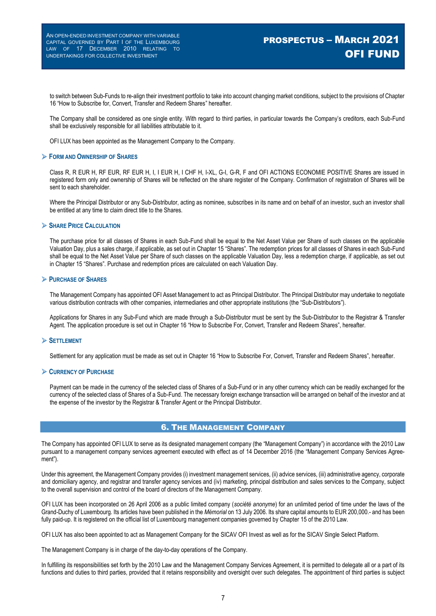to switch between Sub-Funds to re-align their investment portfolio to take into account changing market conditions, subject to the provisions of Chapter 16 "How to Subscribe for, Convert, Transfer and Redeem Shares" hereafter.

The Company shall be considered as one single entity. With regard to third parties, in particular towards the Company's creditors, each Sub-Fund shall be exclusively responsible for all liabilities attributable to it.

OFI LUX has been appointed as the Management Company to the Company.

#### **FORM AND OWNERSHIP OF SHARES**

Class R, R EUR H, RF EUR, RF EUR H, I, I EUR H, I CHF H, I-XL, G-I, G-R, F and OFI ACTIONS ECONOMIE POSITIVE Shares are issued in registered form only and ownership of Shares will be reflected on the share register of the Company. Confirmation of registration of Shares will be sent to each shareholder.

Where the Principal Distributor or any Sub-Distributor, acting as nominee, subscribes in its name and on behalf of an investor, such an investor shall be entitled at any time to claim direct title to the Shares.

#### **SHARE PRICE CALCULATION**

The purchase price for all classes of Shares in each Sub-Fund shall be equal to the Net Asset Value per Share of such classes on the applicable Valuation Day, plus a sales charge, if applicable, as set out in Chapter 15 "Shares". The redemption prices for all classes of Shares in each Sub-Fund shall be equal to the Net Asset Value per Share of such classes on the applicable Valuation Day, less a redemption charge, if applicable, as set out in Chapter 15 "Shares". Purchase and redemption prices are calculated on each Valuation Day.

#### **PURCHASE OF SHARES**

The Management Company has appointed OFI Asset Management to act as Principal Distributor. The Principal Distributor may undertake to negotiate various distribution contracts with other companies, intermediaries and other appropriate institutions (the "Sub-Distributors").

Applications for Shares in any Sub-Fund which are made through a Sub-Distributor must be sent by the Sub-Distributor to the Registrar & Transfer Agent. The application procedure is set out in Chapter 16 "How to Subscribe For, Convert, Transfer and Redeem Shares", hereafter.

#### **SETTLEMENT**

Settlement for any application must be made as set out in Chapter 16 "How to Subscribe For, Convert, Transfer and Redeem Shares", hereafter.

#### **CURRENCY OF PURCHASE**

Payment can be made in the currency of the selected class of Shares of a Sub-Fund or in any other currency which can be readily exchanged for the currency of the selected class of Shares of a Sub-Fund. The necessary foreign exchange transaction will be arranged on behalf of the investor and at the expense of the investor by the Registrar & Transfer Agent or the Principal Distributor.

### 6. THE MANAGEMENT COMPANY

The Company has appointed OFI LUX to serve as its designated management company (the "Management Company") in accordance with the 2010 Law pursuant to a management company services agreement executed with effect as of 14 December 2016 (the "Management Company Services Agreement").

Under this agreement, the Management Company provides (i) investment management services, (iii) advice services, (iii) administrative agency, corporate and domiciliary agency, and registrar and transfer agency services and (iv) marketing, principal distribution and sales services to the Company, subject to the overall supervision and control of the board of directors of the Management Company.

OFI LUX has been incorporated on 26 April 2006 as a public limited company (*société anonyme*) for an unlimited period of time under the laws of the Grand-Duchy of Luxembourg. Its articles have been published in the *Mémorial* on 13 July 2006. Its share capital amounts to EUR 200,000.- and has been fully paid-up. It is registered on the official list of Luxembourg management companies governed by Chapter 15 of the 2010 Law.

OFI LUX has also been appointed to act as Management Company for the SICAV OFI Invest as well as for the SICAV Single Select Platform.

The Management Company is in charge of the day-to-day operations of the Company.

In fulfilling its responsibilities set forth by the 2010 Law and the Management Company Services Agreement, it is permitted to delegate all or a part of its functions and duties to third parties, provided that it retains responsibility and oversight over such delegates. The appointment of third parties is subject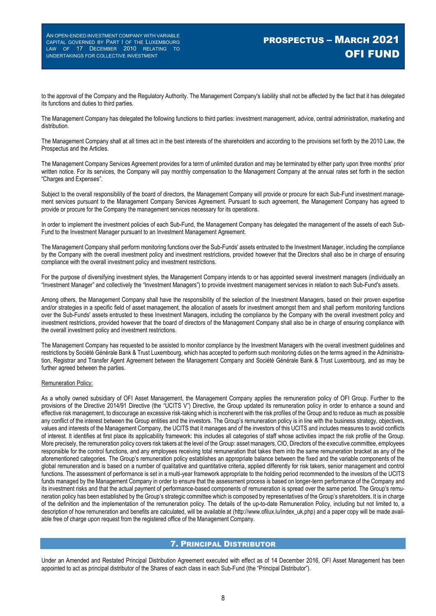to the approval of the Company and the Regulatory Authority. The Management Company's liability shall not be affected by the fact that it has delegated its functions and duties to third parties.

The Management Company has delegated the following functions to third parties: investment management, advice, central administration, marketing and distribution.

The Management Company shall at all times act in the best interests of the shareholders and according to the provisions set forth by the 2010 Law, the Prospectus and the Articles.

The Management Company Services Agreement provides for a term of unlimited duration and may be terminated by either party upon three months' prior written notice. For its services, the Company will pay monthly compensation to the Management Company at the annual rates set forth in the section "Charges and Expenses".

Subject to the overall responsibility of the board of directors, the Management Company will provide or procure for each Sub-Fund investment management services pursuant to the Management Company Services Agreement. Pursuant to such agreement, the Management Company has agreed to provide or procure for the Company the management services necessary for its operations.

In order to implement the investment policies of each Sub-Fund, the Management Company has delegated the management of the assets of each Sub-Fund to the Investment Manager pursuant to an Investment Management Agreement.

The Management Company shall perform monitoring functions over the Sub-Funds' assets entrusted to the Investment Manager, including the compliance by the Company with the overall investment policy and investment restrictions, provided however that the Directors shall also be in charge of ensuring compliance with the overall investment policy and investment restrictions.

For the purpose of diversifying investment styles, the Management Company intends to or has appointed several investment managers (individually an "Investment Manager" and collectively the "Investment Managers") to provide investment management services in relation to each Sub-Fund's assets.

Among others, the Management Company shall have the responsibility of the selection of the Investment Managers, based on their proven expertise and/or strategies in a specific field of asset management, the allocation of assets for investment amongst them and shall perform monitoring functions over the Sub-Funds' assets entrusted to these Investment Managers, including the compliance by the Company with the overall investment policy and investment restrictions, provided however that the board of directors of the Management Company shall also be in charge of ensuring compliance with the overall investment policy and investment restrictions.

The Management Company has requested to be assisted to monitor compliance by the Investment Managers with the overall investment guidelines and restrictions by Société Générale Bank & Trust Luxembourg, which has accepted to perform such monitoring duties on the terms agreed in the Administration, Registrar and Transfer Agent Agreement between the Management Company and Société Générale Bank & Trust Luxembourg, and as may be further agreed between the parties.

#### Remuneration Policy:

As a wholly owned subsidiary of OFI Asset Management, the Management Company applies the remuneration policy of OFI Group. Further to the provisions of the Directive 2014/91 Directive (the "UCITS V") Directive, the Group updated its remuneration policy in order to enhance a sound and effective risk management, to discourage an excessive risk-taking which is incoherent with the risk profiles of the Group and to reduce as much as possible any conflict of the interest between the Group entities and the investors. The Group's remuneration policy is in line with the business strategy, objectives, values and interests of the Management Company, the UCITS that it manages and of the investors of this UCITS and includes measures to avoid conflicts of interest. It identifies at first place its applicability framework: this includes all categories of staff whose activities impact the risk profile of the Group. More precisely, the remuneration policy covers risk takers at the level of the Group: asset managers, CIO, Directors of the executive committee, employees responsible for the control functions, and any employees receiving total remuneration that takes them into the same remuneration bracket as any of the aforementioned categories. The Group's remuneration policy establishes an appropriate balance between the fixed and the variable components of the global remuneration and is based on a number of qualitative and quantitative criteria, applied differently for risk takers, senior management and control functions. The assessment of performance is set in a multi-year framework appropriate to the holding period recommended to the investors of the UCITS funds managed by the Management Company in order to ensure that the assessment process is based on longer-term performance of the Company and its investment risks and that the actual payment of performance-based components of remuneration is spread over the same period. The Group's remuneration policy has been established by the Group's strategic committee which is composed by representatives of the Group's shareholders. It is in charge of the definition and the implementation of the remuneration policy. The details of the up-to-date Remuneration Policy, including but not limited to, a description of how remuneration and benefits are calculated, will be available at (http://www.ofilux.lu/index\_uk.php) and a paper copy will be made available free of charge upon request from the registered office of the Management Company.

### 7. PRINCIPAL DISTRIBUTOR

Under an Amended and Restated Principal Distribution Agreement executed with effect as of 14 December 2016, OFI Asset Management has been appointed to act as principal distributor of the Shares of each class in each Sub-Fund (the "Principal Distributor").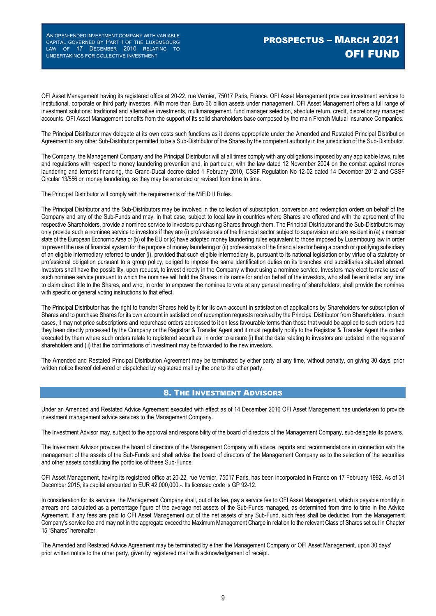OFI Asset Management having its registered office at 20-22, rue Vernier, 75017 Paris, France. OFI Asset Management provides investment services to institutional, corporate or third party investors. With more than Euro 66 billion assets under management, OFI Asset Management offers a full range of investment solutions: traditional and alternative investments, multimanagement, fund manager selection, absolute return, credit, discretionary managed accounts. OFI Asset Management benefits from the support of its solid shareholders base composed by the main French Mutual Insurance Companies.

The Principal Distributor may delegate at its own costs such functions as it deems appropriate under the Amended and Restated Principal Distribution Agreement to any other Sub-Distributor permitted to be a Sub-Distributor of the Shares by the competent authority in the jurisdiction of the Sub-Distributor.

The Company, the Management Company and the Principal Distributor will at all times comply with any obligations imposed by any applicable laws, rules and regulations with respect to money laundering prevention and, in particular, with the law dated 12 November 2004 on the combat against money laundering and terrorist financing, the Grand-Ducal decree dated 1 February 2010, CSSF Regulation No 12-02 dated 14 December 2012 and CSSF Circular 13/556 on money laundering, as they may be amended or revised from time to time.

The Principal Distributor will comply with the requirements of the MiFID II Rules.

The Principal Distributor and the Sub-Distributors may be involved in the collection of subscription, conversion and redemption orders on behalf of the Company and any of the Sub-Funds and may, in that case, subject to local law in countries where Shares are offered and with the agreement of the respective Shareholders, provide a nominee service to investors purchasing Shares through them. The Principal Distributor and the Sub-Distributors may only provide such a nominee service to investors if they are (i) professionals of the financial sector subject to supervision and are resident in (a) a member state of the European Economic Area or (b) of the EU or (c) have adopted money laundering rules equivalent to those imposed by Luxembourg law in order to prevent the use of financial system for the purpose of money laundering or (ii) professionals of the financial sector being a branch or qualifying subsidiary of an eligible intermediary referred to under (i), provided that such eligible intermediary is, pursuant to its national legislation or by virtue of a statutory or professional obligation pursuant to a group policy, obliged to impose the same identification duties on its branches and subsidiaries situated abroad. Investors shall have the possibility, upon request, to invest directly in the Company without using a nominee service. Investors may elect to make use of such nominee service pursuant to which the nominee will hold the Shares in its name for and on behalf of the investors, who shall be entitled at any time to claim direct title to the Shares, and who, in order to empower the nominee to vote at any general meeting of shareholders, shall provide the nominee with specific or general voting instructions to that effect.

The Principal Distributor has the right to transfer Shares held by it for its own account in satisfaction of applications by Shareholders for subscription of Shares and to purchase Shares for its own account in satisfaction of redemption requests received by the Principal Distributor from Shareholders. In such cases, it may not price subscriptions and repurchase orders addressed to it on less favourable terms than those that would be applied to such orders had they been directly processed by the Company or the Registrar & Transfer Agent and it must regularly notify to the Registrar & Transfer Agent the orders executed by them where such orders relate to registered securities, in order to ensure (i) that the data relating to investors are updated in the register of shareholders and (ii) that the confirmations of investment may be forwarded to the new investors.

The Amended and Restated Principal Distribution Agreement may be terminated by either party at any time, without penalty, on giving 30 days' prior written notice thereof delivered or dispatched by registered mail by the one to the other party.

#### 8. THE INVESTMENT ADVISORS

Under an Amended and Restated Advice Agreement executed with effect as of 14 December 2016 OFI Asset Management has undertaken to provide investment management advice services to the Management Company.

The Investment Advisor may, subject to the approval and responsibility of the board of directors of the Management Company, sub-delegate its powers.

The Investment Advisor provides the board of directors of the Management Company with advice, reports and recommendations in connection with the management of the assets of the Sub-Funds and shall advise the board of directors of the Management Company as to the selection of the securities and other assets constituting the portfolios of these Sub-Funds.

OFI Asset Management, having its registered office at 20-22, rue Vernier, 75017 Paris, has been incorporated in France on 17 February 1992. As of 31 December 2015, its capital amounted to EUR 42,000,000.-. Its licensed code is GP 92-12.

In consideration for its services, the Management Company shall, out of its fee, pay a service fee to OFI Asset Management, which is payable monthly in arrears and calculated as a percentage figure of the average net assets of the Sub-Funds managed, as determined from time to time in the Advice Agreement. If any fees are paid to OFI Asset Management out of the net assets of any Sub-Fund, such fees shall be deducted from the Management Company's service fee and may not in the aggregate exceed the Maximum Management Charge in relation to the relevant Class of Shares set out in Chapter 15 "Shares" hereinafter.

The Amended and Restated Advice Agreement may be terminated by either the Management Company or OFI Asset Management, upon 30 days' prior written notice to the other party, given by registered mail with acknowledgement of receipt.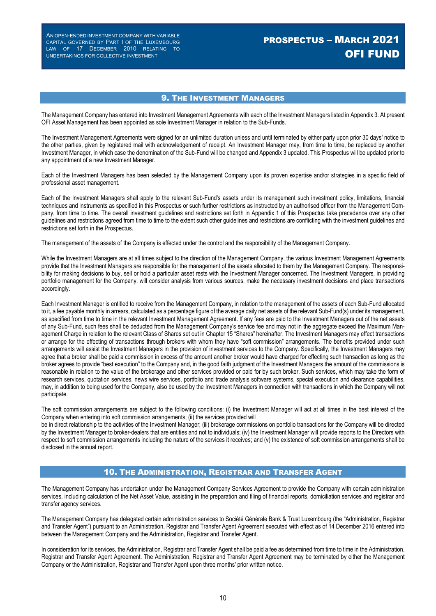# PROSPECTUS – MARCH 2021 OFI FUND

### 9. THE INVESTMENT MANAGERS

The Management Company has entered into Investment Management Agreements with each of the Investment Managers listed in Appendix 3. At present OFI Asset Management has been appointed as sole Investment Manager in relation to the Sub-Funds.

The Investment Management Agreements were signed for an unlimited duration unless and until terminated by either party upon prior 30 days' notice to the other parties, given by registered mail with acknowledgement of receipt. An Investment Manager may, from time to time, be replaced by another Investment Manager, in which case the denomination of the Sub-Fund will be changed and Appendix 3 updated. This Prospectus will be updated prior to any appointment of a new Investment Manager.

Each of the Investment Managers has been selected by the Management Company upon its proven expertise and/or strategies in a specific field of professional asset management.

Each of the Investment Managers shall apply to the relevant Sub-Fund's assets under its management such investment policy, limitations, financial techniques and instruments as specified in this Prospectus or such further restrictions as instructed by an authorised officer from the Management Company, from time to time. The overall investment guidelines and restrictions set forth in Appendix 1 of this Prospectus take precedence over any other guidelines and restrictions agreed from time to time to the extent such other guidelines and restrictions are conflicting with the investment guidelines and restrictions set forth in the Prospectus.

The management of the assets of the Company is effected under the control and the responsibility of the Management Company.

While the Investment Managers are at all times subject to the direction of the Management Company, the various Investment Management Agreements provide that the Investment Managers are responsible for the management of the assets allocated to them by the Management Company. The responsibility for making decisions to buy, sell or hold a particular asset rests with the Investment Manager concerned. The Investment Managers, in providing portfolio management for the Company, will consider analysis from various sources, make the necessary investment decisions and place transactions accordingly.

Each Investment Manager is entitled to receive from the Management Company, in relation to the management of the assets of each Sub-Fund allocated to it, a fee payable monthly in arrears, calculated as a percentage figure of the average daily net assets of the relevant Sub-Fund(s) under its management, as specified from time to time in the relevant Investment Management Agreement. If any fees are paid to the Investment Managers out of the net assets of any Sub-Fund, such fees shall be deducted from the Management Company's service fee and may not in the aggregate exceed the Maximum Management Charge in relation to the relevant Class of Shares set out in Chapter 15 "Shares" hereinafter. The Investment Managers may effect transactions or arrange for the effecting of transactions through brokers with whom they have "soft commission" arrangements. The benefits provided under such arrangements will assist the Investment Managers in the provision of investment services to the Company. Specifically, the Investment Managers may agree that a broker shall be paid a commission in excess of the amount another broker would have charged for effecting such transaction as long as the broker agrees to provide "best execution" to the Company and, in the good faith judgment of the Investment Managers the amount of the commissions is reasonable in relation to the value of the brokerage and other services provided or paid for by such broker. Such services, which may take the form of research services, quotation services, news wire services, portfolio and trade analysis software systems, special execution and clearance capabilities, may, in addition to being used for the Company, also be used by the Investment Managers in connection with transactions in which the Company will not participate.

The soft commission arrangements are subject to the following conditions: (i) the Investment Manager will act at all times in the best interest of the Company when entering into soft commission arrangements; (ii) the services provided will

be in direct relationship to the activities of the Investment Manager; (iii) brokerage commissions on portfolio transactions for the Company will be directed by the Investment Manager to broker-dealers that are entities and not to individuals; (iv) the Investment Manager will provide reports to the Directors with respect to soft commission arrangements including the nature of the services it receives; and (v) the existence of soft commission arrangements shall be disclosed in the annual report.

#### 10. THE ADMINISTRATION, REGISTRAR AND TRANSFER AGENT

The Management Company has undertaken under the Management Company Services Agreement to provide the Company with certain administration services, including calculation of the Net Asset Value, assisting in the preparation and filing of financial reports, domiciliation services and registrar and transfer agency services.

The Management Company has delegated certain administration services to Société Générale Bank & Trust Luxembourg (the "Administration, Registrar and Transfer Agent") pursuant to an Administration, Registrar and Transfer Agent Agreement executed with effect as of 14 December 2016 entered into between the Management Company and the Administration, Registrar and Transfer Agent.

In consideration for its services, the Administration, Registrar and Transfer Agent shall be paid a fee as determined from time to time in the Administration, Registrar and Transfer Agent Agreement. The Administration, Registrar and Transfer Agent Agreement may be terminated by either the Management Company or the Administration, Registrar and Transfer Agent upon three months' prior written notice.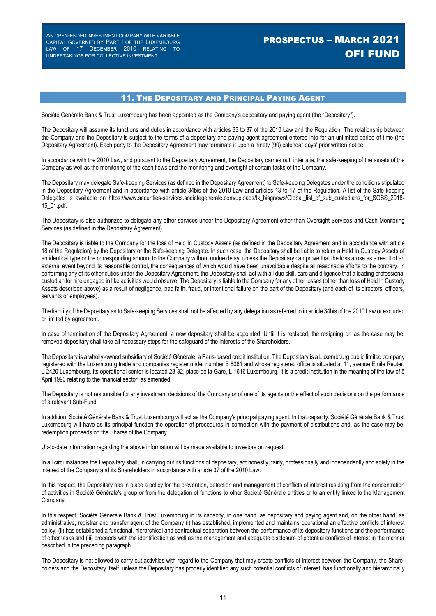# PROSPECTUS – MARCH 2021 OFI FUND

### 11. THE DEPOSITARY AND PRINCIPAL PAYING AGENT

Société Générale Bank & Trust Luxembourg has been appointed as the Company's depositary and paying agent (the "Depositary").

The Depositary will assume its functions and duties in accordance with articles 33 to 37 of the 2010 Law and the Regulation. The relationship between the Company and the Depositary is subject to the terms of a depositary and paying agent agreement entered into for an unlimited period of time (the Depositary Agreement). Each party to the Depositary Agreement may terminate it upon a ninety (90) calendar days' prior written notice.

In accordance with the 2010 Law, and pursuant to the Depositary Agreement, the Depositary carries out, inter alia, the safe-keeping of the assets of the Company as well as the monitoring of the cash flows and the monitoring and oversight of certain tasks of the Company.

The Depositary may delegate Safe-keeping Services (as defined in the Depositary Agreement) to Safe-keeping Delegates under the conditions stipulated in the Depositary Agreement and in accordance with article 34bis of the 2010 Law and articles 13 to 17 of the Regulation. A list of the Safe-keeping Delegates is available on https://www.securities-services.societegenerale.com/uploads/tx\_bisgnews/Global\_list\_of\_sub\_custodians\_for\_SGSS\_2018-15\_01.pdf.

The Depositary is also authorized to delegate any other services under the Depositary Agreement other than Oversight Services and Cash Monitoring Services (as defined in the Depositary Agreement).

The Depositary is liable to the Company for the loss of Held In Custody Assets (as defined in the Depositary Agreement and in accordance with article 18 of the Regulation) by the Depositary or the Safe-keeping Delegate. In such case, the Depositary shall be liable to return a Held In Custody Assets of an identical type or the corresponding amount to the Company without undue delay, unless the Depositary can prove that the loss arose as a result of an external event beyond its reasonable control, the consequences of which would have been unavoidable despite all reasonable efforts to the contrary. In performing any of its other duties under the Depositary Agreement, the Depositary shall act with all due skill, care and diligence that a leading professional custodian for hire engaged in like activities would observe. The Depositary is liable to the Company for any other losses (other than loss of Held In Custody Assets described above) as a result of negligence, bad faith, fraud, or intentional failure on the part of the Depositary (and each of its directors, officers, servants or employees).

The liability of the Depositary as to Safe-keeping Services shall not be affected by any delegation as referred to in article 34bis of the 2010 Law or excluded or limited by agreement.

In case of termination of the Depositary Agreement, a new depositary shall be appointed. Until it is replaced, the resigning or, as the case may be, removed depositary shall take all necessary steps for the safeguard of the interests of the Shareholders.

The Depositary is a wholly-owned subsidiary of Société Générale, a Paris-based credit institution. The Depositary is a Luxembourg public limited company registered with the Luxembourg trade and companies register under number B 6061 and whose registered office is situated at 11, avenue Emile Reuter, L-2420 Luxembourg. Its operational center is located 28-32, place de la Gare, L-1616 Luxembourg. It is a credit institution in the meaning of the law of 5 April 1993 relating to the financial sector, as amended.

The Depositary is not responsible for any investment decisions of the Company or of one of its agents or the effect of such decisions on the performance of a relevant Sub-Fund.

In addition, Société Générale Bank & Trust Luxembourg will act as the Company's principal paying agent. In that capacity, Société Générale Bank & Trust Luxembourg will have as its principal function the operation of procedures in connection with the payment of distributions and, as the case may be, redemption proceeds on the Shares of the Company.

Up-to-date information regarding the above information will be made available to investors on request.

In all circumstances the Depositary shall, in carrying out its functions of depositary, act honestly, fairly, professionally and independently and solely in the interest of the Company and its Shareholders in accordance with article 37 of the 2010 Law.

In this respect, the Depositary has in place a policy for the prevention, detection and management of conflicts of interest resulting from the concentration of activities in Société Générale's group or from the delegation of functions to other Société Générale entities or to an entity linked to the Management Company.

In this respect, Société Générale Bank & Trust Luxembourg in its capacity, in one hand, as depositary and paying agent and, on the other hand, as administrative, registrar and transfer agent of the Company (i) has established, implemented and maintains operational an effective conflicts of interest policy; (ii) has established a functional, hierarchical and contractual separation between the performance of its depositary functions and the performance of other tasks and (iii) proceeds with the identification as well as the management and adequate disclosure of potential conflicts of interest in the manner described in the preceding paragraph.

The Depositary is not allowed to carry out activities with regard to the Company that may create conflicts of interest between the Company, the Shareholders and the Depositary itself, unless the Depositary has properly identified any such potential conflicts of interest, has functionally and hierarchically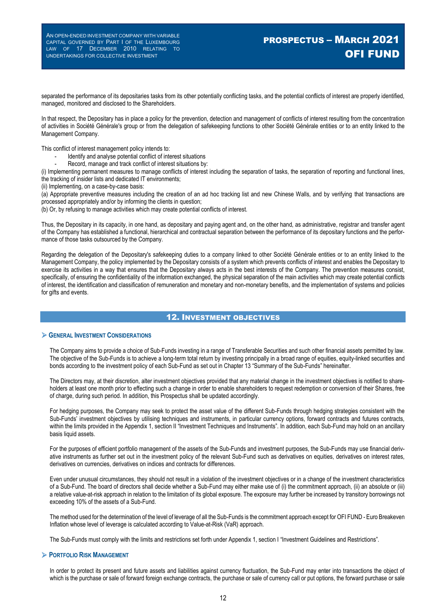# PROSPECTUS – MARCH 2021 OFI FUND

separated the performance of its depositaries tasks from its other potentially conflicting tasks, and the potential conflicts of interest are properly identified, managed, monitored and disclosed to the Shareholders.

In that respect, the Depositary has in place a policy for the prevention, detection and management of conflicts of interest resulting from the concentration of activities in Société Générale's group or from the delegation of safekeeping functions to other Société Générale entities or to an entity linked to the Management Company.

This conflict of interest management policy intends to:

- Identify and analyse potential conflict of interest situations
- Record, manage and track conflict of interest situations by:

(i) Implementing permanent measures to manage conflicts of interest including the separation of tasks, the separation of reporting and functional lines, the tracking of insider lists and dedicated IT environments;

(ii) Implementing, on a case-by-case basis:

(a) Appropriate preventive measures including the creation of an ad hoc tracking list and new Chinese Walls, and by verifying that transactions are processed appropriately and/or by informing the clients in question;

(b) Or, by refusing to manage activities which may create potential conflicts of interest.

Thus, the Depositary in its capacity, in one hand, as depositary and paying agent and, on the other hand, as administrative, registrar and transfer agent of the Company has established a functional, hierarchical and contractual separation between the performance of its depositary functions and the performance of those tasks outsourced by the Company.

Regarding the delegation of the Depositary's safekeeping duties to a company linked to other Société Générale entities or to an entity linked to the Management Company, the policy implemented by the Depositary consists of a system which prevents conflicts of interest and enables the Depositary to exercise its activities in a way that ensures that the Depositary always acts in the best interests of the Company. The prevention measures consist, specifically, of ensuring the confidentiality of the information exchanged, the physical separation of the main activities which may create potential conflicts of interest, the identification and classification of remuneration and monetary and non-monetary benefits, and the implementation of systems and policies for gifts and events.

### 12. INVESTMENT OBJECTIVES

#### **GENERAL INVESTMENT CONSIDERATIONS**

The Company aims to provide a choice of Sub-Funds investing in a range of Transferable Securities and such other financial assets permitted by law. The objective of the Sub-Funds is to achieve a long-term total return by investing principally in a broad range of equities, equity-linked securities and bonds according to the investment policy of each Sub-Fund as set out in Chapter 13 "Summary of the Sub-Funds" hereinafter.

The Directors may, at their discretion, alter investment objectives provided that any material change in the investment objectives is notified to shareholders at least one month prior to effecting such a change in order to enable shareholders to request redemption or conversion of their Shares, free of charge, during such period. In addition, this Prospectus shall be updated accordingly.

For hedging purposes, the Company may seek to protect the asset value of the different Sub-Funds through hedging strategies consistent with the Sub-Funds' investment objectives by utilising techniques and instruments, in particular currency options, forward contracts and futures contracts, within the limits provided in the Appendix 1, section II "Investment Techniques and Instruments". In addition, each Sub-Fund may hold on an ancillary basis liquid assets.

For the purposes of efficient portfolio management of the assets of the Sub-Funds and investment purposes, the Sub-Funds may use financial derivative instruments as further set out in the investment policy of the relevant Sub-Fund such as derivatives on equities, derivatives on interest rates, derivatives on currencies, derivatives on indices and contracts for differences.

Even under unusual circumstances, they should not result in a violation of the investment objectives or in a change of the investment characteristics of a Sub-Fund. The board of directors shall decide whether a Sub-Fund may either make use of (i) the commitment approach, (ii) an absolute or (iii) a relative value-at-risk approach in relation to the limitation of its global exposure. The exposure may further be increased by transitory borrowings not exceeding 10% of the assets of a Sub-Fund.

The method used for the determination of the level of leverage of all the Sub-Funds is the commitment approach except for OFI FUND - Euro Breakeven Inflation whose level of leverage is calculated according to Value-at-Risk (VaR) approach.

The Sub-Funds must comply with the limits and restrictions set forth under Appendix 1, section I "Investment Guidelines and Restrictions".

#### **PORTFOLIO RISK MANAGEMENT**

In order to protect its present and future assets and liabilities against currency fluctuation, the Sub-Fund may enter into transactions the object of which is the purchase or sale of forward foreign exchange contracts, the purchase or sale of currency call or put options, the forward purchase or sale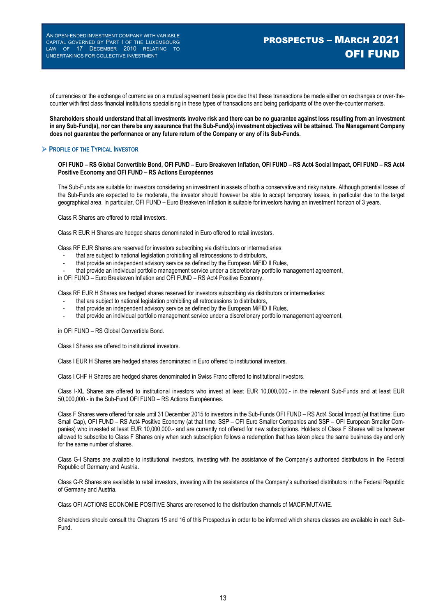# PROSPECTUS – MARCH 2021 OFI FUND

of currencies or the exchange of currencies on a mutual agreement basis provided that these transactions be made either on exchanges or over-thecounter with first class financial institutions specialising in these types of transactions and being participants of the over-the-counter markets.

**Shareholders should understand that all investments involve risk and there can be no guarantee against loss resulting from an investment in any Sub-Fund(s), nor can there be any assurance that the Sub-Fund(s) investment objectives will be attained. The Management Company does not guarantee the performance or any future return of the Company or any of its Sub-Funds.**

### **PROFILE OF THE TYPICAL INVESTOR**

**OFI FUND – RS Global Convertible Bond, OFI FUND – Euro Breakeven Inflation, OFI FUND – RS Act4 Social Impact, OFI FUND – RS Act4 Positive Economy and OFI FUND – RS Actions Européennes**

The Sub-Funds are suitable for investors considering an investment in assets of both a conservative and risky nature. Although potential losses of the Sub-Funds are expected to be moderate, the investor should however be able to accept temporary losses, in particular due to the target geographical area. In particular, OFI FUND – Euro Breakeven Inflation is suitable for investors having an investment horizon of 3 years.

Class R Shares are offered to retail investors.

Class R EUR H Shares are hedged shares denominated in Euro offered to retail investors.

Class RF EUR Shares are reserved for investors subscribing via distributors or intermediaries:

- that are subject to national legislation prohibiting all retrocessions to distributors,
- that provide an independent advisory service as defined by the European MiFID II Rules,
- that provide an individual portfolio management service under a discretionary portfolio management agreement,
- in OFI FUND Euro Breakeven Inflation and OFI FUND RS Act4 Positive Economy.

Class RF EUR H Shares are hedged shares reserved for investors subscribing via distributors or intermediaries:

- that are subject to national legislation prohibiting all retrocessions to distributors,
- that provide an independent advisory service as defined by the European MiFID II Rules,
- that provide an individual portfolio management service under a discretionary portfolio management agreement,

in OFI FUND – RS Global Convertible Bond.

Class I Shares are offered to institutional investors.

Class I EUR H Shares are hedged shares denominated in Euro offered to institutional investors.

Class I CHF H Shares are hedged shares denominated in Swiss Franc offered to institutional investors.

Class I-XL Shares are offered to institutional investors who invest at least EUR 10,000,000.- in the relevant Sub-Funds and at least EUR 50,000,000.- in the Sub-Fund OFI FUND – RS Actions Européennes.

Class F Shares were offered for sale until 31 December 2015 to investors in the Sub-Funds OFI FUND – RS Act4 Social Impact (at that time: Euro Small Cap), OFI FUND – RS Act4 Positive Economy (at that time: SSP – OFI Euro Smaller Companies and SSP – OFI European Smaller Companies) who invested at least EUR 10,000,000.- and are currently not offered for new subscriptions. Holders of Class F Shares will be however allowed to subscribe to Class F Shares only when such subscription follows a redemption that has taken place the same business day and only for the same number of shares.

Class G-I Shares are available to institutional investors, investing with the assistance of the Company's authorised distributors in the Federal Republic of Germany and Austria.

Class G-R Shares are available to retail investors, investing with the assistance of the Company's authorised distributors in the Federal Republic of Germany and Austria.

Class OFI ACTIONS ECONOMIE POSITIVE Shares are reserved to the distribution channels of MACIF/MUTAVIE.

Shareholders should consult the Chapters 15 and 16 of this Prospectus in order to be informed which shares classes are available in each Sub-Fund.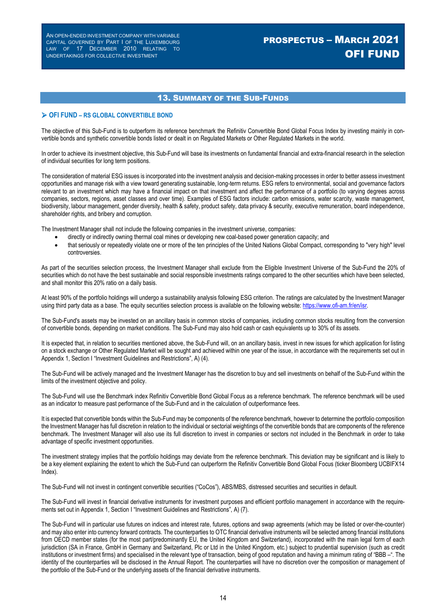# PROSPECTUS – MARCH 2021 OFI FUND

### 13. SUMMARY OF THE SUB-FUNDS

#### **OFI FUND – RS GLOBAL CONVERTIBLE BOND**

The objective of this Sub-Fund is to outperform its reference benchmark the Refinitiv Convertible Bond Global Focus Index by investing mainly in convertible bonds and synthetic convertible bonds listed or dealt in on Regulated Markets or Other Regulated Markets in the world.

In order to achieve its investment objective, this Sub-Fund will base its investments on fundamental financial and extra-financial research in the selection of individual securities for long term positions.

The consideration of material ESG issues is incorporated into the investment analysis and decision-making processes in order to better assess investment opportunities and manage risk with a view toward generating sustainable, long-term returns. ESG refers to environmental, social and governance factors relevant to an investment which may have a financial impact on that investment and affect the performance of a portfolio (to varying degrees across companies, sectors, regions, asset classes and over time). Examples of ESG factors include: carbon emissions, water scarcity, waste management, biodiversity, labour management, gender diversity, health & safety, product safety, data privacy & security, executive remuneration, board independence, shareholder rights, and bribery and corruption.

The Investment Manager shall not include the following companies in the investment universe, companies:

- directly or indirectly owning thermal coal mines or developing new coal-based power generation capacity; and
- that seriously or repeatedly violate one or more of the ten principles of the United Nations Global Compact, corresponding to "very high" level controversies.

As part of the securities selection process, the Investment Manager shall exclude from the Eligible Investment Universe of the Sub-Fund the 20% of securities which do not have the best sustainable and social responsible investments ratings compared to the other securities which have been selected, and shall monitor this 20% ratio on a daily basis.

At least 90% of the portfolio holdings will undergo a sustainability analysis following ESG criterion. The ratings are calculated by the Investment Manager using third party data as a base. The equity securities selection process is available on the following website: https://www.ofi-am.fr/en/isr.

The Sub-Fund's assets may be invested on an ancillary basis in common stocks of companies, including common stocks resulting from the conversion of convertible bonds, depending on market conditions. The Sub-Fund may also hold cash or cash equivalents up to 30% of its assets.

It is expected that, in relation to securities mentioned above, the Sub-Fund will, on an ancillary basis, invest in new issues for which application for listing on a stock exchange or Other Regulated Market will be sought and achieved within one year of the issue, in accordance with the requirements set out in Appendix 1, Section I "Investment Guidelines and Restrictions", A) (4).

The Sub-Fund will be actively managed and the Investment Manager has the discretion to buy and sell investments on behalf of the Sub-Fund within the limits of the investment objective and policy.

The Sub-Fund will use the Benchmark index Refinitiv Convertible Bond Global Focus as a reference benchmark. The reference benchmark will be used as an indicator to measure past performance of the Sub-Fund and in the calculation of outperformance fees.

It is expected that convertible bonds within the Sub-Fund may be components of the reference benchmark, however to determine the portfolio composition the Investment Manager has full discretion in relation to the individual or sectorial weightings of the convertible bonds that are components of the reference benchmark. The Investment Manager will also use its full discretion to invest in companies or sectors not included in the Benchmark in order to take advantage of specific investment opportunities.

The investment strategy implies that the portfolio holdings may deviate from the reference benchmark. This deviation may be significant and is likely to be a key element explaining the extent to which the Sub-Fund can outperform the Refinitiv Convertible Bond Global Focus (ticker Bloomberg UCBIFX14 Index).

The Sub-Fund will not invest in contingent convertible securities ("CoCos"), ABS/MBS, distressed securities and securities in default.

The Sub-Fund will invest in financial derivative instruments for investment purposes and efficient portfolio management in accordance with the requirements set out in Appendix 1, Section I "Investment Guidelines and Restrictions", A) (7).

The Sub-Fund will in particular use futures on indices and interest rate, futures, options and swap agreements (which may be listed or over-the-counter) and may also enter into currency forward contracts. The counterparties to OTC financial derivative instruments will be selected among financial institutions from OECD member states (for the most part/predominantly EU, the United Kingdom and Switzerland), incorporated with the main legal form of each jurisdiction (SA in France, GmbH in Germany and Switzerland, Plc or Ltd in the United Kingdom, etc.) subject to prudential supervision (such as credit institutions or investment firms) and specialised in the relevant type of transaction, being of good reputation and having a minimum rating of "BBB –". The identity of the counterparties will be disclosed in the Annual Report. The counterparties will have no discretion over the composition or management of the portfolio of the Sub-Fund or the underlying assets of the financial derivative instruments.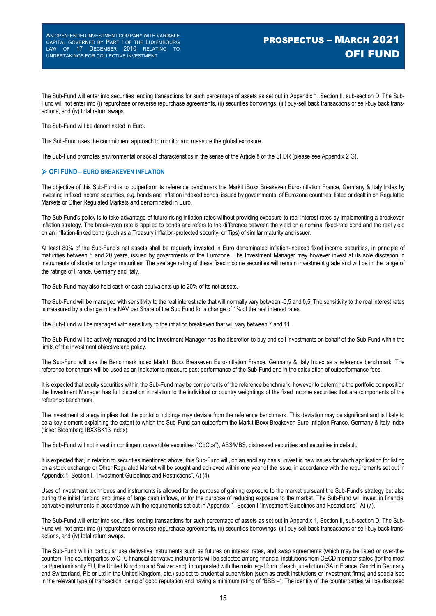The Sub-Fund will enter into securities lending transactions for such percentage of assets as set out in Appendix 1, Section II, sub-section D. The Sub-Fund will not enter into (i) repurchase or reverse repurchase agreements, (ii) securities borrowings, (iii) buy-sell back transactions or sell-buy back transactions, and (iv) total return swaps.

The Sub-Fund will be denominated in Euro.

This Sub-Fund uses the commitment approach to monitor and measure the global exposure.

The Sub-Fund promotes environmental or social characteristics in the sense of the Article 8 of the SFDR (please see Appendix 2 G).

#### **OFI FUND – EURO BREAKEVEN INFLATION**

The objective of this Sub-Fund is to outperform its reference benchmark the Markit iBoxx Breakeven Euro-Inflation France, Germany & Italy Index by investing in fixed income securities, *e.g.* bonds and inflation indexed bonds, issued by governments, of Eurozone countries, listed or dealt in on Regulated Markets or Other Regulated Markets and denominated in Euro.

The Sub-Fund's policy is to take advantage of future rising inflation rates without providing exposure to real interest rates by implementing a breakeven inflation strategy. The break-even rate is applied to bonds and refers to the difference between the yield on a nominal fixed-rate bond and the real yield on an inflation-linked bond (such as a Treasury inflation-protected security, or Tips) of similar maturity and issuer.

At least 80% of the Sub-Fund's net assets shall be regularly invested in Euro denominated inflation-indexed fixed income securities, in principle of maturities between 5 and 20 years, issued by governments of the Eurozone. The Investment Manager may however invest at its sole discretion in instruments of shorter or longer maturities. The average rating of these fixed income securities will remain investment grade and will be in the range of the ratings of France, Germany and Italy.

The Sub-Fund may also hold cash or cash equivalents up to 20% of its net assets.

The Sub-Fund will be managed with sensitivity to the real interest rate that will normally vary between -0,5 and 0,5. The sensitivity to the real interest rates is measured by a change in the NAV per Share of the Sub Fund for a change of 1% of the real interest rates.

The Sub-Fund will be managed with sensitivity to the inflation breakeven that will vary between 7 and 11.

The Sub-Fund will be actively managed and the Investment Manager has the discretion to buy and sell investments on behalf of the Sub-Fund within the limits of the investment objective and policy.

The Sub-Fund will use the Benchmark index Markit iBoxx Breakeven Euro-Inflation France, Germany & Italy Index as a reference benchmark. The reference benchmark will be used as an indicator to measure past performance of the Sub-Fund and in the calculation of outperformance fees.

It is expected that equity securities within the Sub-Fund may be components of the reference benchmark, however to determine the portfolio composition the Investment Manager has full discretion in relation to the individual or country weightings of the fixed income securities that are components of the reference benchmark.

The investment strategy implies that the portfolio holdings may deviate from the reference benchmark. This deviation may be significant and is likely to be a key element explaining the extent to which the Sub-Fund can outperform the Markit iBoxx Breakeven Euro-Inflation France, Germany & Italy Index (ticker Bloomberg IBXXBK13 Index).

The Sub-Fund will not invest in contingent convertible securities ("CoCos"), ABS/MBS, distressed securities and securities in default.

It is expected that, in relation to securities mentioned above, this Sub-Fund will, on an ancillary basis, invest in new issues for which application for listing on a stock exchange or Other Regulated Market will be sought and achieved within one year of the issue, in accordance with the requirements set out in Appendix 1, Section I, "Investment Guidelines and Restrictions", A) (4).

Uses of investment techniques and instruments is allowed for the purpose of gaining exposure to the market pursuant the Sub-Fund's strategy but also during the initial funding and times of large cash inflows, or for the purpose of reducing exposure to the market. The Sub-Fund will invest in financial derivative instruments in accordance with the requirements set out in Appendix 1, Section I "Investment Guidelines and Restrictions", A) (7).

The Sub-Fund will enter into securities lending transactions for such percentage of assets as set out in Appendix 1, Section II, sub-section D. The Sub-Fund will not enter into (i) repurchase or reverse repurchase agreements, (ii) securities borrowings, (iii) buy-sell back transactions or sell-buy back transactions, and (iv) total return swaps.

The Sub-Fund will in particular use derivative instruments such as futures on interest rates, and swap agreements (which may be listed or over-thecounter). The counterparties to OTC financial derivative instruments will be selected among financial institutions from OECD member states (for the most part/predominantly EU, the United Kingdom and Switzerland), incorporated with the main legal form of each jurisdiction (SA in France, GmbH in Germany and Switzerland, Plc or Ltd in the United Kingdom, etc.) subject to prudential supervision (such as credit institutions or investment firms) and specialised in the relevant type of transaction, being of good reputation and having a minimum rating of "BBB –". The identity of the counterparties will be disclosed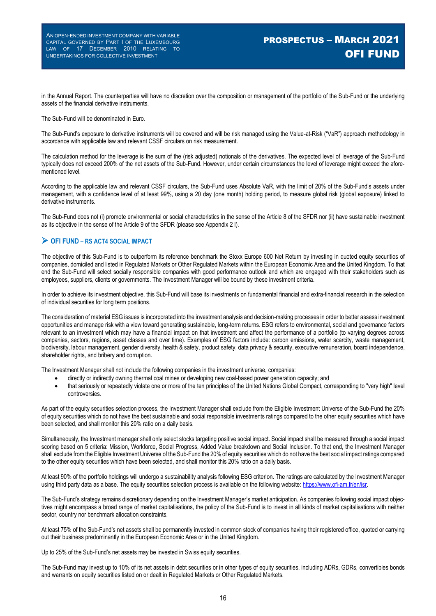in the Annual Report. The counterparties will have no discretion over the composition or management of the portfolio of the Sub-Fund or the underlying assets of the financial derivative instruments.

The Sub-Fund will be denominated in Euro.

The Sub-Fund's exposure to derivative instruments will be covered and will be risk managed using the Value-at-Risk ("VaR") approach methodology in accordance with applicable law and relevant CSSF circulars on risk measurement.

The calculation method for the leverage is the sum of the (risk adjusted) notionals of the derivatives. The expected level of leverage of the Sub-Fund typically does not exceed 200% of the net assets of the Sub-Fund. However, under certain circumstances the level of leverage might exceed the aforementioned level.

According to the applicable law and relevant CSSF circulars, the Sub-Fund uses Absolute VaR, with the limit of 20% of the Sub-Fund's assets under management, with a confidence level of at least 99%, using a 20 day (one month) holding period, to measure global risk (global exposure) linked to derivative instruments.

The Sub-Fund does not (i) promote environmental or social characteristics in the sense of the Article 8 of the SFDR nor (ii) have sustainable investment as its objective in the sense of the Article 9 of the SFDR (please see Appendix 2 I).

### **OFI FUND – RS ACT4 SOCIAL IMPACT**

The objective of this Sub-Fund is to outperform its reference benchmark the Stoxx Europe 600 Net Return by investing in quoted equity securities of companies, domiciled and listed in Regulated Markets or Other Regulated Markets within the European Economic Area and the United Kingdom. To that end the Sub-Fund will select socially responsible companies with good performance outlook and which are engaged with their stakeholders such as employees, suppliers, clients or governments. The Investment Manager will be bound by these investment criteria.

In order to achieve its investment objective, this Sub-Fund will base its investments on fundamental financial and extra-financial research in the selection of individual securities for long term positions.

The consideration of material ESG issues is incorporated into the investment analysis and decision-making processes in order to better assess investment opportunities and manage risk with a view toward generating sustainable, long-term returns. ESG refers to environmental, social and governance factors relevant to an investment which may have a financial impact on that investment and affect the performance of a portfolio (to varying degrees across companies, sectors, regions, asset classes and over time). Examples of ESG factors include: carbon emissions, water scarcity, waste management, biodiversity, labour management, gender diversity, health & safety, product safety, data privacy & security, executive remuneration, board independence, shareholder rights, and bribery and corruption.

The Investment Manager shall not include the following companies in the investment universe, companies:

- directly or indirectly owning thermal coal mines or developing new coal-based power generation capacity; and
- that seriously or repeatedly violate one or more of the ten principles of the United Nations Global Compact, corresponding to "very high" level controversies.

As part of the equity securities selection process, the Investment Manager shall exclude from the Eligible Investment Universe of the Sub-Fund the 20% of equity securities which do not have the best sustainable and social responsible investments ratings compared to the other equity securities which have been selected, and shall monitor this 20% ratio on a daily basis.

Simultaneously, the Investment manager shall only select stocks targeting positive social impact. Social impact shall be measured through a social impact scoring based on 5 criteria: Mission, Workforce, Social Progress, Added Value breakdown and Social Inclusion. To that end, the Investment Manager shall exclude from the Eligible Investment Universe of the Sub-Fund the 20% of equity securities which do not have the best social impact ratings compared to the other equity securities which have been selected, and shall monitor this 20% ratio on a daily basis.

At least 90% of the portfolio holdings will undergo a sustainability analysis following ESG criterion. The ratings are calculated by the Investment Manager using third party data as a base. The equity securities selection process is available on the following website: https://www.ofi-am.fr/en/isr.

The Sub-Fund's strategy remains discretionary depending on the Investment Manager's market anticipation. As companies following social impact objectives might encompass a broad range of market capitalisations, the policy of the Sub-Fund is to invest in all kinds of market capitalisations with neither sector, country nor benchmark allocation constraints.

At least 75% of the Sub-Fund's net assets shall be permanently invested in common stock of companies having their registered office, quoted or carrying out their business predominantly in the European Economic Area or in the United Kingdom.

Up to 25% of the Sub-Fund's net assets may be invested in Swiss equity securities.

The Sub-Fund may invest up to 10% of its net assets in debt securities or in other types of equity securities, including ADRs, GDRs, convertibles bonds and warrants on equity securities listed on or dealt in Regulated Markets or Other Regulated Markets.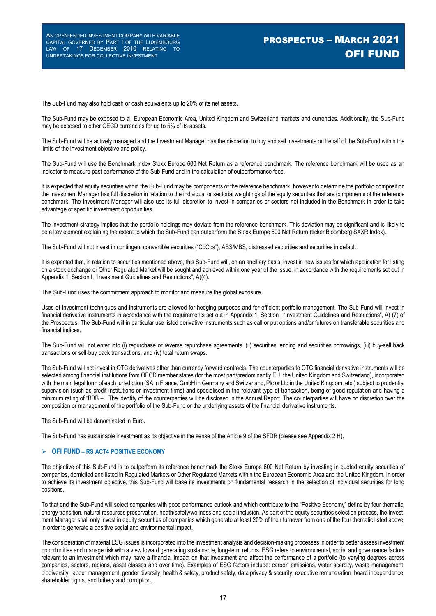The Sub-Fund may also hold cash or cash equivalents up to 20% of its net assets.

The Sub-Fund may be exposed to all European Economic Area, United Kingdom and Switzerland markets and currencies. Additionally, the Sub-Fund may be exposed to other OECD currencies for up to 5% of its assets.

The Sub-Fund will be actively managed and the Investment Manager has the discretion to buy and sell investments on behalf of the Sub-Fund within the limits of the investment objective and policy.

The Sub-Fund will use the Benchmark index Stoxx Europe 600 Net Return as a reference benchmark. The reference benchmark will be used as an indicator to measure past performance of the Sub-Fund and in the calculation of outperformance fees.

It is expected that equity securities within the Sub-Fund may be components of the reference benchmark, however to determine the portfolio composition the Investment Manager has full discretion in relation to the individual or sectorial weightings of the equity securities that are components of the reference benchmark. The Investment Manager will also use its full discretion to invest in companies or sectors not included in the Benchmark in order to take advantage of specific investment opportunities.

The investment strategy implies that the portfolio holdings may deviate from the reference benchmark. This deviation may be significant and is likely to be a key element explaining the extent to which the Sub-Fund can outperform the Stoxx Europe 600 Net Return (ticker Bloomberg SXXR Index).

The Sub-Fund will not invest in contingent convertible securities ("CoCos"), ABS/MBS, distressed securities and securities in default.

It is expected that, in relation to securities mentioned above, this Sub-Fund will, on an ancillary basis, invest in new issues for which application for listing on a stock exchange or Other Regulated Market will be sought and achieved within one year of the issue, in accordance with the requirements set out in Appendix 1, Section I, "Investment Guidelines and Restrictions", A)(4).

This Sub-Fund uses the commitment approach to monitor and measure the global exposure.

Uses of investment techniques and instruments are allowed for hedging purposes and for efficient portfolio management. The Sub-Fund will invest in financial derivative instruments in accordance with the requirements set out in Appendix 1, Section I "Investment Guidelines and Restrictions", A) (7) of the Prospectus. The Sub-Fund will in particular use listed derivative instruments such as call or put options and/or futures on transferable securities and financial indices.

The Sub-Fund will not enter into (i) repurchase or reverse repurchase agreements, (ii) securities lending and securities borrowings, (iii) buy-sell back transactions or sell-buy back transactions, and (iv) total return swaps.

The Sub-Fund will not invest in OTC derivatives other than currency forward contracts. The counterparties to OTC financial derivative instruments will be selected among financial institutions from OECD member states (for the most part/predominantly EU, the United Kingdom and Switzerland), incorporated with the main legal form of each jurisdiction (SA in France, GmbH in Germany and Switzerland, Plc or Ltd in the United Kingdom, etc.) subject to prudential supervision (such as credit institutions or investment firms) and specialised in the relevant type of transaction, being of good reputation and having a minimum rating of "BBB –". The identity of the counterparties will be disclosed in the Annual Report. The counterparties will have no discretion over the composition or management of the portfolio of the Sub-Fund or the underlying assets of the financial derivative instruments.

The Sub-Fund will be denominated in Euro.

The Sub-Fund has sustainable investment as its objective in the sense of the Article 9 of the SFDR (please see Appendix 2 H).

#### **OFI FUND – RS ACT4 POSITIVE ECONOMY**

The objective of this Sub-Fund is to outperform its reference benchmark the Stoxx Europe 600 Net Return by investing in quoted equity securities of companies, domiciled and listed in Regulated Markets or Other Regulated Markets within the European Economic Area and the United Kingdom. In order to achieve its investment objective, this Sub-Fund will base its investments on fundamental research in the selection of individual securities for long positions.

To that end the Sub-Fund will select companies with good performance outlook and which contribute to the "Positive Economy" define by four thematic, energy transition, natural resources preservation, heath/safety/wellness and social inclusion. As part of the equity securities selection process, the Investment Manager shall only invest in equity securities of companies which generate at least 20% of their turnover from one of the four thematic listed above, in order to generate a positive social and environmental impact.

The consideration of material ESG issues is incorporated into the investment analysis and decision-making processes in order to better assess investment opportunities and manage risk with a view toward generating sustainable, long-term returns. ESG refers to environmental, social and governance factors relevant to an investment which may have a financial impact on that investment and affect the performance of a portfolio (to varying degrees across companies, sectors, regions, asset classes and over time). Examples of ESG factors include: carbon emissions, water scarcity, waste management, biodiversity, labour management, gender diversity, health & safety, product safety, data privacy & security, executive remuneration, board independence, shareholder rights, and bribery and corruption.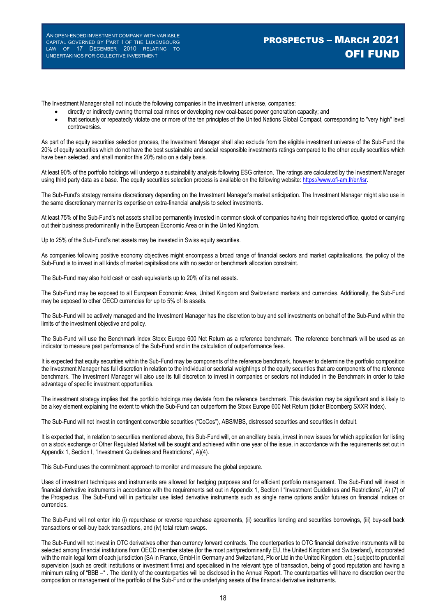# PROSPECTUS – MARCH 2021 OFI FUND

The Investment Manager shall not include the following companies in the investment universe, companies:

- directly or indirectly owning thermal coal mines or developing new coal-based power generation capacity; and
- that seriously or repeatedly violate one or more of the ten principles of the United Nations Global Compact, corresponding to "very high" level controversies.

As part of the equity securities selection process, the Investment Manager shall also exclude from the eligible investment universe of the Sub-Fund the 20% of equity securities which do not have the best sustainable and social responsible investments ratings compared to the other equity securities which have been selected, and shall monitor this 20% ratio on a daily basis.

At least 90% of the portfolio holdings will undergo a sustainability analysis following ESG criterion. The ratings are calculated by the Investment Manager using third party data as a base. The equity securities selection process is available on the following website: https://www.ofi-am.fr/en/isr.

The Sub-Fund's strategy remains discretionary depending on the Investment Manager's market anticipation. The Investment Manager might also use in the same discretionary manner its expertise on extra-financial analysis to select investments.

At least 75% of the Sub-Fund's net assets shall be permanently invested in common stock of companies having their registered office, quoted or carrying out their business predominantly in the European Economic Area or in the United Kingdom.

Up to 25% of the Sub-Fund's net assets may be invested in Swiss equity securities.

As companies following positive economy objectives might encompass a broad range of financial sectors and market capitalisations, the policy of the Sub-Fund is to invest in all kinds of market capitalisations with no sector or benchmark allocation constraint.

The Sub-Fund may also hold cash or cash equivalents up to 20% of its net assets.

The Sub-Fund may be exposed to all European Economic Area, United Kingdom and Switzerland markets and currencies. Additionally, the Sub-Fund may be exposed to other OECD currencies for up to 5% of its assets.

The Sub-Fund will be actively managed and the Investment Manager has the discretion to buy and sell investments on behalf of the Sub-Fund within the limits of the investment objective and policy.

The Sub-Fund will use the Benchmark index Stoxx Europe 600 Net Return as a reference benchmark. The reference benchmark will be used as an indicator to measure past performance of the Sub-Fund and in the calculation of outperformance fees.

It is expected that equity securities within the Sub-Fund may be components of the reference benchmark, however to determine the portfolio composition the Investment Manager has full discretion in relation to the individual or sectorial weightings of the equity securities that are components of the reference benchmark. The Investment Manager will also use its full discretion to invest in companies or sectors not included in the Benchmark in order to take advantage of specific investment opportunities.

The investment strategy implies that the portfolio holdings may deviate from the reference benchmark. This deviation may be significant and is likely to be a key element explaining the extent to which the Sub-Fund can outperform the Stoxx Europe 600 Net Return (ticker Bloomberg SXXR Index).

The Sub-Fund will not invest in contingent convertible securities ("CoCos"), ABS/MBS, distressed securities and securities in default.

It is expected that, in relation to securities mentioned above, this Sub-Fund will, on an ancillary basis, invest in new issues for which application for listing on a stock exchange or Other Regulated Market will be sought and achieved within one year of the issue, in accordance with the requirements set out in Appendix 1, Section I, "Investment Guidelines and Restrictions", A)(4).

This Sub-Fund uses the commitment approach to monitor and measure the global exposure.

Uses of investment techniques and instruments are allowed for hedging purposes and for efficient portfolio management. The Sub-Fund will invest in financial derivative instruments in accordance with the requirements set out in Appendix 1, Section I "Investment Guidelines and Restrictions", A) (7) of the Prospectus. The Sub-Fund will in particular use listed derivative instruments such as single name options and/or futures on financial indices or currencies.

The Sub-Fund will not enter into (i) repurchase or reverse repurchase agreements, (ii) securities lending and securities borrowings, (iii) buy-sell back transactions or sell-buy back transactions, and (iv) total return swaps.

The Sub-Fund will not invest in OTC derivatives other than currency forward contracts. The counterparties to OTC financial derivative instruments will be selected among financial institutions from OECD member states (for the most part/predominantly EU, the United Kingdom and Switzerland), incorporated with the main legal form of each jurisdiction (SA in France, GmbH in Germany and Switzerland, Plc or Ltd in the United Kingdom, etc.) subject to prudential supervision (such as credit institutions or investment firms) and specialised in the relevant type of transaction, being of good reputation and having a minimum rating of "BBB –" . The identity of the counterparties will be disclosed in the Annual Report. The counterparties will have no discretion over the composition or management of the portfolio of the Sub-Fund or the underlying assets of the financial derivative instruments.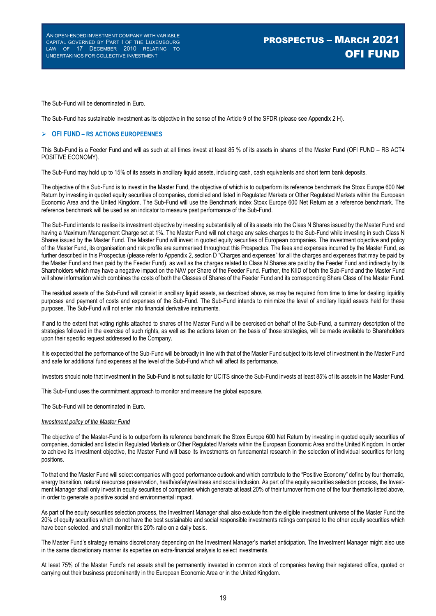The Sub-Fund will be denominated in Euro.

The Sub-Fund has sustainable investment as its objective in the sense of the Article 9 of the SFDR (please see Appendix 2 H).

#### **OFI FUND – RS ACTIONS EUROPEENNES**

This Sub-Fund is a Feeder Fund and will as such at all times invest at least 85 % of its assets in shares of the Master Fund (OFI FUND – RS ACT4 POSITIVE ECONOMY).

The Sub-Fund may hold up to 15% of its assets in ancillary liquid assets, including cash, cash equivalents and short term bank deposits.

The objective of this Sub-Fund is to invest in the Master Fund, the objective of which is to outperform its reference benchmark the Stoxx Europe 600 Net Return by investing in quoted equity securities of companies, domiciled and listed in Regulated Markets or Other Regulated Markets within the European Economic Area and the United Kingdom. The Sub-Fund will use the Benchmark index Stoxx Europe 600 Net Return as a reference benchmark. The reference benchmark will be used as an indicator to measure past performance of the Sub-Fund.

The Sub-Fund intends to realise its investment objective by investing substantially all of its assets into the Class N Shares issued by the Master Fund and having a Maximum Management Charge set at 1%. The Master Fund will not charge any sales charges to the Sub-Fund while investing in such Class N Shares issued by the Master Fund. The Master Fund will invest in quoted equity securities of European companies. The investment objective and policy of the Master Fund, its organisation and risk profile are summarised throughout this Prospectus. The fees and expenses incurred by the Master Fund, as further described in this Prospectus (please refer to Appendix 2, section D "Charges and expenses" for all the charges and expenses that may be paid by the Master Fund and then paid by the Feeder Fund), as well as the charges related to Class N Shares are paid by the Feeder Fund and indirectly by its Shareholders which may have a negative impact on the NAV per Share of the Feeder Fund. Further, the KIID of both the Sub-Fund and the Master Fund will show information which combines the costs of both the Classes of Shares of the Feeder Fund and its corresponding Share Class of the Master Fund.

The residual assets of the Sub-Fund will consist in ancillary liquid assets, as described above, as may be required from time to time for dealing liquidity purposes and payment of costs and expenses of the Sub-Fund. The Sub-Fund intends to minimize the level of ancillary liquid assets held for these purposes. The Sub-Fund will not enter into financial derivative instruments.

If and to the extent that voting rights attached to shares of the Master Fund will be exercised on behalf of the Sub-Fund, a summary description of the strategies followed in the exercise of such rights, as well as the actions taken on the basis of those strategies, will be made available to Shareholders upon their specific request addressed to the Company.

It is expected that the performance of the Sub-Fund will be broadly in line with that of the Master Fund subject to its level of investment in the Master Fund and safe for additional fund expenses at the level of the Sub-Fund which will affect its performance.

Investors should note that investment in the Sub-Fund is not suitable for UCITS since the Sub-Fund invests at least 85% of its assets in the Master Fund.

This Sub-Fund uses the commitment approach to monitor and measure the global exposure.

The Sub-Fund will be denominated in Euro.

#### *Investment policy of the Master Fund*

The objective of the Master-Fund is to outperform its reference benchmark the Stoxx Europe 600 Net Return by investing in quoted equity securities of companies, domiciled and listed in Regulated Markets or Other Regulated Markets within the European Economic Area and the United Kingdom. In order to achieve its investment objective, the Master Fund will base its investments on fundamental research in the selection of individual securities for long positions.

To that end the Master Fund will select companies with good performance outlook and which contribute to the "Positive Economy" define by four thematic, energy transition, natural resources preservation, heath/safety/wellness and social inclusion. As part of the equity securities selection process, the Investment Manager shall only invest in equity securities of companies which generate at least 20% of their turnover from one of the four thematic listed above, in order to generate a positive social and environmental impact.

As part of the equity securities selection process, the Investment Manager shall also exclude from the eligible investment universe of the Master Fund the 20% of equity securities which do not have the best sustainable and social responsible investments ratings compared to the other equity securities which have been selected, and shall monitor this 20% ratio on a daily basis.

The Master Fund's strategy remains discretionary depending on the Investment Manager's market anticipation. The Investment Manager might also use in the same discretionary manner its expertise on extra-financial analysis to select investments.

At least 75% of the Master Fund's net assets shall be permanently invested in common stock of companies having their registered office, quoted or carrying out their business predominantly in the European Economic Area or in the United Kingdom.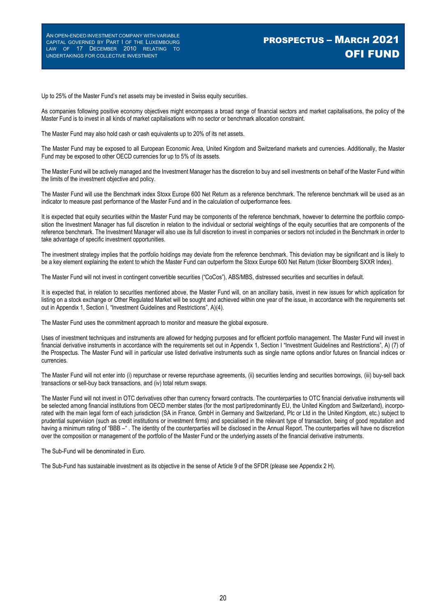Up to 25% of the Master Fund's net assets may be invested in Swiss equity securities.

As companies following positive economy objectives might encompass a broad range of financial sectors and market capitalisations, the policy of the Master Fund is to invest in all kinds of market capitalisations with no sector or benchmark allocation constraint.

The Master Fund may also hold cash or cash equivalents up to 20% of its net assets.

The Master Fund may be exposed to all European Economic Area, United Kingdom and Switzerland markets and currencies. Additionally, the Master Fund may be exposed to other OECD currencies for up to 5% of its assets.

The Master Fund will be actively managed and the Investment Manager has the discretion to buy and sell investments on behalf of the Master Fund within the limits of the investment objective and policy.

The Master Fund will use the Benchmark index Stoxx Europe 600 Net Return as a reference benchmark. The reference benchmark will be used as an indicator to measure past performance of the Master Fund and in the calculation of outperformance fees.

It is expected that equity securities within the Master Fund may be components of the reference benchmark, however to determine the portfolio composition the Investment Manager has full discretion in relation to the individual or sectorial weightings of the equity securities that are components of the reference benchmark. The Investment Manager will also use its full discretion to invest in companies or sectors not included in the Benchmark in order to take advantage of specific investment opportunities.

The investment strategy implies that the portfolio holdings may deviate from the reference benchmark. This deviation may be significant and is likely to be a key element explaining the extent to which the Master Fund can outperform the Stoxx Europe 600 Net Return (ticker Bloomberg SXXR Index).

The Master Fund will not invest in contingent convertible securities ("CoCos"), ABS/MBS, distressed securities and securities in default.

It is expected that, in relation to securities mentioned above, the Master Fund will, on an ancillary basis, invest in new issues for which application for listing on a stock exchange or Other Regulated Market will be sought and achieved within one year of the issue, in accordance with the requirements set out in Appendix 1, Section I, "Investment Guidelines and Restrictions", A)(4).

The Master Fund uses the commitment approach to monitor and measure the global exposure.

Uses of investment techniques and instruments are allowed for hedging purposes and for efficient portfolio management. The Master Fund will invest in financial derivative instruments in accordance with the requirements set out in Appendix 1, Section I "Investment Guidelines and Restrictions", A) (7) of the Prospectus. The Master Fund will in particular use listed derivative instruments such as single name options and/or futures on financial indices or currencies.

The Master Fund will not enter into (i) repurchase or reverse repurchase agreements, (ii) securities lending and securities borrowings, (iii) buy-sell back transactions or sell-buy back transactions, and (iv) total return swaps.

The Master Fund will not invest in OTC derivatives other than currency forward contracts. The counterparties to OTC financial derivative instruments will be selected among financial institutions from OECD member states (for the most part/predominantly EU, the United Kingdom and Switzerland), incorporated with the main legal form of each jurisdiction (SA in France, GmbH in Germany and Switzerland, Plc or Ltd in the United Kingdom, etc.) subject to prudential supervision (such as credit institutions or investment firms) and specialised in the relevant type of transaction, being of good reputation and having a minimum rating of "BBB -". The identity of the counterparties will be disclosed in the Annual Report. The counterparties will have no discretion over the composition or management of the portfolio of the Master Fund or the underlying assets of the financial derivative instruments.

The Sub-Fund will be denominated in Euro.

The Sub-Fund has sustainable investment as its objective in the sense of Article 9 of the SFDR (please see Appendix 2 H).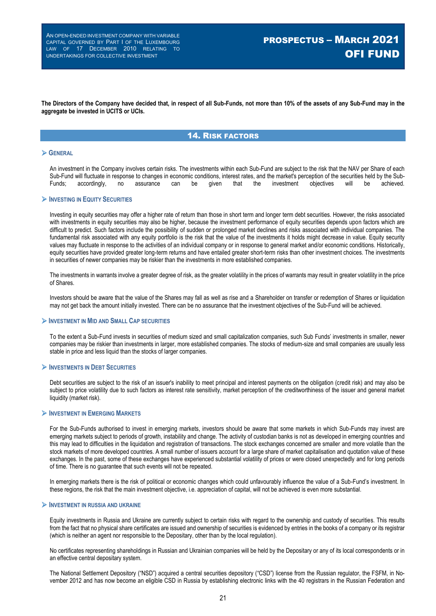**The Directors of the Company have decided that, in respect of all Sub-Funds, not more than 10% of the assets of any Sub-Fund may in the aggregate be invested in UCITS or UCIs.**

### 14. RISK FACTORS

#### **GENERAL**

An investment in the Company involves certain risks. The investments within each Sub-Fund are subject to the risk that the NAV per Share of each Sub-Fund will fluctuate in response to changes in economic conditions, interest rates, and the market's perception of the securities held by the Sub-<br>Funds: accordingly, no assurance can be given that the investment object Funds; accordingly, no assurance can be given that the investment objectives will be achieved.

#### **INVESTING IN EQUITY SECURITIES**

Investing in equity securities may offer a higher rate of return than those in short term and longer term debt securities. However, the risks associated with investments in equity securities may also be higher, because the investment performance of equity securities depends upon factors which are difficult to predict. Such factors include the possibility of sudden or prolonged market declines and risks associated with individual companies. The fundamental risk associated with any equity portfolio is the risk that the value of the investments it holds might decrease in value. Equity security values may fluctuate in response to the activities of an individual company or in response to general market and/or economic conditions. Historically, equity securities have provided greater long-term returns and have entailed greater short-term risks than other investment choices. The investments in securities of newer companies may be riskier than the investments in more established companies.

The investments in warrants involve a greater degree of risk, as the greater volatility in the prices of warrants may result in greater volatility in the price of Shares.

Investors should be aware that the value of the Shares may fall as well as rise and a Shareholder on transfer or redemption of Shares or liquidation may not get back the amount initially invested. There can be no assurance that the investment objectives of the Sub-Fund will be achieved.

#### **INVESTMENT IN MID AND SMALL CAP SECURITIES**

To the extent a Sub-Fund invests in securities of medium sized and small capitalization companies, such Sub Funds' investments in smaller, newer companies may be riskier than investments in larger, more established companies. The stocks of medium-size and small companies are usually less stable in price and less liquid than the stocks of larger companies.

#### **INVESTMENTS IN DEBT SECURITIES**

Debt securities are subject to the risk of an issuer's inability to meet principal and interest payments on the obligation (credit risk) and may also be subject to price volatility due to such factors as interest rate sensitivity, market perception of the creditworthiness of the issuer and general market liquidity (market risk).

#### **INVESTMENT IN EMERGING MARKETS**

For the Sub-Funds authorised to invest in emerging markets, investors should be aware that some markets in which Sub-Funds may invest are emerging markets subject to periods of growth, instability and change. The activity of custodian banks is not as developed in emerging countries and this may lead to difficulties in the liquidation and registration of transactions. The stock exchanges concerned are smaller and more volatile than the stock markets of more developed countries. A small number of issuers account for a large share of market capitalisation and quotation value of these exchanges. In the past, some of these exchanges have experienced substantial volatility of prices or were closed unexpectedly and for long periods of time. There is no guarantee that such events will not be repeated.

In emerging markets there is the risk of political or economic changes which could unfavourably influence the value of a Sub-Fund's investment. In these regions, the risk that the main investment objective, i.e. appreciation of capital, will not be achieved is even more substantial.

#### **INVESTMENT IN RUSSIA AND UKRAINE**

Equity investments in Russia and Ukraine are currently subject to certain risks with regard to the ownership and custody of securities. This results from the fact that no physical share certificates are issued and ownership of securities is evidenced by entries in the books of a company or its registrar (which is neither an agent nor responsible to the Depositary, other than by the local regulation).

No certificates representing shareholdings in Russian and Ukrainian companies will be held by the Depositary or any of its local correspondents or in an effective central depositary system.

The National Settlement Depository ("NSD") acquired a central securities depository ("CSD") license from the Russian regulator, the FSFM, in November 2012 and has now become an eligible CSD in Russia by establishing electronic links with the 40 registrars in the Russian Federation and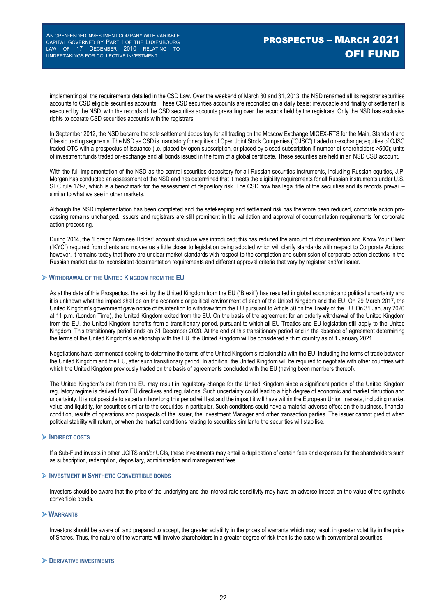implementing all the requirements detailed in the CSD Law. Over the weekend of March 30 and 31, 2013, the NSD renamed all its registrar securities accounts to CSD eligible securities accounts. These CSD securities accounts are reconciled on a daily basis; irrevocable and finality of settlement is executed by the NSD, with the records of the CSD securities accounts prevailing over the records held by the registrars. Only the NSD has exclusive rights to operate CSD securities accounts with the registrars.

In September 2012, the NSD became the sole settlement depository for all trading on the Moscow Exchange MICEX-RTS for the Main, Standard and Classic trading segments. The NSD as CSD is mandatory for equities of Open Joint Stock Companies ("OJSC") traded on-exchange; equities of OJSC traded OTC with a prospectus of issuance (i.e. placed by open subscription, or placed by closed subscription if number of shareholders >500); units of investment funds traded on-exchange and all bonds issued in the form of a global certificate. These securities are held in an NSD CSD account.

With the full implementation of the NSD as the central securities depository for all Russian securities instruments, including Russian equities, J.P. Morgan has conducted an assessment of the NSD and has determined that it meets the eligibility requirements for all Russian instruments under U.S. SEC rule 17f-7, which is a benchmark for the assessment of depository risk. The CSD now has legal title of the securities and its records prevail – similar to what we see in other markets.

Although the NSD implementation has been completed and the safekeeping and settlement risk has therefore been reduced, corporate action processing remains unchanged. Issuers and registrars are still prominent in the validation and approval of documentation requirements for corporate action processing.

During 2014, the "Foreign Nominee Holder" account structure was introduced; this has reduced the amount of documentation and Know Your Client ("KYC") required from clients and moves us a little closer to legislation being adopted which will clarify standards with respect to Corporate Actions; however, it remains today that there are unclear market standards with respect to the completion and submission of corporate action elections in the Russian market due to inconsistent documentation requirements and different approval criteria that vary by registrar and/or issuer.

#### **WITHDRAWAL OF THE UNITED KINGDOM FROM THE EU**

As at the date of this Prospectus, the exit by the United Kingdom from the EU ("Brexit") has resulted in global economic and political uncertainty and it is unknown what the impact shall be on the economic or political environment of each of the United Kingdom and the EU. On 29 March 2017, the United Kingdom's government gave notice of its intention to withdraw from the EU pursuant to Article 50 on the Treaty of the EU. On 31 January 2020 at 11 p.m. (London Time), the United Kingdom exited from the EU. On the basis of the agreement for an orderly withdrawal of the United Kingdom from the EU, the United Kingdom benefits from a transitionary period, pursuant to which all EU Treaties and EU legislation still apply to the United Kingdom. This transitionary period ends on 31 December 2020. At the end of this transitionary period and in the absence of agreement determining the terms of the United Kingdom's relationship with the EU, the United Kingdom will be considered a third country as of 1 January 2021.

Negotiations have commenced seeking to determine the terms of the United Kingdom's relationship with the EU, including the terms of trade between the United Kingdom and the EU, after such transitionary period. In addition, the United Kingdom will be required to negotiate with other countries with which the United Kingdom previously traded on the basis of agreements concluded with the EU (having been members thereof).

The United Kingdom's exit from the EU may result in regulatory change for the United Kingdom since a significant portion of the United Kingdom regulatory regime is derived from EU directives and regulations. Such uncertainty could lead to a high degree of economic and market disruption and uncertainty. It is not possible to ascertain how long this period will last and the impact it will have within the European Union markets, including market value and liquidity, for securities similar to the securities in particular. Such conditions could have a material adverse effect on the business, financial condition, results of operations and prospects of the issuer, the Investment Manager and other transaction parties. The issuer cannot predict when political stability will return, or when the market conditions relating to securities similar to the securities will stabilise.

#### **INDIRECT COSTS**

If a Sub-Fund invests in other UCITS and/or UCIs, these investments may entail a duplication of certain fees and expenses for the shareholders such as subscription, redemption, depositary, administration and management fees.

#### **INVESTMENT IN SYNTHETIC CONVERTIBLE BONDS**

Investors should be aware that the price of the underlying and the interest rate sensitivity may have an adverse impact on the value of the synthetic convertible bonds.

#### **WARRANTS**

Investors should be aware of, and prepared to accept, the greater volatility in the prices of warrants which may result in greater volatility in the price of Shares. Thus, the nature of the warrants will involve shareholders in a greater degree of risk than is the case with conventional securities.

#### **DERIVATIVE INVESTMENTS**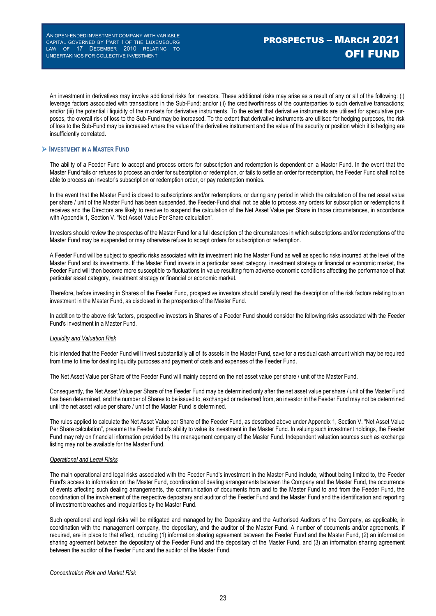An investment in derivatives may involve additional risks for investors. These additional risks may arise as a result of any or all of the following: (i) leverage factors associated with transactions in the Sub-Fund; and/or (ii) the creditworthiness of the counterparties to such derivative transactions; and/or (iii) the potential illiquidity of the markets for derivative instruments. To the extent that derivative instruments are utilised for speculative purposes, the overall risk of loss to the Sub-Fund may be increased. To the extent that derivative instruments are utilised for hedging purposes, the risk of loss to the Sub-Fund may be increased where the value of the derivative instrument and the value of the security or position which it is hedging are insufficiently correlated.

#### **INVESTMENT IN A MASTER FUND**

The ability of a Feeder Fund to accept and process orders for subscription and redemption is dependent on a Master Fund. In the event that the Master Fund fails or refuses to process an order for subscription or redemption, or fails to settle an order for redemption, the Feeder Fund shall not be able to process an investor's subscription or redemption order, or pay redemption monies.

In the event that the Master Fund is closed to subscriptions and/or redemptions, or during any period in which the calculation of the net asset value per share / unit of the Master Fund has been suspended, the Feeder-Fund shall not be able to process any orders for subscription or redemptions it receives and the Directors are likely to resolve to suspend the calculation of the Net Asset Value per Share in those circumstances, in accordance with Appendix 1, Section V. "Net Asset Value Per Share calculation".

Investors should review the prospectus of the Master Fund for a full description of the circumstances in which subscriptions and/or redemptions of the Master Fund may be suspended or may otherwise refuse to accept orders for subscription or redemption.

A Feeder Fund will be subject to specific risks associated with its investment into the Master Fund as well as specific risks incurred at the level of the Master Fund and its investments. If the Master Fund invests in a particular asset category, investment strategy or financial or economic market, the Feeder Fund will then become more susceptible to fluctuations in value resulting from adverse economic conditions affecting the performance of that particular asset category, investment strategy or financial or economic market.

Therefore, before investing in Shares of the Feeder Fund, prospective investors should carefully read the description of the risk factors relating to an investment in the Master Fund, as disclosed in the prospectus of the Master Fund.

In addition to the above risk factors, prospective investors in Shares of a Feeder Fund should consider the following risks associated with the Feeder Fund's investment in a Master Fund.

#### *Liquidity and Valuation Risk*

It is intended that the Feeder Fund will invest substantially all of its assets in the Master Fund, save for a residual cash amount which may be required from time to time for dealing liquidity purposes and payment of costs and expenses of the Feeder Fund.

The Net Asset Value per Share of the Feeder Fund will mainly depend on the net asset value per share / unit of the Master Fund.

Consequently, the Net Asset Value per Share of the Feeder Fund may be determined only after the net asset value per share / unit of the Master Fund has been determined, and the number of Shares to be issued to, exchanged or redeemed from, an investor in the Feeder Fund may not be determined until the net asset value per share / unit of the Master Fund is determined.

The rules applied to calculate the Net Asset Value per Share of the Feeder Fund, as described above under Appendix 1, Section V. "Net Asset Value Per Share calculation", presume the Feeder Fund's ability to value its investment in the Master Fund. In valuing such investment holdings, the Feeder Fund may rely on financial information provided by the management company of the Master Fund. Independent valuation sources such as exchange listing may not be available for the Master Fund.

#### *Operational and Legal Risks*

The main operational and legal risks associated with the Feeder Fund's investment in the Master Fund include, without being limited to, the Feeder Fund's access to information on the Master Fund, coordination of dealing arrangements between the Company and the Master Fund, the occurrence of events affecting such dealing arrangements, the communication of documents from and to the Master Fund to and from the Feeder Fund, the coordination of the involvement of the respective depositary and auditor of the Feeder Fund and the Master Fund and the identification and reporting of investment breaches and irregularities by the Master Fund.

Such operational and legal risks will be mitigated and managed by the Depositary and the Authorised Auditors of the Company, as applicable, in coordination with the management company, the depositary, and the auditor of the Master Fund. A number of documents and/or agreements, if required, are in place to that effect, including (1) information sharing agreement between the Feeder Fund and the Master Fund, (2) an information sharing agreement between the depositary of the Feeder Fund and the depositary of the Master Fund, and (3) an information sharing agreement between the auditor of the Feeder Fund and the auditor of the Master Fund.

#### *Concentration Risk and Market Risk*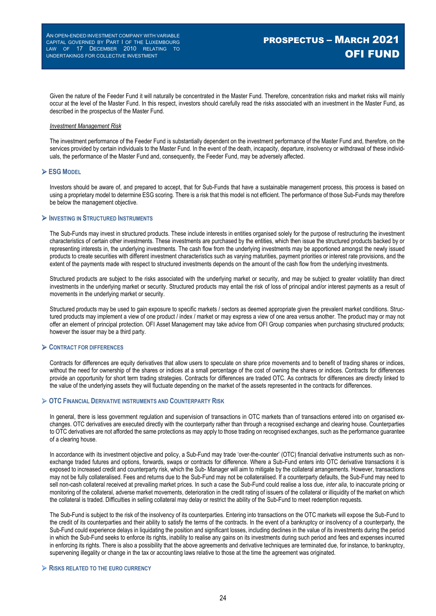Given the nature of the Feeder Fund it will naturally be concentrated in the Master Fund. Therefore, concentration risks and market risks will mainly occur at the level of the Master Fund. In this respect, investors should carefully read the risks associated with an investment in the Master Fund, as described in the prospectus of the Master Fund.

#### *Investment Management Risk*

The investment performance of the Feeder Fund is substantially dependent on the investment performance of the Master Fund and, therefore, on the services provided by certain individuals to the Master Fund. In the event of the death, incapacity, departure, insolvency or withdrawal of these individuals, the performance of the Master Fund and, consequently, the Feeder Fund, may be adversely affected.

#### **ESG MODEL**

Investors should be aware of, and prepared to accept, that for Sub-Funds that have a sustainable management process, this process is based on using a proprietary model to determine ESG scoring. There is a risk that this model is not efficient. The performance of those Sub-Funds may therefore be below the management objective.

#### **INVESTING IN STRUCTURED INSTRUMENTS**

The Sub-Funds may invest in structured products. These include interests in entities organised solely for the purpose of restructuring the investment characteristics of certain other investments. These investments are purchased by the entities, which then issue the structured products backed by or representing interests in, the underlying investments. The cash flow from the underlying investments may be apportioned amongst the newly issued products to create securities with different investment characteristics such as varying maturities, payment priorities or interest rate provisions, and the extent of the payments made with respect to structured investments depends on the amount of the cash flow from the underlying investments.

Structured products are subject to the risks associated with the underlying market or security, and may be subject to greater volatility than direct investments in the underlying market or security. Structured products may entail the risk of loss of principal and/or interest payments as a result of movements in the underlying market or security.

Structured products may be used to gain exposure to specific markets / sectors as deemed appropriate given the prevalent market conditions. Structured products may implement a view of one product / index / market or may express a view of one area versus another. The product may or may not offer an element of principal protection. OFI Asset Management may take advice from OFI Group companies when purchasing structured products; however the issuer may be a third party.

#### **CONTRACT FOR DIFFERENCES**

Contracts for differences are equity derivatives that allow users to speculate on share price movements and to benefit of trading shares or indices, without the need for ownership of the shares or indices at a small percentage of the cost of owning the shares or indices. Contracts for differences provide an opportunity for short term trading strategies. Contracts for differences are traded OTC. As contracts for differences are directly linked to the value of the underlying assets they will fluctuate depending on the market of the assets represented in the contracts for differences.

### **OTC FINANCIAL DERIVATIVE INSTRUMENTS AND COUNTERPARTY RISK**

In general, there is less government regulation and supervision of transactions in OTC markets than of transactions entered into on organised exchanges. OTC derivatives are executed directly with the counterparty rather than through a recognised exchange and clearing house. Counterparties to OTC derivatives are not afforded the same protections as may apply to those trading on recognised exchanges, such as the performance guarantee of a clearing house.

In accordance with its investment objective and policy, a Sub-Fund may trade 'over-the-counter' (OTC) financial derivative instruments such as nonexchange traded futures and options, forwards, swaps or contracts for difference. Where a Sub-Fund enters into OTC derivative transactions it is exposed to increased credit and counterparty risk, which the Sub- Manager will aim to mitigate by the collateral arrangements. However, transactions may not be fully collateralised. Fees and returns due to the Sub-Fund may not be collateralised. If a counterparty defaults, the Sub-Fund may need to sell non-cash collateral received at prevailing market prices. In such a case the Sub-Fund could realise a loss due, *inter alia*, to inaccurate pricing or monitoring of the collateral, adverse market movements, deterioration in the credit rating of issuers of the collateral or illiquidity of the market on which the collateral is traded. Difficulties in selling collateral may delay or restrict the ability of the Sub-Fund to meet redemption requests.

The Sub-Fund is subject to the risk of the insolvency of its counterparties. Entering into transactions on the OTC markets will expose the Sub-Fund to the credit of its counterparties and their ability to satisfy the terms of the contracts. In the event of a bankruptcy or insolvency of a counterparty, the Sub-Fund could experience delays in liquidating the position and significant losses, including declines in the value of its investments during the period in which the Sub-Fund seeks to enforce its rights, inability to realise any gains on its investments during such period and fees and expenses incurred in enforcing its rights. There is also a possibility that the above agreements and derivative techniques are terminated due, for instance, to bankruptcy, supervening illegality or change in the tax or accounting laws relative to those at the time the agreement was originated.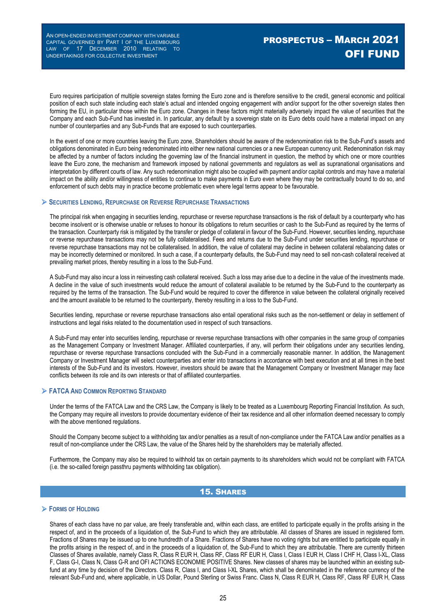Euro requires participation of multiple sovereign states forming the Euro zone and is therefore sensitive to the credit, general economic and political position of each such state including each state's actual and intended ongoing engagement with and/or support for the other sovereign states then forming the EU, in particular those within the Euro zone. Changes in these factors might materially adversely impact the value of securities that the Company and each Sub-Fund has invested in. In particular, any default by a sovereign state on its Euro debts could have a material impact on any number of counterparties and any Sub-Funds that are exposed to such counterparties.

In the event of one or more countries leaving the Euro zone, Shareholders should be aware of the redenomination risk to the Sub-Fund's assets and obligations denominated in Euro being redenominated into either new national currencies or a new European currency unit. Redenomination risk may be affected by a number of factors including the governing law of the financial instrument in question, the method by which one or more countries leave the Euro zone, the mechanism and framework imposed by national governments and regulators as well as supranational organisations and interpretation by different courts of law. Any such redenomination might also be coupled with payment and/or capital controls and may have a material impact on the ability and/or willingness of entities to continue to make payments in Euro even where they may be contractually bound to do so, and enforcement of such debts may in practice become problematic even where legal terms appear to be favourable.

#### **SECURITIES LENDING, REPURCHASE OR REVERSE REPURCHASE TRANSACTIONS**

The principal risk when engaging in securities lending, repurchase or reverse repurchase transactions is the risk of default by a counterparty who has become insolvent or is otherwise unable or refuses to honour its obligations to return securities or cash to the Sub-Fund as required by the terms of the transaction. Counterparty risk is mitigated by the transfer or pledge of collateral in favour of the Sub-Fund. However, securities lending, repurchase or reverse repurchase transactions may not be fully collateralised. Fees and returns due to the Sub-Fund under securities lending, repurchase or reverse repurchase transactions may not be collateralised. In addition, the value of collateral may decline in between collateral rebalancing dates or may be incorrectly determined or monitored. In such a case, if a counterparty defaults, the Sub-Fund may need to sell non-cash collateral received at prevailing market prices, thereby resulting in a loss to the Sub-Fund.

A Sub-Fund may also incur a loss in reinvesting cash collateral received. Such a loss may arise due to a decline in the value of the investments made. A decline in the value of such investments would reduce the amount of collateral available to be returned by the Sub-Fund to the counterparty as required by the terms of the transaction. The Sub-Fund would be required to cover the difference in value between the collateral originally received and the amount available to be returned to the counterparty, thereby resulting in a loss to the Sub-Fund.

Securities lending, repurchase or reverse repurchase transactions also entail operational risks such as the non-settlement or delay in settlement of instructions and legal risks related to the documentation used in respect of such transactions.

A Sub-Fund may enter into securities lending, repurchase or reverse repurchase transactions with other companies in the same group of companies as the Management Company or Investment Manager. Affiliated counterparties, if any, will perform their obligations under any securities lending, repurchase or reverse repurchase transactions concluded with the Sub-Fund in a commercially reasonable manner. In addition, the Management Company or Investment Manager will select counterparties and enter into transactions in accordance with best execution and at all times in the best interests of the Sub-Fund and its investors. However, investors should be aware that the Management Company or Investment Manager may face conflicts between its role and its own interests or that of affiliated counterparties.

#### **FATCA AND COMMON REPORTING STANDARD**

Under the terms of the FATCA Law and the CRS Law, the Company is likely to be treated as a Luxembourg Reporting Financial Institution. As such, the Company may require all investors to provide documentary evidence of their tax residence and all other information deemed necessary to comply with the above mentioned regulations.

Should the Company become subject to a withholding tax and/or penalties as a result of non-compliance under the FATCA Law and/or penalties as a result of non-compliance under the CRS Law, the value of the Shares held by the shareholders may be materially affected.

Furthermore, the Company may also be required to withhold tax on certain payments to its shareholders which would not be compliant with FATCA (i.e. the so-called foreign passthru payments withholding tax obligation).

### 15. SHARES

#### **FORMS OF HOLDING**

Shares of each class have no par value, are freely transferable and, within each class, are entitled to participate equally in the profits arising in the respect of, and in the proceeds of a liquidation of, the Sub-Fund to which they are attributable. All classes of Shares are issued in registered form. Fractions of Shares may be issued up to one hundredth of a Share. Fractions of Shares have no voting rights but are entitled to participate equally in the profits arising in the respect of, and in the proceeds of a liquidation of, the Sub-Fund to which they are attributable. There are currently thirteen Classes of Shares available, namely Class R, Class R EUR H, Class RF, Class RF EUR H, Class I, Class I EUR H, Class I CHF H, Class I-XL, Class F, Class G-I, Class N, Class G-R and OFI ACTIONS ECONOMIE POSITIVE Shares. New classes of shares may be launched within an existing subfund at any time by decision of the Directors. Class R, Class I, and Class I-XL Shares, which shall be denominated in the reference currency of the relevant Sub-Fund and, where applicable, in US Dollar, Pound Sterling or Swiss Franc. Class N, Class R EUR H, Class RF, Class RF EUR H, Class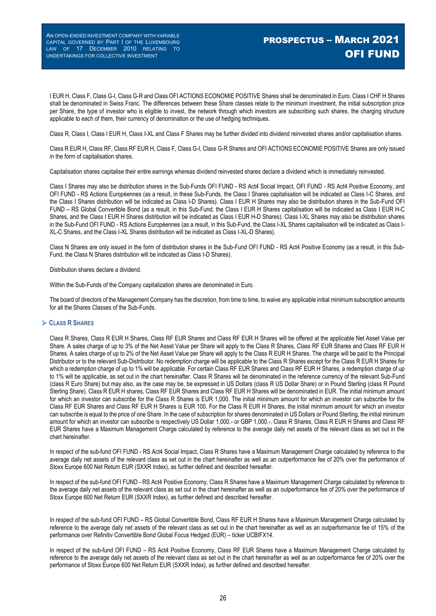I EUR H, Class F, Class G-I, Class G-R and Class OFI ACTIONS ECONOMIE POSITIVE Shares shall be denominated in Euro. Class I CHF H Shares shall be denominated in Swiss Franc. The differences between these Share classes relate to the minimum investment, the initial subscription price per Share, the type of investor who is eligible to invest, the network through which investors are subscribing such shares, the charging structure applicable to each of them, their currency of denomination or the use of hedging techniques.

Class R, Class I, Class I EUR H, Class I-XL and Class F Shares may be further divided into dividend reinvested shares and/or capitalisation shares.

Class R EUR H, Class RF, Class RF EUR H, Class F, Class G-I, Class G-R Shares and OFI ACTIONS ECONOMIE POSITIVE Shares are only issued in the form of capitalisation shares.

Capitalisation shares capitalise their entire earnings whereas dividend reinvested shares declare a dividend which is immediately reinvested.

Class I Shares may also be distribution shares in the Sub-Funds OFI FUND - RS Act4 Social Impact, OFI FUND - RS Act4 Positive Economy, and OFI FUND - RS Actions Européennes (as a result, in these Sub-Funds, the Class I Shares capitalisation will be indicated as Class I-C Shares, and the Class I Shares distribution will be indicated as Class I-D Shares). Class I EUR H Shares may also be distribution shares in the Sub-Fund OFI FUND – RS Global Convertible Bond (as a result, in this Sub-Fund, the Class I EUR H Shares capitalisation will be indicated as Class I EUR H-C Shares, and the Class I EUR H Shares distribution will be indicated as Class I EUR H-D Shares). Class I-XL Shares may also be distribution shares in the Sub-Fund OFI FUND - RS Actions Européennes (as a result, in this Sub-Fund, the Class I-XL Shares capitalisation will be indicated as Class I-XL-C Shares, and the Class I-XL Shares distribution will be indicated as Class I-XL-D Shares).

Class N Shares are only issued in the form of distribution shares in the Sub-Fund OFI FUND - RS Act4 Positive Economy (as a result, in this Sub-Fund, the Class N Shares distribution will be indicated as Class I-D Shares).

Distribution shares declare a dividend.

Within the Sub-Funds of the Company capitalization shares are denominated in Euro.

The board of directors of the Management Company has the discretion, from time to time, to waive any applicable initial minimum subscription amounts for all the Shares Classes of the Sub-Funds.

#### **CLASS R SHARES**

Class R Shares, Class R EUR H Shares, Class RF EUR Shares and Class RF EUR H Shares will be offered at the applicable Net Asset Value per Share. A sales charge of up to 3% of the Net Asset Value per Share will apply to the Class R Shares, Class RF EUR Shares and Class RF EUR H Shares. A sales charge of up to 2% of the Net Asset Value per Share will apply to the Class R EUR H Shares. The charge will be paid to the Principal Distributor or to the relevant Sub-Distributor. No redemption charge will be applicable to the Class R Shares except for the Class R EUR H Shares for which a redemption charge of up to 1% will be applicable. For certain Class RF EUR Shares and Class RF EUR H Shares, a redemption charge of up to 1% will be applicable, as set out in the chart hereinafter. Class R Shares will be denominated in the reference currency of the relevant Sub-Fund (class R Euro Share) but may also, as the case may be, be expressed in US Dollars (class R US Dollar Share) or in Pound Sterling (class R Pound Sterling Share). Class R EUR H shares, Class RF EUR Shares and Class RF EUR H Shares will be denominated in EUR. The initial minimum amount for which an investor can subscribe for the Class R Shares is EUR 1,000. The initial minimum amount for which an investor can subscribe for the Class RF EUR Shares and Class RF EUR H Shares is EUR 100. For the Class R EUR H Shares, the initial minimum amount for which an investor can subscribe is equal to the price of one Share. In the case of subscription for shares denominated in US Dollars or Pound Sterling, the initial minimum amount for which an investor can subscribe is respectively US Dollar 1,000.- or GBP 1,000.-. Class R Shares, Class R EUR H Shares and Class RF EUR Shares have a Maximum Management Charge calculated by reference to the average daily net assets of the relevant class as set out in the chart hereinafter.

In respect of the sub-fund OFI FUND - RS Act4 Social Impact, Class R Shares have a Maximum Management Charge calculated by reference to the average daily net assets of the relevant class as set out in the chart hereinafter as well as an outperformance fee of 20% over the performance of Stoxx Europe 600 Net Return EUR (SXXR Index), as further defined and described hereafter.

In respect of the sub-fund OFI FUND - RS Act4 Positive Economy, Class R Shares have a Maximum Management Charge calculated by reference to the average daily net assets of the relevant class as set out in the chart hereinafter as well as an outperformance fee of 20% over the performance of Stoxx Europe 600 Net Return EUR (SXXR Index), as further defined and described hereafter.

In respect of the sub-fund OFI FUND – RS Global Convertible Bond, Class RF EUR H Shares have a Maximum Management Charge calculated by reference to the average daily net assets of the relevant class as set out in the chart hereinafter as well as an outperformance fee of 15% of the performance over Refinitiv Convertible Bond Global Focus Hedged (EUR) – ticker UCBIFX14.

In respect of the sub-fund OFI FUND – RS Act4 Positive Economy, Class RF EUR Shares have a Maximum Management Charge calculated by reference to the average daily net assets of the relevant class as set out in the chart hereinafter as well as an outperformance fee of 20% over the performance of Stoxx Europe 600 Net Return EUR (SXXR Index), as further defined and described hereafter.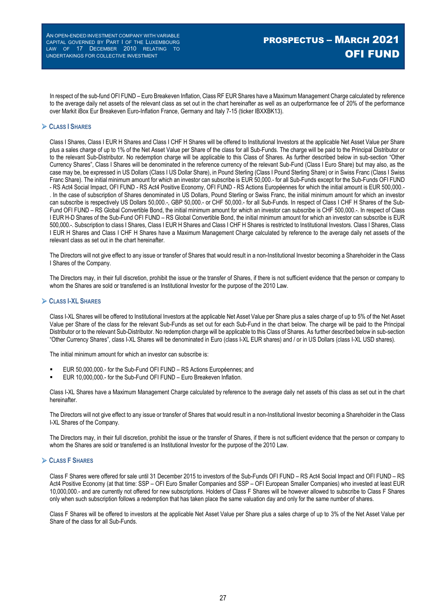In respect of the sub-fund OFI FUND – Euro Breakeven Inflation, Class RF EUR Shares have a Maximum Management Charge calculated by reference to the average daily net assets of the relevant class as set out in the chart hereinafter as well as an outperformance fee of 20% of the performance over Markit iBox Eur Breakeven Euro-Inflation France, Germany and Italy 7-15 (ticker IBXXBK13).

#### **CLASS I SHARES**

Class I Shares, Class I EUR H Shares and Class I CHF H Shares will be offered to Institutional Investors at the applicable Net Asset Value per Share plus a sales charge of up to 1% of the Net Asset Value per Share of the class for all Sub-Funds. The charge will be paid to the Principal Distributor or to the relevant Sub-Distributor. No redemption charge will be applicable to this Class of Shares. As further described below in sub-section "Other Currency Shares", Class I Shares will be denominated in the reference currency of the relevant Sub-Fund (Class I Euro Share) but may also, as the case may be, be expressed in US Dollars (Class I US Dollar Share), in Pound Sterling (Class I Pound Sterling Share) or in Swiss Franc (Class I Swiss Franc Share). The initial minimum amount for which an investor can subscribe is EUR 50,000.- for all Sub-Funds except for the Sub-Funds OFI FUND - RS Act4 Social Impact, OFI FUND - RS Act4 Positive Economy, OFI FUND - RS Actions Européennes for which the initial amount is EUR 500,000.-. In the case of subscription of Shares denominated in US Dollars, Pound Sterling or Swiss Franc, the initial minimum amount for which an investor can subscribe is respectively US Dollars 50,000.-, GBP 50,000.- or CHF 50,000.- for all Sub-Funds. In respect of Class I CHF H Shares of the Sub-Fund OFI FUND – RS Global Convertible Bond, the initial minimum amount for which an investor can subscribe is CHF 500,000.-. In respect of Class I EUR H-D Shares of the Sub-Fund OFI FUND – RS Global Convertible Bond, the initial minimum amount for which an investor can subscribe is EUR 500,000.-. Subscription to class I Shares, Class I EUR H Shares and Class I CHF H Shares is restricted to Institutional Investors. Class I Shares, Class I EUR H Shares and Class I CHF H Shares have a Maximum Management Charge calculated by reference to the average daily net assets of the relevant class as set out in the chart hereinafter.

The Directors will not give effect to any issue or transfer of Shares that would result in a non-Institutional Investor becoming a Shareholder in the Class I Shares of the Company.

The Directors may, in their full discretion, prohibit the issue or the transfer of Shares, if there is not sufficient evidence that the person or company to whom the Shares are sold or transferred is an Institutional Investor for the purpose of the 2010 Law.

#### **CLASS I-XL SHARES**

Class I-XL Shares will be offered to Institutional Investors at the applicable Net Asset Value per Share plus a sales charge of up to 5% of the Net Asset Value per Share of the class for the relevant Sub-Funds as set out for each Sub-Fund in the chart below. The charge will be paid to the Principal Distributor or to the relevant Sub-Distributor. No redemption charge will be applicable to this Class of Shares. As further described below in sub-section "Other Currency Shares", class I-XL Shares will be denominated in Euro (class I-XL EUR shares) and / or in US Dollars (class I-XL USD shares).

The initial minimum amount for which an investor can subscribe is:

- EUR 50,000,000.- for the Sub-Fund OFI FUND RS Actions Européennes; and
- EUR 10,000,000.- for the Sub-Fund OFI FUND Euro Breakeven Inflation.

Class I-XL Shares have a Maximum Management Charge calculated by reference to the average daily net assets of this class as set out in the chart hereinafter.

The Directors will not give effect to any issue or transfer of Shares that would result in a non-Institutional Investor becoming a Shareholder in the Class I-XL Shares of the Company.

The Directors may, in their full discretion, prohibit the issue or the transfer of Shares, if there is not sufficient evidence that the person or company to whom the Shares are sold or transferred is an Institutional Investor for the purpose of the 2010 Law.

### **CLASS F SHARES**

Class F Shares were offered for sale until 31 December 2015 to investors of the Sub-Funds OFI FUND – RS Act4 Social Impact and OFI FUND – RS Act4 Positive Economy (at that time: SSP – OFI Euro Smaller Companies and SSP – OFI European Smaller Companies) who invested at least EUR 10,000,000.- and are currently not offered for new subscriptions. Holders of Class F Shares will be however allowed to subscribe to Class F Shares only when such subscription follows a redemption that has taken place the same valuation day and only for the same number of shares.

Class F Shares will be offered to investors at the applicable Net Asset Value per Share plus a sales charge of up to 3% of the Net Asset Value per Share of the class for all Sub-Funds.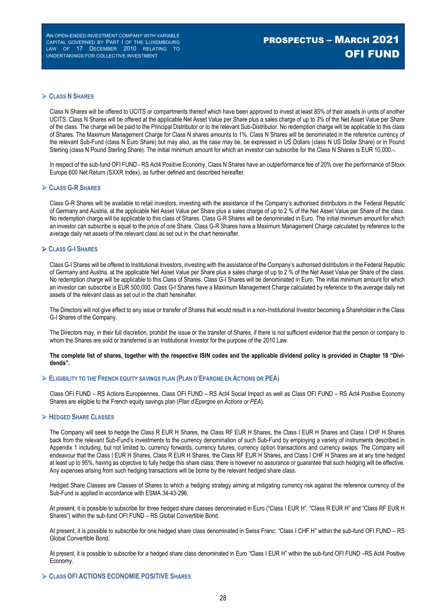# PROSPECTUS – MARCH 2021 OFI FUND

#### **CLASS N SHARES**

Class N Shares will be offered to UCITS or compartments thereof which have been approved to invest at least 85% of their assets in units of another UCITS. Class N Shares will be offered at the applicable Net Asset Value per Share plus a sales charge of up to 3% of the Net Asset Value per Share of the class. The charge will be paid to the Principal Distributor or to the relevant Sub-Distributor. No redemption charge will be applicable to this class of Shares. The Maximum Management Charge for Class N shares amounts to 1%. Class N Shares will be denominated in the reference currency of the relevant Sub-Fund (class N Euro Share) but may also, as the case may be, be expressed in US Dollars (class N US Dollar Share) or in Pound Sterling (class N Pound Sterling Share). The initial minimum amount for which an investor can subscribe for the Class N Shares is EUR 10,000.-

In respect of the sub-fund OFI FUND - RS Act4 Positive Economy, Class N Shares have an outperformance fee of 20% over the performance of Stoxx Europe 600 Net Return (SXXR Index), as further defined and described hereafter.

#### **CLASS G-R SHARES**

Class G-R Shares will be available to retail investors, investing with the assistance of the Company's authorised distributors in the Federal Republic of Germany and Austria, at the applicable Net Asset Value per Share plus a sales charge of up to 2 % of the Net Asset Value per Share of the class. No redemption charge will be applicable to this class of Shares. Class G-R Shares will be denominated in Euro. The initial minimum amount for which an investor can subscribe is equal to the price of one Share. Class G-R Shares have a Maximum Management Charge calculated by reference to the average daily net assets of the relevant class as set out in the chart hereinafter.

#### **CLASS G-I SHARES**

Class G-I Shares will be offered to Institutional Investors, investing with the assistance of the Company's authorised distributors in the Federal Republic of Germany and Austria, at the applicable Net Asset Value per Share plus a sales charge of up to 2 % of the Net Asset Value per Share of the class. No redemption charge will be applicable to this Class of Shares. Class G-I Shares will be denominated in Euro. The initial minimum amount for which an investor can subscribe is EUR 500,000. Class G-I Shares have a Maximum Management Charge calculated by reference to the average daily net assets of the relevant class as set out in the chart hereinafter.

The Directors will not give effect to any issue or transfer of Shares that would result in a non-Institutional Investor becoming a Shareholder in the Class G-I Shares of the Company.

The Directors may, in their full discretion, prohibit the issue or the transfer of Shares, if there is not sufficient evidence that the person or company to whom the Shares are sold or transferred is an Institutional Investor for the purpose of the 2010 Law.

#### **The complete list of shares, together with the respective ISIN codes and the applicable dividend policy is provided in Chapter 18 "Dividends".**

#### **ELIGIBILITY TO THE FRENCH EQUITY SAVINGS PLAN (PLAN D'EPARGNE EN ACTIONS OR PEA)**

Class OFI FUND – RS Actions Européennes, Class OFI FUND – RS Act4 Social Impact as well as Class OFI FUND – RS Act4 Positive Economy Shares are eligible to the French equity savings plan (*Plan d'Epargne en Actions or PEA*).

#### **HEDGED SHARE CLASSES**

The Company will seek to hedge the Class R EUR H Shares, the Class RF EUR H Shares, the Class I EUR H Shares and Class I CHF H Shares back from the relevant Sub-Fund's investments to the currency denomination of such Sub-Fund by employing a variety of instruments described in Appendix 1 including, but not limited to, currency forwards, currency futures, currency option transactions and currency swaps. The Company will endeavour that the Class I EUR H Shares, Class R EUR H Shares, the Class RF EUR H Shares, and Class I CHF H Shares are at any time hedged at least up to 95%, having as objective to fully hedge this share class; there is however no assurance or guarantee that such hedging will be effective. Any expenses arising from such hedging transactions will be borne by the relevant hedged share class.

Hedged Share Classes are Classes of Shares to which a hedging strategy aiming at mitigating currency risk against the reference currency of the Sub-Fund is applied in accordance with ESMA 34-43-296.

At present, it is possible to subscribe for three hedged share classes denominated in Euro ("Class I EUR H", "Class R EUR H" and "Class RF EUR H Shares") within the sub-fund OFI FUND – RS Global Convertible Bond.

At present, it is possible to subscribe for one hedged share class denominated in Swiss Franc: "Class I CHF H" within the sub-fund OFI FUND – RS Global Convertible Bond.

At present, it is possible to subscribe for a hedged share class denominated in Euro "Class I EUR H" within the sub-fund OFI FUND –RS Act4 Positive Economy.

#### **CLASS OFI ACTIONS ECONOMIE POSITIVE SHARES**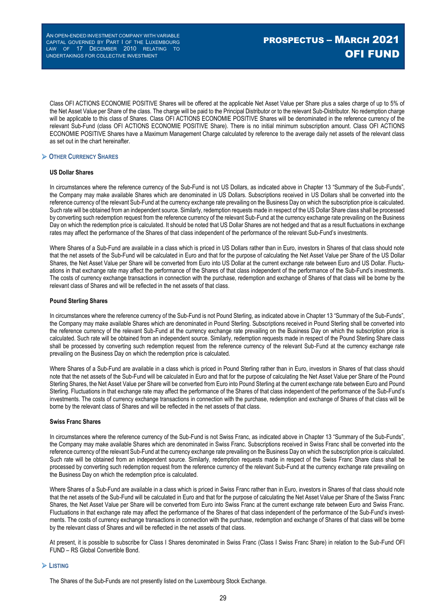Class OFI ACTIONS ECONOMIE POSITIVE Shares will be offered at the applicable Net Asset Value per Share plus a sales charge of up to 5% of the Net Asset Value per Share of the class. The charge will be paid to the Principal Distributor or to the relevant Sub-Distributor. No redemption charge will be applicable to this class of Shares. Class OFI ACTIONS ECONOMIE POSITIVE Shares will be denominated in the reference currency of the relevant Sub-Fund (class OFI ACTIONS ECONOMIE POSITIVE Share). There is no initial minimum subscription amount. Class OFI ACTIONS ECONOMIE POSITIVE Shares have a Maximum Management Charge calculated by reference to the average daily net assets of the relevant class as set out in the chart hereinafter.

### **OTHER CURRENCY SHARES**

#### **US Dollar Shares**

In circumstances where the reference currency of the Sub-Fund is not US Dollars, as indicated above in Chapter 13 "Summary of the Sub-Funds", the Company may make available Shares which are denominated in US Dollars. Subscriptions received in US Dollars shall be converted into the reference currency of the relevant Sub-Fund at the currency exchange rate prevailing on the Business Day on which the subscription price is calculated. Such rate will be obtained from an independent source. Similarly, redemption requests made in respect of the US Dollar Share class shall be processed by converting such redemption request from the reference currency of the relevant Sub-Fund at the currency exchange rate prevailing on the Business Day on which the redemption price is calculated. It should be noted that US Dollar Shares are not hedged and that as a result fluctuations in exchange rates may affect the performance of the Shares of that class independent of the performance of the relevant Sub-Fund's investments.

Where Shares of a Sub-Fund are available in a class which is priced in US Dollars rather than in Euro, investors in Shares of that class should note that the net assets of the Sub-Fund will be calculated in Euro and that for the purpose of calculating the Net Asset Value per Share of the US Dollar Shares, the Net Asset Value per Share will be converted from Euro into US Dollar at the current exchange rate between Euro and US Dollar. Fluctuations in that exchange rate may affect the performance of the Shares of that class independent of the performance of the Sub-Fund's investments. The costs of currency exchange transactions in connection with the purchase, redemption and exchange of Shares of that class will be borne by the relevant class of Shares and will be reflected in the net assets of that class.

#### **Pound Sterling Shares**

In circumstances where the reference currency of the Sub-Fund is not Pound Sterling, as indicated above in Chapter 13 "Summary of the Sub-Funds", the Company may make available Shares which are denominated in Pound Sterling. Subscriptions received in Pound Sterling shall be converted into the reference currency of the relevant Sub-Fund at the currency exchange rate prevailing on the Business Day on which the subscription price is calculated. Such rate will be obtained from an independent source. Similarly, redemption requests made in respect of the Pound Sterling Share class shall be processed by converting such redemption request from the reference currency of the relevant Sub-Fund at the currency exchange rate prevailing on the Business Day on which the redemption price is calculated.

Where Shares of a Sub-Fund are available in a class which is priced in Pound Sterling rather than in Euro, investors in Shares of that class should note that the net assets of the Sub-Fund will be calculated in Euro and that for the purpose of calculating the Net Asset Value per Share of the Pound Sterling Shares, the Net Asset Value per Share will be converted from Euro into Pound Sterling at the current exchange rate between Euro and Pound Sterling. Fluctuations in that exchange rate may affect the performance of the Shares of that class independent of the performance of the Sub-Fund's investments. The costs of currency exchange transactions in connection with the purchase, redemption and exchange of Shares of that class will be borne by the relevant class of Shares and will be reflected in the net assets of that class.

#### **Swiss Franc Shares**

In circumstances where the reference currency of the Sub-Fund is not Swiss Franc, as indicated above in Chapter 13 "Summary of the Sub-Funds", the Company may make available Shares which are denominated in Swiss Franc. Subscriptions received in Swiss Franc shall be converted into the reference currency of the relevant Sub-Fund at the currency exchange rate prevailing on the Business Day on which the subscription price is calculated. Such rate will be obtained from an independent source. Similarly, redemption requests made in respect of the Swiss Franc Share class shall be processed by converting such redemption request from the reference currency of the relevant Sub-Fund at the currency exchange rate prevailing on the Business Day on which the redemption price is calculated.

Where Shares of a Sub-Fund are available in a class which is priced in Swiss Franc rather than in Euro, investors in Shares of that class should note that the net assets of the Sub-Fund will be calculated in Euro and that for the purpose of calculating the Net Asset Value per Share of the Swiss Franc Shares, the Net Asset Value per Share will be converted from Euro into Swiss Franc at the current exchange rate between Euro and Swiss Franc. Fluctuations in that exchange rate may affect the performance of the Shares of that class independent of the performance of the Sub-Fund's investments. The costs of currency exchange transactions in connection with the purchase, redemption and exchange of Shares of that class will be borne by the relevant class of Shares and will be reflected in the net assets of that class.

At present, it is possible to subscribe for Class I Shares denominated in Swiss Franc (Class I Swiss Franc Share) in relation to the Sub-Fund OFI FUND – RS Global Convertible Bond.

#### **LISTING**

The Shares of the Sub-Funds are not presently listed on the Luxembourg Stock Exchange.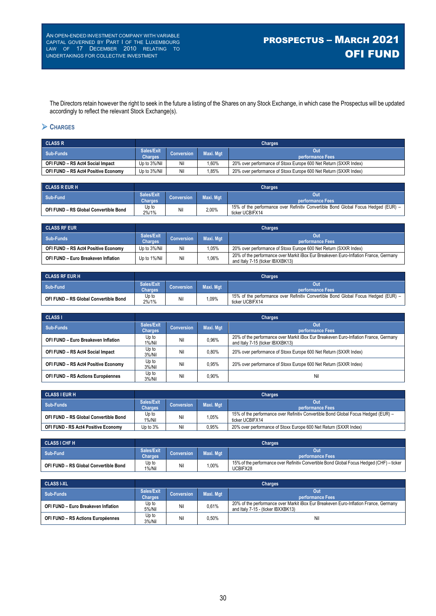The Directors retain however the right to seek in the future a listing of the Shares on any Stock Exchange, in which case the Prospectus will be updated accordingly to reflect the relevant Stock Exchange(s).

### **CHARGES**

| <b>CLASS R</b>                      | <b>Charges</b>               |             |           |                                                                  |  |  |
|-------------------------------------|------------------------------|-------------|-----------|------------------------------------------------------------------|--|--|
| Sub-Funds                           | Sales/Exit<br><b>Charges</b> | 'Conversion | Maxi. Mat | Out<br>performance Fees                                          |  |  |
| OFI FUND - RS Act4 Social Impact    | Up to 3%/Nil                 | Nil         | $.60\%$   | 20% over performance of Stoxx Europe 600 Net Return (SXXR Index) |  |  |
| OFI FUND - RS Act4 Positive Economy | Up to 3%/Nil                 | Nil         | .85%      | 20% over performance of Stoxx Europe 600 Net Return (SXXR Index) |  |  |

| <b>CLASS REUR H</b>                   | Charges                      |                   |           |                                                                                                       |  |  |
|---------------------------------------|------------------------------|-------------------|-----------|-------------------------------------------------------------------------------------------------------|--|--|
| Sub-Fund                              | Sales/Exit<br><b>Charges</b> | <b>Conversion</b> | Maxi. Mgt | Out<br>⊾performance Fees \                                                                            |  |  |
| OFI FUND - RS Global Convertible Bond | Up to<br>2%/1%               | Nil               | 2,00%     | 15% of the performance over Refinitiv Convertible Bond Global Focus Hedged (EUR) –<br>ticker UCBIFX14 |  |  |

| <b>CLASS RF EUR</b>                 | <b>Charges</b>               |                   |           |                                                                                                                          |  |  |
|-------------------------------------|------------------------------|-------------------|-----------|--------------------------------------------------------------------------------------------------------------------------|--|--|
| Sub-Funds                           | Sales/Exit<br><b>Charges</b> | <b>Conversion</b> | Maxi, Mat | Out<br>' performance Fees                                                                                                |  |  |
| OFI FUND - RS Act4 Positive Economy | Up to 3%/Nil                 | Nil               | 1.05%     | 20% over performance of Stoxx Europe 600 Net Return (SXXR Index)                                                         |  |  |
| OFI FUND - Euro Breakeven Inflation | Up to 1%/Nil                 | Nil               | .06%      | 20% of the performance over Markit iBox Eur Breakeven Euro-Inflation France, Germany<br>and Italy 7-15 (ticker IBXXBK13) |  |  |

| <b>CLASS RF EUR H</b>                 | <b>Charges</b>               |                   |                  |                                                                                                       |  |  |
|---------------------------------------|------------------------------|-------------------|------------------|-------------------------------------------------------------------------------------------------------|--|--|
| Sub-Fund                              | Sales/Exit<br><b>Charges</b> | <b>Conversion</b> | <b>Maxi. Mat</b> | Out<br>performance Fees                                                                               |  |  |
| OFI FUND - RS Global Convertible Bond | Up to<br>2%/1%               | Ni                | $,09\%$          | 15% of the performance over Refinitiv Convertible Bond Global Focus Hedged (EUR) –<br>ticker UCBIFX14 |  |  |

| <b>CLASS I</b>                      | <b>Charges</b>               |                   |           |                                                                                                                          |  |  |
|-------------------------------------|------------------------------|-------------------|-----------|--------------------------------------------------------------------------------------------------------------------------|--|--|
| Sub-Funds                           | Sales/Exit<br><b>Charges</b> | <b>Conversion</b> | Maxi. Mgt | Out<br>performance Fees                                                                                                  |  |  |
| OFI FUND - Euro Breakeven Inflation | Up to<br>$1\%$ /Nil          | Nil               | 0.96%     | 20% of the performance over Markit iBox Eur Breakeven Euro-Inflation France, Germany<br>and Italy 7-15 (ticker IBXXBK13) |  |  |
| OFI FUND - RS Act4 Social Impact    | Up to<br>$3\%/$ Nil          | Nil               | 0.80%     | 20% over performance of Stoxx Europe 600 Net Return (SXXR Index)                                                         |  |  |
| OFI FUND - RS Act4 Positive Economy | Up to<br>$3\%/$ Nil          | Nil               | 0.95%     | 20% over performance of Stoxx Europe 600 Net Return (SXXR Index)                                                         |  |  |
| OFI FUND - RS Actions Européennes   | Up to<br>$3\%/$ Nil          | Nil               | 0.90%     | Nil                                                                                                                      |  |  |

| <b>CLASS I EUR H</b>                  | <b>Charges</b>               |                   |           |                                                                                                       |  |  |
|---------------------------------------|------------------------------|-------------------|-----------|-------------------------------------------------------------------------------------------------------|--|--|
| Sub-Funds                             | Sales/Exit<br><b>Charges</b> | <b>Conversion</b> | Maxi. Mgt | Out<br><b>performance Fees</b>                                                                        |  |  |
| OFI FUND - RS Global Convertible Bond | Up to<br>1%/Nil              | Nil               | 1.05%     | 15% of the performance over Refinitiv Convertible Bond Global Focus Hedged (EUR) -<br>ticker UCBIFX14 |  |  |
| OFI FUND - RS Act4 Positive Economy   | Up to 3%                     | Nil               | 0.95%     | 20% over performance of Stoxx Europe 600 Net Return (SXXR Index)                                      |  |  |

| <b>CLASS I CHF H</b>                  | <b>Charges</b>               |                   |           |                                                                                                       |  |
|---------------------------------------|------------------------------|-------------------|-----------|-------------------------------------------------------------------------------------------------------|--|
| Sub-Fund                              | Sales/Exit<br><b>Charges</b> | <b>Conversion</b> | Maxi. Mgt | Out<br><b>Noerformance Fees</b>                                                                       |  |
| OFI FUND - RS Global Convertible Bond | Up to<br>$1\%$ /Nil          | Nil               | $,00\%$   | 15% of the performance over Refinitiv Convertible Bond Global Focus Hedged (CHF) – ticker<br>UCBIFX28 |  |

| <b>CLASS I-XL</b>                   | <b>Charges</b>               |                   |           |                                                                                                                            |  |
|-------------------------------------|------------------------------|-------------------|-----------|----------------------------------------------------------------------------------------------------------------------------|--|
| Sub-Funds                           | Sales/Exit<br><b>Charges</b> | <b>Conversion</b> | Maxi. Mat | Out<br>performance Fees                                                                                                    |  |
| OFI FUND - Euro Breakeven Inflation | Up to<br>5%/Nil              | Nil               | 0.61%     | 20% of the performance over Markit iBox Eur Breakeven Euro-Inflation France, Germany<br>and Italy 7-15 - (ticker IBXXBK13) |  |
| OFI FUND - RS Actions Européennes   | Up to<br>3%/Nil              | Nil               | $0.50\%$  | Ni                                                                                                                         |  |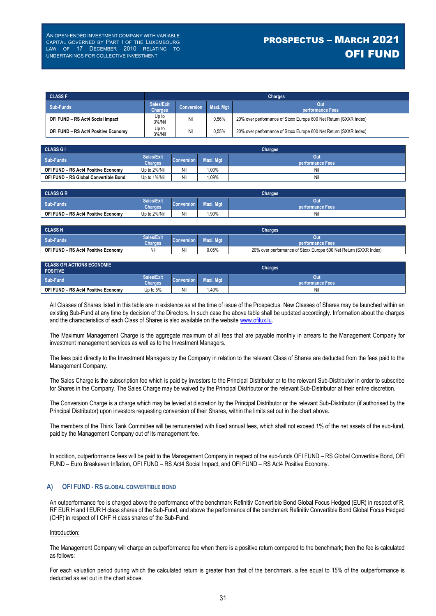# PROSPECTUS – MARCH 2021 OFI FUND

| <b>CLASS F</b>                      | <b>Charges</b>               |                   |           |                                                                  |  |
|-------------------------------------|------------------------------|-------------------|-----------|------------------------------------------------------------------|--|
| Sub-Funds                           | Sales/Exit<br><b>Charges</b> | <b>Conversion</b> | Maxi, Mat | Out<br>performance Fees                                          |  |
| OFI FUND - RS Act4 Social Impact    | Up to<br>3%/Nil              | Nil               | 0.56%     | 20% over performance of Stoxx Europe 600 Net Return (SXXR Index) |  |
| OFI FUND - RS Act4 Positive Economy | Up to<br>3%/Nil              | Nil               | 0.55%     | 20% over performance of Stoxx Europe 600 Net Return (SXXR Index) |  |

| <b>CLASS GI</b>                       | <b>Charges</b>               |                   |           |                         |  |  |  |
|---------------------------------------|------------------------------|-------------------|-----------|-------------------------|--|--|--|
| Sub-Funds                             | Sales/Exit<br><b>Charges</b> | <b>Conversion</b> | Maxi. Mgt | Out<br>performance Fees |  |  |  |
| OFI FUND - RS Act4 Positive Economy   | Up to 2%/Nil                 | Nil               | .00%      | Nil                     |  |  |  |
| OFI FUND - RS Global Convertible Bond | Up to 1%/Nil                 | Nil               | ,09%      | Nil                     |  |  |  |

| <b>CLASS G R</b>                    | <b>Charges</b>               |                                                           |      |     |  |
|-------------------------------------|------------------------------|-----------------------------------------------------------|------|-----|--|
| Sub-Funds                           | Sales/Exit<br><b>Charges</b> | Out<br><b>Conversion</b><br>Maxi. Mgt<br>performance Fees |      |     |  |
| OFI FUND - RS Act4 Positive Economy | Up to 2%/Nil                 | Nil                                                       | ,90% | Nil |  |

| <b>CLASS N</b>                      | <b>Charges</b>               |                                |       |                                                                  |
|-------------------------------------|------------------------------|--------------------------------|-------|------------------------------------------------------------------|
| Sub-Funds                           | Sales/Exit<br><b>Charges</b> | <b>Conversion</b><br>Maxi. Mgt |       | <b>performance Fees</b>                                          |
| OFI FUND - RS Act4 Positive Economy |                              | Nil                            | 0.05% | 20% over performance of Stoxx Europe 600 Net Return (SXXR Index) |

| <b>CLASS OFI ACTIONS ECONOMIE</b><br><b>POSITIVE</b> | <b>Charges</b>               |                         |           |                         |
|------------------------------------------------------|------------------------------|-------------------------|-----------|-------------------------|
| Sub-Fund                                             | Sales/Exit<br><b>Charges</b> | Conversion <sup>1</sup> | Maxi. Mgt | Out<br>performance Fees |
| OFI FUND - RS Act4 Positive Economy                  | Up to 5%                     | Nil                     | ,40%      | Nil                     |

All Classes of Shares listed in this table are in existence as at the time of issue of the Prospectus. New Classes of Shares may be launched within an existing Sub-Fund at any time by decision of the Directors. In such case the above table shall be updated accordingly. Information about the charges and the characteristics of each Class of Shares is also available on the website www.ofilux.lu.

The Maximum Management Charge is the aggregate maximum of all fees that are payable monthly in arrears to the Management Company for investment management services as well as to the Investment Managers.

The fees paid directly to the Investment Managers by the Company in relation to the relevant Class of Shares are deducted from the fees paid to the Management Company.

The Sales Charge is the subscription fee which is paid by investors to the Principal Distributor or to the relevant Sub-Distributor in order to subscribe for Shares in the Company. The Sales Charge may be waived by the Principal Distributor or the relevant Sub-Distributor at their entire discretion.

The Conversion Charge is a charge which may be levied at discretion by the Principal Distributor or the relevant Sub-Distributor (if authorised by the Principal Distributor) upon investors requesting conversion of their Shares, within the limits set out in the chart above.

The members of the Think Tank Committee will be remunerated with fixed annual fees, which shall not exceed 1% of the net assets of the sub-fund, paid by the Management Company out of its management fee.

In addition, outperformance fees will be paid to the Management Company in respect of the sub-funds OFI FUND – RS Global Convertible Bond, OFI FUND – Euro Breakeven Inflation, OFI FUND – RS Act4 Social Impact, and OFI FUND – RS Act4 Positive Economy.

### **A) OFI FUND - RS GLOBAL CONVERTIBLE BOND**

An outperformance fee is charged above the performance of the benchmark Refinitiv Convertible Bond Global Focus Hedged (EUR) in respect of R, RF EUR H and I EUR H class shares of the Sub-Fund, and above the performance of the benchmark Refinitiv Convertible Bond Global Focus Hedged (CHF) in respect of I CHF H class shares of the Sub-Fund.

#### Introduction:

The Management Company will charge an outperformance fee when there is a positive return compared to the benchmark; then the fee is calculated as follows:

For each valuation period during which the calculated return is greater than that of the benchmark, a fee equal to 15% of the outperformance is deducted as set out in the chart above.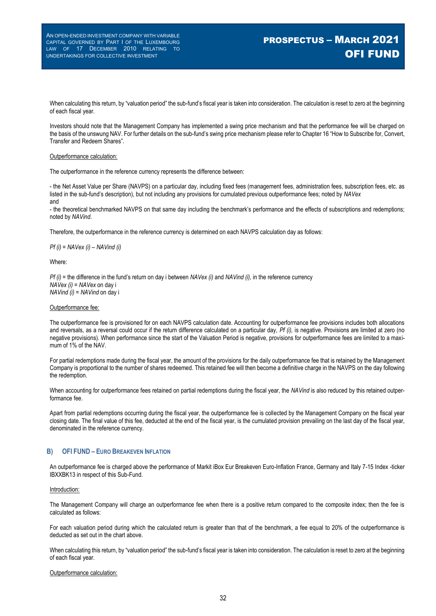# PROSPECTUS – MARCH 2021 OFI FUND

When calculating this return, by "valuation period" the sub-fund's fiscal year is taken into consideration. The calculation is reset to zero at the beginning of each fiscal year.

Investors should note that the Management Company has implemented a swing price mechanism and that the performance fee will be charged on the basis of the unswung NAV. For further details on the sub-fund's swing price mechanism please refer to Chapter 16 "How to Subscribe for, Convert, Transfer and Redeem Shares".

#### Outperformance calculation:

The outperformance in the reference currency represents the difference between:

- the Net Asset Value per Share (NAVPS) on a particular day, including fixed fees (management fees, administration fees, subscription fees, etc. as listed in the sub-fund's description), but not including any provisions for cumulated previous outperformance fees; noted by *NAVex* and

- the theoretical benchmarked NAVPS on that same day including the benchmark's performance and the effects of subscriptions and redemptions; noted by *NAVind*.

Therefore, the outperformance in the reference currency is determined on each NAVPS calculation day as follows:

*Pf (i) = NAVex (i) – NAVind (i)*

Where:

*Pf (i)* = the difference in the fund's return on day i between *NAVex (i)* and *NAVind (i),* in the reference currency *NAVex (i)* = *NAVex* on day i *NAVind (i)* = *NAVind* on day i

#### Outperformance fee:

The outperformance fee is provisioned for on each NAVPS calculation date. Accounting for outperformance fee provisions includes both allocations and reversals, as a reversal could occur if the return difference calculated on a particular day, *Pf (i),* is negative. Provisions are limited at zero (no negative provisions). When performance since the start of the Valuation Period is negative, provisions for outperformance fees are limited to a maximum of 1% of the NAV.

For partial redemptions made during the fiscal year, the amount of the provisions for the daily outperformance fee that is retained by the Management Company is proportional to the number of shares redeemed. This retained fee will then become a definitive charge in the NAVPS on the day following the redemption.

When accounting for outperformance fees retained on partial redemptions during the fiscal year, the *NAVind* is also reduced by this retained outperformance fee.

Apart from partial redemptions occurring during the fiscal year, the outperformance fee is collected by the Management Company on the fiscal year closing date. The final value of this fee, deducted at the end of the fiscal year, is the cumulated provision prevailing on the last day of the fiscal year, denominated in the reference currency.

#### **B) OFI FUND – EURO BREAKEVEN INFLATION**

An outperformance fee is charged above the performance of Markit iBox Eur Breakeven Euro-Inflation France, Germany and Italy 7-15 Index -ticker IBXXBK13 in respect of this Sub-Fund.

#### Introduction:

The Management Company will charge an outperformance fee when there is a positive return compared to the composite index; then the fee is calculated as follows:

For each valuation period during which the calculated return is greater than that of the benchmark, a fee equal to 20% of the outperformance is deducted as set out in the chart above.

When calculating this return, by "valuation period" the sub-fund's fiscal year is taken into consideration. The calculation is reset to zero at the beginning of each fiscal year.

#### Outperformance calculation: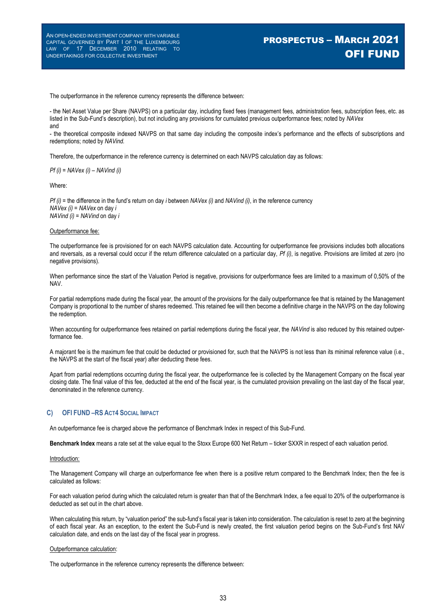# PROSPECTUS – MARCH 2021 OFI FUND

The outperformance in the reference currency represents the difference between:

- the Net Asset Value per Share (NAVPS) on a particular day, including fixed fees (management fees, administration fees, subscription fees, etc. as listed in the Sub-Fund's description), but not including any provisions for cumulated previous outperformance fees; noted by *NAVex* and

- the theoretical composite indexed NAVPS on that same day including the composite index's performance and the effects of subscriptions and redemptions; noted by *NAVind.*

Therefore, the outperformance in the reference currency is determined on each NAVPS calculation day as follows:

*Pf (i) = NAVex (i) – NAVind (i)*

Where:

*Pf (i)* = the difference in the fund's return on day *i* between *NAVex (i)* and *NAVind (i)*, in the reference currency *NAVex (i)* = *NAVex* on day *i NAVind (i)* = *NAVind* on day *i*

#### Outperformance fee:

The outperformance fee is provisioned for on each NAVPS calculation date. Accounting for outperformance fee provisions includes both allocations and reversals, as a reversal could occur if the return difference calculated on a particular day, *Pf (i)*, is negative. Provisions are limited at zero (no negative provisions).

When performance since the start of the Valuation Period is negative, provisions for outperformance fees are limited to a maximum of 0,50% of the NAV.

For partial redemptions made during the fiscal year, the amount of the provisions for the daily outperformance fee that is retained by the Management Company is proportional to the number of shares redeemed. This retained fee will then become a definitive charge in the NAVPS on the day following the redemption.

When accounting for outperformance fees retained on partial redemptions during the fiscal year, the *NAVind* is also reduced by this retained outperformance fee.

A majorant fee is the maximum fee that could be deducted or provisioned for, such that the NAVPS is not less than its minimal reference value (i.e., the NAVPS at the start of the fiscal year) after deducting these fees.

Apart from partial redemptions occurring during the fiscal year, the outperformance fee is collected by the Management Company on the fiscal year closing date. The final value of this fee, deducted at the end of the fiscal year, is the cumulated provision prevailing on the last day of the fiscal year, denominated in the reference currency.

### **C) OFI FUND –RS ACT4 SOCIAL IMPACT**

An outperformance fee is charged above the performance of Benchmark Index in respect of this Sub-Fund.

**Benchmark Index** means a rate set at the value equal to the Stoxx Europe 600 Net Return – ticker SXXR in respect of each valuation period.

#### Introduction:

The Management Company will charge an outperformance fee when there is a positive return compared to the Benchmark Index; then the fee is calculated as follows:

For each valuation period during which the calculated return is greater than that of the Benchmark Index, a fee equal to 20% of the outperformance is deducted as set out in the chart above.

When calculating this return, by "valuation period" the sub-fund's fiscal year is taken into consideration. The calculation is reset to zero at the beginning of each fiscal year. As an exception, to the extent the Sub-Fund is newly created, the first valuation period begins on the Sub-Fund's first NAV calculation date, and ends on the last day of the fiscal year in progress.

#### Outperformance calculation:

The outperformance in the reference currency represents the difference between: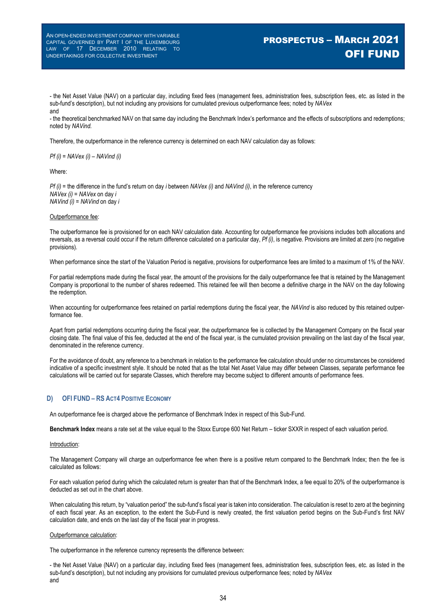# PROSPECTUS – MARCH 2021 OFI FUND

- the Net Asset Value (NAV) on a particular day, including fixed fees (management fees, administration fees, subscription fees, etc. as listed in the sub-fund's description), but not including any provisions for cumulated previous outperformance fees; noted by *NAVex* and

- the theoretical benchmarked NAV on that same day including the Benchmark Index's performance and the effects of subscriptions and redemptions; noted by *NAVind.*

Therefore, the outperformance in the reference currency is determined on each NAV calculation day as follows:

*Pf (i) = NAVex (i) – NAVind (i)*

Where:

*Pf (i)* = the difference in the fund's return on day *i* between *NAVex (i)* and *NAVind (i)*, in the reference currency *NAVex (i)* = *NAVex* on day *i NAVind (i)* = *NAVind* on day *i*

#### Outperformance fee:

The outperformance fee is provisioned for on each NAV calculation date. Accounting for outperformance fee provisions includes both allocations and reversals, as a reversal could occur if the return difference calculated on a particular day, *Pf (i)*, is negative. Provisions are limited at zero (no negative provisions).

When performance since the start of the Valuation Period is negative, provisions for outperformance fees are limited to a maximum of 1% of the NAV.

For partial redemptions made during the fiscal year, the amount of the provisions for the daily outperformance fee that is retained by the Management Company is proportional to the number of shares redeemed. This retained fee will then become a definitive charge in the NAV on the day following the redemption.

When accounting for outperformance fees retained on partial redemptions during the fiscal year, the *NAVind* is also reduced by this retained outperformance fee.

Apart from partial redemptions occurring during the fiscal year, the outperformance fee is collected by the Management Company on the fiscal year closing date. The final value of this fee, deducted at the end of the fiscal year, is the cumulated provision prevailing on the last day of the fiscal year, denominated in the reference currency.

For the avoidance of doubt, any reference to a benchmark in relation to the performance fee calculation should under no circumstances be considered indicative of a specific investment style. It should be noted that as the total Net Asset Value may differ between Classes, separate performance fee calculations will be carried out for separate Classes, which therefore may become subject to different amounts of performance fees.

#### **D) OFI FUND – RS ACT4 POSITIVE ECONOMY**

An outperformance fee is charged above the performance of Benchmark Index in respect of this Sub-Fund.

**Benchmark Index** means a rate set at the value equal to the Stoxx Europe 600 Net Return – ticker SXXR in respect of each valuation period.

#### Introduction:

The Management Company will charge an outperformance fee when there is a positive return compared to the Benchmark Index; then the fee is calculated as follows:

For each valuation period during which the calculated return is greater than that of the Benchmark Index, a fee equal to 20% of the outperformance is deducted as set out in the chart above.

When calculating this return, by "valuation period" the sub-fund's fiscal year is taken into consideration. The calculation is reset to zero at the beginning of each fiscal year. As an exception, to the extent the Sub-Fund is newly created, the first valuation period begins on the Sub-Fund's first NAV calculation date, and ends on the last day of the fiscal year in progress.

#### Outperformance calculation:

The outperformance in the reference currency represents the difference between:

- the Net Asset Value (NAV) on a particular day, including fixed fees (management fees, administration fees, subscription fees, etc. as listed in the sub-fund's description), but not including any provisions for cumulated previous outperformance fees; noted by *NAVex* and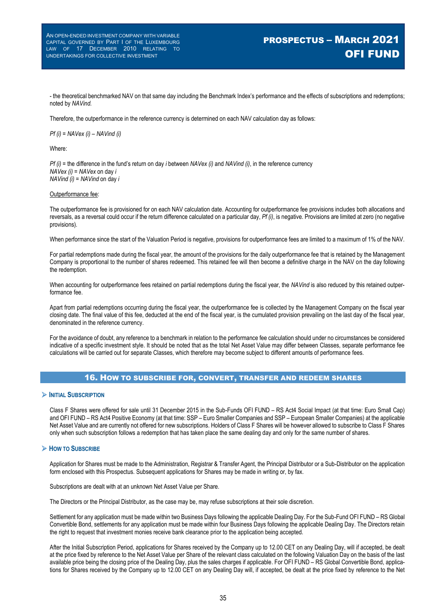# PROSPECTUS – MARCH 2021 OFI FUND

- the theoretical benchmarked NAV on that same day including the Benchmark Index's performance and the effects of subscriptions and redemptions; noted by *NAVind.*

Therefore, the outperformance in the reference currency is determined on each NAV calculation day as follows:

*Pf (i) = NAVex (i) – NAVind (i)*

Where:

*Pf (i)* = the difference in the fund's return on day *i* between *NAVex (i)* and *NAVind (i)*, in the reference currency *NAVex (i)* = *NAVex* on day *i NAVind (i)* = *NAVind* on day *i*

#### Outperformance fee:

The outperformance fee is provisioned for on each NAV calculation date. Accounting for outperformance fee provisions includes both allocations and reversals, as a reversal could occur if the return difference calculated on a particular day, *Pf (i)*, is negative. Provisions are limited at zero (no negative provisions).

When performance since the start of the Valuation Period is negative, provisions for outperformance fees are limited to a maximum of 1% of the NAV.

For partial redemptions made during the fiscal year, the amount of the provisions for the daily outperformance fee that is retained by the Management Company is proportional to the number of shares redeemed. This retained fee will then become a definitive charge in the NAV on the day following the redemption.

When accounting for outperformance fees retained on partial redemptions during the fiscal year, the *NAVind* is also reduced by this retained outperformance fee.

Apart from partial redemptions occurring during the fiscal year, the outperformance fee is collected by the Management Company on the fiscal year closing date. The final value of this fee, deducted at the end of the fiscal year, is the cumulated provision prevailing on the last day of the fiscal year, denominated in the reference currency.

For the avoidance of doubt, any reference to a benchmark in relation to the performance fee calculation should under no circumstances be considered indicative of a specific investment style. It should be noted that as the total Net Asset Value may differ between Classes, separate performance fee calculations will be carried out for separate Classes, which therefore may become subject to different amounts of performance fees.

#### 16. HOW TO SUBSCRIBE FOR, CONVERT, TRANSFER AND REDEEM SHARES

#### **INITIAL SUBSCRIPTION**

Class F Shares were offered for sale until 31 December 2015 in the Sub-Funds OFI FUND – RS Act4 Social Impact (at that time: Euro Small Cap) and OFI FUND – RS Act4 Positive Economy (at that time: SSP – Euro Smaller Companies and SSP – European Smaller Companies) at the applicable Net Asset Value and are currently not offered for new subscriptions. Holders of Class F Shares will be however allowed to subscribe to Class F Shares only when such subscription follows a redemption that has taken place the same dealing day and only for the same number of shares.

#### **HOW TO SUBSCRIBE**

Application for Shares must be made to the Administration, Registrar & Transfer Agent, the Principal Distributor or a Sub-Distributor on the application form enclosed with this Prospectus. Subsequent applications for Shares may be made in writing or, by fax.

Subscriptions are dealt with at an unknown Net Asset Value per Share.

The Directors or the Principal Distributor, as the case may be, may refuse subscriptions at their sole discretion.

Settlement for any application must be made within two Business Days following the applicable Dealing Day. For the Sub-Fund OFI FUND – RS Global Convertible Bond, settlements for any application must be made within four Business Days following the applicable Dealing Day. The Directors retain the right to request that investment monies receive bank clearance prior to the application being accepted.

After the Initial Subscription Period, applications for Shares received by the Company up to 12.00 CET on any Dealing Day, will if accepted, be dealt at the price fixed by reference to the Net Asset Value per Share of the relevant class calculated on the following Valuation Day on the basis of the last available price being the closing price of the Dealing Day, plus the sales charges if applicable. For OFI FUND – RS Global Convertible Bond, applications for Shares received by the Company up to 12.00 CET on any Dealing Day will, if accepted, be dealt at the price fixed by reference to the Net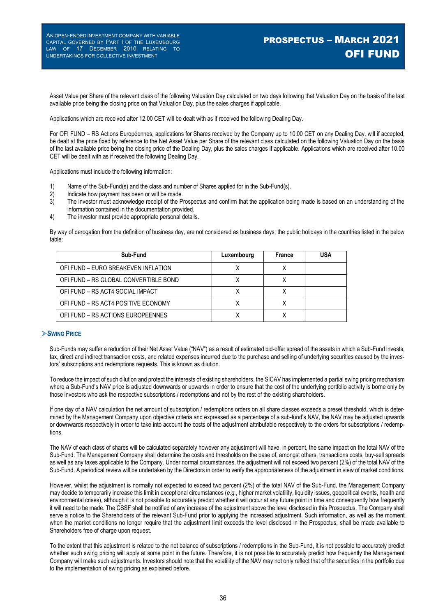Asset Value per Share of the relevant class of the following Valuation Day calculated on two days following that Valuation Day on the basis of the last available price being the closing price on that Valuation Day, plus the sales charges if applicable.

Applications which are received after 12.00 CET will be dealt with as if received the following Dealing Day.

For OFI FUND – RS Actions Européennes, applications for Shares received by the Company up to 10.00 CET on any Dealing Day, will if accepted, be dealt at the price fixed by reference to the Net Asset Value per Share of the relevant class calculated on the following Valuation Day on the basis of the last available price being the closing price of the Dealing Day, plus the sales charges if applicable. Applications which are received after 10.00 CET will be dealt with as if received the following Dealing Day.

Applications must include the following information:

- 1) Name of the Sub-Fund(s) and the class and number of Shares applied for in the Sub-Fund(s).
- 
- 2) Indicate how payment has been or will be made.<br>3) The investor must acknowledge receipt of the P The investor must acknowledge receipt of the Prospectus and confirm that the application being made is based on an understanding of the information contained in the documentation provided.
- 4) The investor must provide appropriate personal details.

By way of derogation from the definition of business day, are not considered as business days, the public holidays in the countries listed in the below table:

| Sub-Fund                              | Luxembourg | France | <b>USA</b> |
|---------------------------------------|------------|--------|------------|
| OFI FUND - EURO BREAKEVEN INFLATION   |            |        |            |
| OFI FUND - RS GLOBAL CONVERTIBLE BOND |            |        |            |
| OFI FUND – RS ACT4 SOCIAL IMPACT      |            |        |            |
| OFI FUND - RS ACT4 POSITIVE ECONOMY   |            |        |            |
| OFI FUND – RS ACTIONS EUROPEENNES     |            |        |            |

#### **SWING PRICE**

Sub-Funds may suffer a reduction of their Net Asset Value ("NAV") as a result of estimated bid-offer spread of the assets in which a Sub-Fund invests, tax, direct and indirect transaction costs, and related expenses incurred due to the purchase and selling of underlying securities caused by the investors' subscriptions and redemptions requests. This is known as dilution.

To reduce the impact of such dilution and protect the interests of existing shareholders, the SICAV has implemented a partial swing pricing mechanism where a Sub-Fund's NAV price is adjusted downwards or upwards in order to ensure that the cost of the underlying portfolio activity is borne only by those investors who ask the respective subscriptions / redemptions and not by the rest of the existing shareholders.

If one day of a NAV calculation the net amount of subscription / redemptions orders on all share classes exceeds a preset threshold, which is determined by the Management Company upon objective criteria and expressed as a percentage of a sub-fund's NAV, the NAV may be adjusted upwards or downwards respectively in order to take into account the costs of the adjustment attributable respectively to the orders for subscriptions / redemptions.

The NAV of each class of shares will be calculated separately however any adjustment will have, in percent, the same impact on the total NAV of the Sub-Fund. The Management Company shall determine the costs and thresholds on the base of, amongst others, transactions costs, buy-sell spreads as well as any taxes applicable to the Company. Under normal circumstances, the adjustment will not exceed two percent (2%) of the total NAV of the Sub-Fund. A periodical review will be undertaken by the Directors in order to verify the appropriateness of the adjustment in view of market conditions.

However, whilst the adjustment is normally not expected to exceed two percent (2%) of the total NAV of the Sub-Fund, the Management Company may decide to temporarily increase this limit in exceptional circumstances (*e.g.*, higher market volatility, liquidity issues, geopolitical events, health and environmental crises), although it is not possible to accurately predict whether it will occur at any future point in time and consequently how frequently it will need to be made. The CSSF shall be notified of any increase of the adjustment above the level disclosed in this Prospectus. The Company shall serve a notice to the Shareholders of the relevant Sub-Fund prior to applying the increased adjustment. Such information, as well as the moment when the market conditions no longer require that the adjustment limit exceeds the level disclosed in the Prospectus, shall be made available to Shareholders free of charge upon request.

To the extent that this adjustment is related to the net balance of subscriptions / redemptions in the Sub-Fund, it is not possible to accurately predict whether such swing pricing will apply at some point in the future. Therefore, it is not possible to accurately predict how frequently the Management Company will make such adjustments. Investors should note that the volatility of the NAV may not only reflect that of the securities in the portfolio due to the implementation of swing pricing as explained before.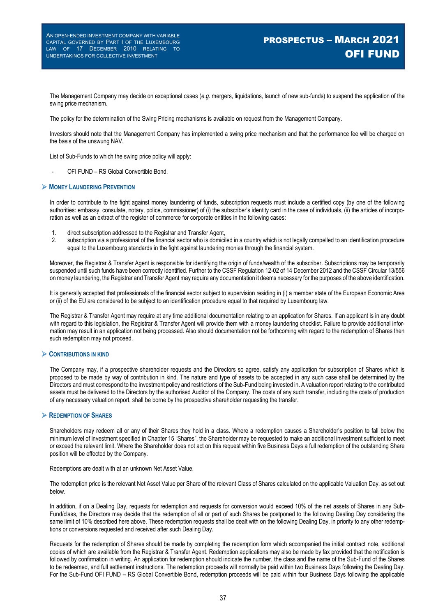# PROSPECTUS – MARCH 2021 OFI FUND

The Management Company may decide on exceptional cases (*e.g.* mergers, liquidations, launch of new sub-funds) to suspend the application of the swing price mechanism.

The policy for the determination of the Swing Pricing mechanisms is available on request from the Management Company.

Investors should note that the Management Company has implemented a swing price mechanism and that the performance fee will be charged on the basis of the unswung NAV.

List of Sub-Funds to which the swing price policy will apply:

OFI FUND - RS Global Convertible Bond.

#### **MONEY LAUNDERING PREVENTION**

In order to contribute to the fight against money laundering of funds, subscription requests must include a certified copy (by one of the following authorities: embassy, consulate, notary, police, commissioner) of (i) the subscriber's identity card in the case of individuals, (ii) the articles of incorporation as well as an extract of the register of commerce for corporate entities in the following cases:

- 1. direct subscription addressed to the Registrar and Transfer Agent,<br>2. subscription via a professional of the financial sector who is domicil
- subscription via a professional of the financial sector who is domiciled in a country which is not legally compelled to an identification procedure equal to the Luxembourg standards in the fight against laundering monies through the financial system.

Moreover, the Registrar & Transfer Agent is responsible for identifying the origin of funds/wealth of the subscriber. Subscriptions may be temporarily suspended until such funds have been correctly identified. Further to the CSSF Regulation 12-02 of 14 December 2012 and the CSSF Circular 13/556 on money laundering, the Registrar and Transfer Agent may require any documentation it deems necessary for the purposes of the above identification.

It is generally accepted that professionals of the financial sector subject to supervision residing in (i) a member state of the European Economic Area or (ii) of the EU are considered to be subject to an identification procedure equal to that required by Luxembourg law.

The Registrar & Transfer Agent may require at any time additional documentation relating to an application for Shares. If an applicant is in any doubt with regard to this legislation, the Registrar & Transfer Agent will provide them with a money laundering checklist. Failure to provide additional information may result in an application not being processed. Also should documentation not be forthcoming with regard to the redemption of Shares then such redemption may not proceed.

#### **CONTRIBUTIONS IN KIND**

The Company may, if a prospective shareholder requests and the Directors so agree, satisfy any application for subscription of Shares which is proposed to be made by way of contribution in kind. The nature and type of assets to be accepted in any such case shall be determined by the Directors and must correspond to the investment policy and restrictions of the Sub-Fund being invested in. A valuation report relating to the contributed assets must be delivered to the Directors by the authorised Auditor of the Company. The costs of any such transfer, including the costs of production of any necessary valuation report, shall be borne by the prospective shareholder requesting the transfer.

#### **REDEMPTION OF SHARES**

Shareholders may redeem all or any of their Shares they hold in a class. Where a redemption causes a Shareholder's position to fall below the minimum level of investment specified in Chapter 15 "Shares", the Shareholder may be requested to make an additional investment sufficient to meet or exceed the relevant limit. Where the Shareholder does not act on this request within five Business Days a full redemption of the outstanding Share position will be effected by the Company.

Redemptions are dealt with at an unknown Net Asset Value.

The redemption price is the relevant Net Asset Value per Share of the relevant Class of Shares calculated on the applicable Valuation Day, as set out below.

In addition, if on a Dealing Day, requests for redemption and requests for conversion would exceed 10% of the net assets of Shares in any Sub-Fund/class, the Directors may decide that the redemption of all or part of such Shares be postponed to the following Dealing Day considering the same limit of 10% described here above. These redemption requests shall be dealt with on the following Dealing Day, in priority to any other redemptions or conversions requested and received after such Dealing Day.

Requests for the redemption of Shares should be made by completing the redemption form which accompanied the initial contract note, additional copies of which are available from the Registrar & Transfer Agent. Redemption applications may also be made by fax provided that the notification is followed by confirmation in writing. An application for redemption should indicate the number, the class and the name of the Sub-Fund of the Shares to be redeemed, and full settlement instructions. The redemption proceeds will normally be paid within two Business Days following the Dealing Day. For the Sub-Fund OFI FUND – RS Global Convertible Bond, redemption proceeds will be paid within four Business Days following the applicable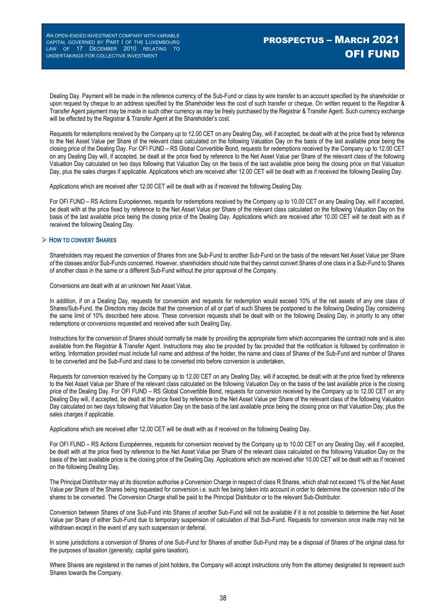Dealing Day. Payment will be made in the reference currency of the Sub-Fund or class by wire transfer to an account specified by the shareholder or upon request by cheque to an address specified by the Shareholder less the cost of such transfer or cheque. On written request to the Registrar & Transfer Agent payment may be made in such other currency as may be freely purchased by the Registrar & Transfer Agent. Such currency exchange will be effected by the Registrar & Transfer Agent at the Shareholder's cost.

Requests for redemptions received by the Company up to 12.00 CET on any Dealing Day, will if accepted, be dealt with at the price fixed by reference to the Net Asset Value per Share of the relevant class calculated on the following Valuation Day on the basis of the last available price being the closing price of the Dealing Day. For OFI FUND – RS Global Convertible Bond, requests for redemptions received by the Company up to 12.00 CET on any Dealing Day will, if accepted, be dealt at the price fixed by reference to the Net Asset Value per Share of the relevant class of the following Valuation Day calculated on two days following that Valuation Day on the basis of the last available price being the closing price on that Valuation Day, plus the sales charges if applicable. Applications which are received after 12.00 CET will be dealt with as if received the following Dealing Day.

Applications which are received after 12.00 CET will be dealt with as if received the following Dealing Day.

For OFI FUND – RS Actions Européennes, requests for redemptions received by the Company up to 10.00 CET on any Dealing Day, will if accepted, be dealt with at the price fixed by reference to the Net Asset Value per Share of the relevant class calculated on the following Valuation Day on the basis of the last available price being the closing price of the Dealing Day. Applications which are received after 10.00 CET will be dealt with as if received the following Dealing Day.

#### **HOW TO CONVERT SHARES**

Shareholders may request the conversion of Shares from one Sub-Fund to another Sub-Fund on the basis of the relevant Net Asset Value per Share of the classes and/or Sub-Funds concerned. However, shareholders should note that they cannot convert Shares of one class in a Sub-Fund to Shares of another class in the same or a different Sub-Fund without the prior approval of the Company.

Conversions are dealt with at an unknown Net Asset Value.

In addition, if on a Dealing Day, requests for conversion and requests for redemption would exceed 10% of the net assets of any one class of Shares/Sub-Fund, the Directors may decide that the conversion of all or part of such Shares be postponed to the following Dealing Day considering the same limit of 10% described here above. These conversion requests shall be dealt with on the following Dealing Day, in priority to any other redemptions or conversions requested and received after such Dealing Day.

Instructions for the conversion of Shares should normally be made by providing the appropriate form which accompanies the contract note and is also available from the Registrar & Transfer Agent. Instructions may also be provided by fax provided that the notification is followed by confirmation in writing. Information provided must include full name and address of the holder, the name and class of Shares of the Sub-Fund and number of Shares to be converted and the Sub-Fund and class to be converted into before conversion is undertaken.

Requests for conversion received by the Company up to 12.00 CET on any Dealing Day, will if accepted, be dealt with at the price fixed by reference to the Net Asset Value per Share of the relevant class calculated on the following Valuation Day on the basis of the last available price is the closing price of the Dealing Day. For OFI FUND – RS Global Convertible Bond, requests for conversion received by the Company up to 12.00 CET on any Dealing Day will, if accepted, be dealt at the price fixed by reference to the Net Asset Value per Share of the relevant class of the following Valuation Day calculated on two days following that Valuation Day on the basis of the last available price being the closing price on that Valuation Day, plus the sales charges if applicable.

Applications which are received after 12.00 CET will be dealt with as if received on the following Dealing Day.

For OFI FUND – RS Actions Européennes, requests for conversion received by the Company up to 10.00 CET on any Dealing Day, will if accepted, be dealt with at the price fixed by reference to the Net Asset Value per Share of the relevant class calculated on the following Valuation Day on the basis of the last available price is the closing price of the Dealing Day. Applications which are received after 10.00 CET will be dealt with as if received on the following Dealing Day.

The Principal Distributor may at its discretion authorise a Conversion Charge in respect of class R Shares, which shall not exceed 1% of the Net Asset Value per Share of the Shares being requested for conversion i.e. such fee being taken into account in order to determine the conversion ratio of the shares to be converted. The Conversion Charge shall be paid to the Principal Distributor or to the relevant Sub-Distributor.

Conversion between Shares of one Sub-Fund into Shares of another Sub-Fund will not be available if it is not possible to determine the Net Asset Value per Share of either Sub-Fund due to temporary suspension of calculation of that Sub-Fund. Requests for conversion once made may not be withdrawn except in the event of any such suspension or deferral.

In some jurisdictions a conversion of Shares of one Sub-Fund for Shares of another Sub-Fund may be a disposal of Shares of the original class for the purposes of taxation (generally, capital gains taxation).

Where Shares are registered in the names of joint holders, the Company will accept instructions only from the attorney designated to represent such Shares towards the Company.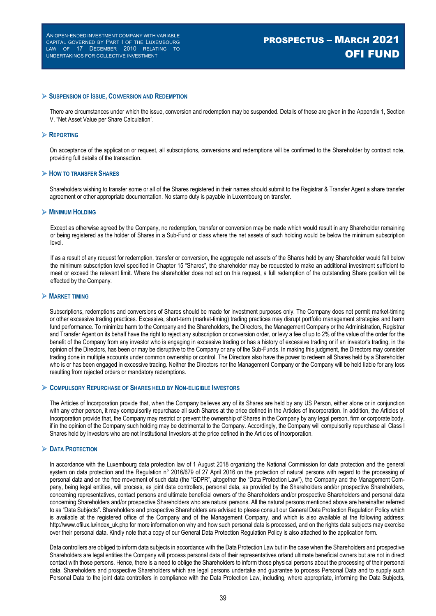#### **SUSPENSION OF ISSUE, CONVERSION AND REDEMPTION**

There are circumstances under which the issue, conversion and redemption may be suspended. Details of these are given in the Appendix 1, Section V. "Net Asset Value per Share Calculation".

#### **REPORTING**

On acceptance of the application or request, all subscriptions, conversions and redemptions will be confirmed to the Shareholder by contract note, providing full details of the transaction.

#### **HOW TO TRANSFER SHARES**

Shareholders wishing to transfer some or all of the Shares registered in their names should submit to the Registrar & Transfer Agent a share transfer agreement or other appropriate documentation. No stamp duty is payable in Luxembourg on transfer.

#### **MINIMUM HOLDING**

Except as otherwise agreed by the Company, no redemption, transfer or conversion may be made which would result in any Shareholder remaining or being registered as the holder of Shares in a Sub-Fund or class where the net assets of such holding would be below the minimum subscription level.

If as a result of any request for redemption, transfer or conversion, the aggregate net assets of the Shares held by any Shareholder would fall below the minimum subscription level specified in Chapter 15 "Shares", the shareholder may be requested to make an additional investment sufficient to meet or exceed the relevant limit. Where the shareholder does not act on this request, a full redemption of the outstanding Share position will be effected by the Company.

#### **MARKET TIMING**

Subscriptions, redemptions and conversions of Shares should be made for investment purposes only. The Company does not permit market-timing or other excessive trading practices. Excessive, short-term (market-timing) trading practices may disrupt portfolio management strategies and harm fund performance. To minimize harm to the Company and the Shareholders, the Directors, the Management Company or the Administration, Registrar and Transfer Agent on its behalf have the right to reject any subscription or conversion order, or levy a fee of up to 2% of the value of the order for the benefit of the Company from any investor who is engaging in excessive trading or has a history of excessive trading or if an investor's trading, in the opinion of the Directors, has been or may be disruptive to the Company or any of the Sub-Funds. In making this judgment, the Directors may consider trading done in multiple accounts under common ownership or control. The Directors also have the power to redeem all Shares held by a Shareholder who is or has been engaged in excessive trading. Neither the Directors nor the Management Company or the Company will be held liable for any loss resulting from rejected orders or mandatory redemptions.

#### **COMPULSORY REPURCHASE OF SHARES HELD BY NON-ELIGIBLE INVESTORS**

The Articles of Incorporation provide that, when the Company believes any of its Shares are held by any US Person, either alone or in conjunction with any other person, it may compulsorily repurchase all such Shares at the price defined in the Articles of Incorporation. In addition, the Articles of Incorporation provide that, the Company may restrict or prevent the ownership of Shares in the Company by any legal person, firm or corporate body, if in the opinion of the Company such holding may be detrimental to the Company. Accordingly, the Company will compulsorily repurchase all Class I Shares held by investors who are not Institutional Investors at the price defined in the Articles of Incorporation.

#### **DATA PROTECTION**

In accordance with the Luxembourg data protection law of 1 August 2018 organizing the National Commission for data protection and the general system on data protection and the Regulation n° 2016/679 of 27 April 2016 on the protection of natural persons with regard to the processing of personal data and on the free movement of such data (the "GDPR", altogether the "Data Protection Law"), the Company and the Management Company, being legal entities, will process, as joint data controllers, personal data, as provided by the Shareholders and/or prospective Shareholders, concerning representatives, contact persons and ultimate beneficial owners of the Shareholders and/or prospective Shareholders and personal data concerning Shareholders and/or prospective Shareholders who are natural persons. All the natural persons mentioned above are hereinafter referred to as "Data Subjects". Shareholders and prospective Shareholders are advised to please consult our General Data Protection Regulation Policy which is available at the registered office of the Company and of the Management Company, and which is also available at the following address: http://www.ofilux.lu/index\_uk.php for more information on why and how such personal data is processed, and on the rights data subjects may exercise over their personal data. Kindly note that a copy of our General Data Protection Regulation Policy is also attached to the application form.

Data controllers are obliged to inform data subjects in accordance with the Data Protection Law but in the case when the Shareholders and prospective Shareholders are legal entities the Company will process personal data of their representatives or/and ultimate beneficial owners but are not in direct contact with those persons. Hence, there is a need to oblige the Shareholders to inform those physical persons about the processing of their personal data. Shareholders and prospective Shareholders which are legal persons undertake and guarantee to process Personal Data and to supply such Personal Data to the joint data controllers in compliance with the Data Protection Law, including, where appropriate, informing the Data Subjects,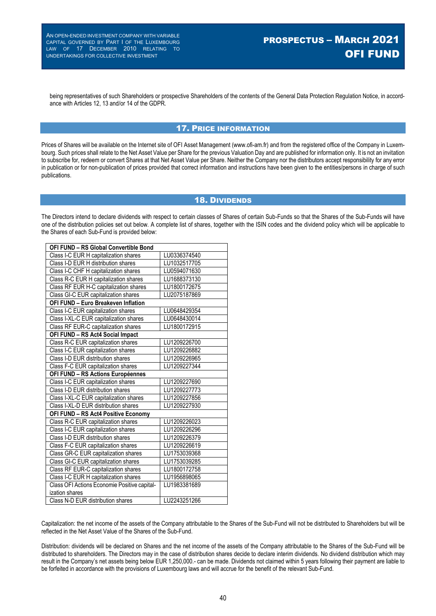being representatives of such Shareholders or prospective Shareholders of the contents of the General Data Protection Regulation Notice, in accordance with Articles 12, 13 and/or 14 of the GDPR.

### 17. PRICE INFORMATION

Prices of Shares will be available on the Internet site of OFI Asset Management (www.ofi-am.fr) and from the registered office of the Company in Luxembourg. Such prices shall relate to the Net Asset Value per Share for the previous Valuation Day and are published for information only. It is not an invitation to subscribe for, redeem or convert Shares at that Net Asset Value per Share. Neither the Company nor the distributors accept responsibility for any error in publication or for non-publication of prices provided that correct information and instructions have been given to the entities/persons in charge of such publications.

### 18. DIVIDENDS

The Directors intend to declare dividends with respect to certain classes of Shares of certain Sub-Funds so that the Shares of the Sub-Funds will have one of the distribution policies set out below. A complete list of shares, together with the ISIN codes and the dividend policy which will be applicable to the Shares of each Sub-Fund is provided below:

| OFI FUND - RS Global Convertible Bond        |              |  |  |  |
|----------------------------------------------|--------------|--|--|--|
| Class I-C EUR H capitalization shares        | LU0336374540 |  |  |  |
| Class I-D EUR H distribution shares          | LU1032517705 |  |  |  |
| Class I-C CHF H capitalization shares        | LU0594071630 |  |  |  |
| Class R-C EUR H capitalization shares        | LU1688373130 |  |  |  |
| Class RF EUR H-C capitalization shares       | LU1800172675 |  |  |  |
| Class GI-C EUR capitalization shares         | LU2075187869 |  |  |  |
| <b>OFI FUND - Euro Breakeven Inflation</b>   |              |  |  |  |
| Class I-C EUR capitalization shares          | LU0648429354 |  |  |  |
| Class I-XL-C EUR capitalization shares       | LU0648430014 |  |  |  |
| Class RF EUR-C capitalization shares         | LU1800172915 |  |  |  |
| OFI FUND - RS Act4 Social Impact             |              |  |  |  |
| Class R-C EUR capitalization shares          | LU1209226700 |  |  |  |
| Class I-C EUR capitalization shares          | LU1209226882 |  |  |  |
| Class I-D EUR distribution shares            | LU1209226965 |  |  |  |
| Class F-C EUR capitalization shares          | LU1209227344 |  |  |  |
| OFI FUND - RS Actions Européennes            |              |  |  |  |
| Class I-C EUR capitalization shares          | LU1209227690 |  |  |  |
| Class I-D EUR distribution shares            | LU1209227773 |  |  |  |
| Class I-XL-C EUR capitalization shares       | LU1209227856 |  |  |  |
| Class I-XL-D EUR distribution shares         | LU1209227930 |  |  |  |
| OFI FUND - RS Act4 Positive Economy          |              |  |  |  |
| Class R-C EUR capitalization shares          | LU1209226023 |  |  |  |
| Class I-C EUR capitalization shares          | LU1209226296 |  |  |  |
| Class I-D EUR distribution shares            | LU1209226379 |  |  |  |
| Class F-C EUR capitalization shares          | LU1209226619 |  |  |  |
| Class GR-C EUR capitalization shares         | LU1753039368 |  |  |  |
| Class GI-C EUR capitalization shares         | LU1753039285 |  |  |  |
| Class RF EUR-C capitalization shares         | LU1800172758 |  |  |  |
| Class I-C EUR H capitalization shares        | LU1956898065 |  |  |  |
| Class OFI Actions Economie Positive capital- | LU1983381689 |  |  |  |
| ization shares                               |              |  |  |  |
| Class N-D EUR distribution shares            | LU2243251266 |  |  |  |

Capitalization: the net income of the assets of the Company attributable to the Shares of the Sub-Fund will not be distributed to Shareholders but will be reflected in the Net Asset Value of the Shares of the Sub-Fund.

Distribution: dividends will be declared on Shares and the net income of the assets of the Company attributable to the Shares of the Sub-Fund will be distributed to shareholders. The Directors may in the case of distribution shares decide to declare interim dividends. No dividend distribution which may result in the Company's net assets being below EUR 1,250,000.- can be made. Dividends not claimed within 5 years following their payment are liable to be forfeited in accordance with the provisions of Luxembourg laws and will accrue for the benefit of the relevant Sub-Fund.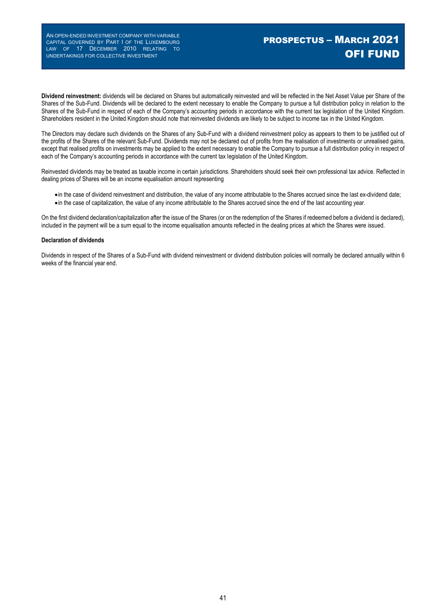# PROSPECTUS – MARCH 2021 OFI FUND

**Dividend reinvestment:** dividends will be declared on Shares but automatically reinvested and will be reflected in the Net Asset Value per Share of the Shares of the Sub-Fund. Dividends will be declared to the extent necessary to enable the Company to pursue a full distribution policy in relation to the Shares of the Sub-Fund in respect of each of the Company's accounting periods in accordance with the current tax legislation of the United Kingdom. Shareholders resident in the United Kingdom should note that reinvested dividends are likely to be subject to income tax in the United Kingdom.

The Directors may declare such dividends on the Shares of any Sub-Fund with a dividend reinvestment policy as appears to them to be justified out of the profits of the Shares of the relevant Sub-Fund. Dividends may not be declared out of profits from the realisation of investments or unrealised gains, except that realised profits on investments may be applied to the extent necessary to enable the Company to pursue a full distribution policy in respect of each of the Company's accounting periods in accordance with the current tax legislation of the United Kingdom.

Reinvested dividends may be treated as taxable income in certain jurisdictions. Shareholders should seek their own professional tax advice. Reflected in dealing prices of Shares will be an income equalisation amount representing

- in the case of dividend reinvestment and distribution, the value of any income attributable to the Shares accrued since the last ex-dividend date;
- in the case of capitalization, the value of any income attributable to the Shares accrued since the end of the last accounting year.

On the first dividend declaration/capitalization after the issue of the Shares (or on the redemption of the Shares if redeemed before a dividend is declared), included in the payment will be a sum equal to the income equalisation amounts reflected in the dealing prices at which the Shares were issued.

#### **Declaration of dividends**

Dividends in respect of the Shares of a Sub-Fund with dividend reinvestment or dividend distribution policies will normally be declared annually within 6 weeks of the financial year end.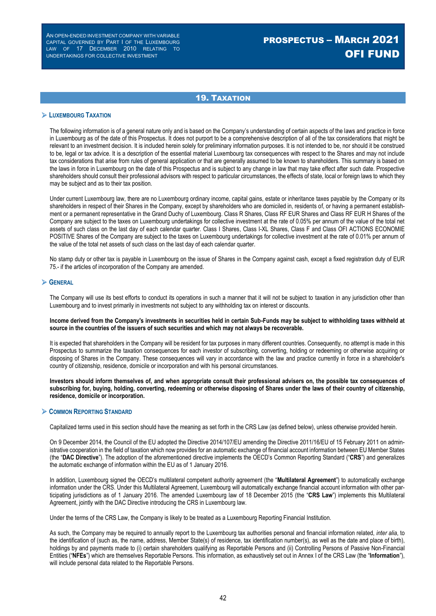# 19. TAXATION

#### **LUXEMBOURG TAXATION**

The following information is of a general nature only and is based on the Company's understanding of certain aspects of the laws and practice in force in Luxembourg as of the date of this Prospectus. It does not purport to be a comprehensive description of all of the tax considerations that might be relevant to an investment decision. It is included herein solely for preliminary information purposes. It is not intended to be, nor should it be construed to be, legal or tax advice. It is a description of the essential material Luxembourg tax consequences with respect to the Shares and may not include tax considerations that arise from rules of general application or that are generally assumed to be known to shareholders. This summary is based on the laws in force in Luxembourg on the date of this Prospectus and is subject to any change in law that may take effect after such date. Prospective shareholders should consult their professional advisors with respect to particular circumstances, the effects of state, local or foreign laws to which they may be subject and as to their tax position.

Under current Luxembourg law, there are no Luxembourg ordinary income, capital gains, estate or inheritance taxes payable by the Company or its shareholders in respect of their Shares in the Company, except by shareholders who are domiciled in, residents of, or having a permanent establishment or a permanent representative in the Grand Duchy of Luxembourg. Class R Shares, Class RF EUR Shares and Class RF EUR H Shares of the Company are subject to the taxes on Luxembourg undertakings for collective investment at the rate of 0.05% per annum of the value of the total net assets of such class on the last day of each calendar quarter. Class I Shares, Class I-XL Shares, Class F and Class OFI ACTIONS ECONOMIE POSITIVE Shares of the Company are subject to the taxes on Luxembourg undertakings for collective investment at the rate of 0.01% per annum of the value of the total net assets of such class on the last day of each calendar quarter.

No stamp duty or other tax is payable in Luxembourg on the issue of Shares in the Company against cash, except a fixed registration duty of EUR 75.- if the articles of incorporation of the Company are amended.

#### **GENERAL**

The Company will use its best efforts to conduct its operations in such a manner that it will not be subject to taxation in any jurisdiction other than Luxembourg and to invest primarily in investments not subject to any withholding tax on interest or discounts.

#### **Income derived from the Company's investments in securities held in certain Sub-Funds may be subject to withholding taxes withheld at source in the countries of the issuers of such securities and which may not always be recoverable.**

It is expected that shareholders in the Company will be resident for tax purposes in many different countries. Consequently, no attempt is made in this Prospectus to summarize the taxation consequences for each investor of subscribing, converting, holding or redeeming or otherwise acquiring or disposing of Shares in the Company. These consequences will vary in accordance with the law and practice currently in force in a shareholder's country of citizenship, residence, domicile or incorporation and with his personal circumstances.

#### **Investors should inform themselves of, and when appropriate consult their professional advisers on, the possible tax consequences of subscribing for, buying, holding, converting, redeeming or otherwise disposing of Shares under the laws of their country of citizenship, residence, domicile or incorporation.**

#### **COMMON REPORTING STANDARD**

Capitalized terms used in this section should have the meaning as set forth in the CRS Law (as defined below), unless otherwise provided herein.

On 9 December 2014, the Council of the EU adopted the Directive 2014/107/EU amending the Directive 2011/16/EU of 15 February 2011 on administrative cooperation in the field of taxation which now provides for an automatic exchange of financial account information between EU Member States (the "**DAC Directive**"). The adoption of the aforementioned directive implements the OECD's Common Reporting Standard ("**CRS**") and generalizes the automatic exchange of information within the EU as of 1 January 2016.

In addition, Luxembourg signed the OECD's multilateral competent authority agreement (the "**Multilateral Agreement**") to automatically exchange information under the CRS. Under this Multilateral Agreement, Luxembourg will automatically exchange financial account information with other participating jurisdictions as of 1 January 2016. The amended Luxembourg law of 18 December 2015 (the "**CRS Law**") implements this Multilateral Agreement, jointly with the DAC Directive introducing the CRS in Luxembourg law.

Under the terms of the CRS Law, the Company is likely to be treated as a Luxembourg Reporting Financial Institution.

As such, the Company may be required to annually report to the Luxembourg tax authorities personal and financial information related, *inter alia*, to the identification of (such as, the name, address, Member State(s) of residence, tax identification number(s), as well as the date and place of birth), holdings by and payments made to (i) certain shareholders qualifying as Reportable Persons and (ii) Controlling Persons of Passive Non-Financial Entities ("**NFEs**") which are themselves Reportable Persons. This information, as exhaustively set out in Annex I of the CRS Law (the "**Information**"), will include personal data related to the Reportable Persons.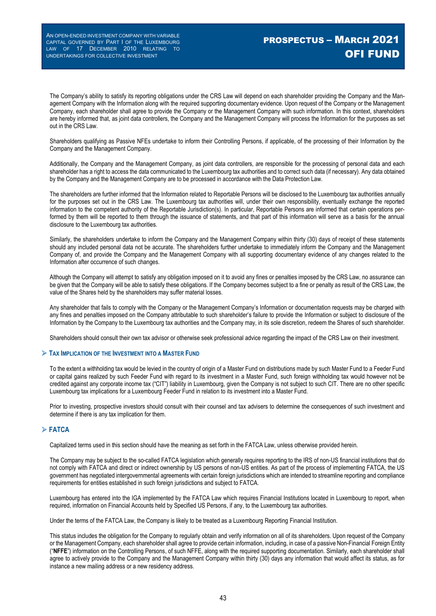The Company's ability to satisfy its reporting obligations under the CRS Law will depend on each shareholder providing the Company and the Management Company with the Information along with the required supporting documentary evidence. Upon request of the Company or the Management Company, each shareholder shall agree to provide the Company or the Management Company with such information. In this context, shareholders are hereby informed that, as joint data controllers, the Company and the Management Company will process the Information for the purposes as set out in the CRS Law.

Shareholders qualifying as Passive NFEs undertake to inform their Controlling Persons, if applicable, of the processing of their Information by the Company and the Management Company.

Additionally, the Company and the Management Company, as joint data controllers, are responsible for the processing of personal data and each shareholder has a right to access the data communicated to the Luxembourg tax authorities and to correct such data (if necessary). Any data obtained by the Company and the Management Company are to be processed in accordance with the Data Protection Law.

The shareholders are further informed that the Information related to Reportable Persons will be disclosed to the Luxembourg tax authorities annually for the purposes set out in the CRS Law. The Luxembourg tax authorities will, under their own responsibility, eventually exchange the reported information to the competent authority of the Reportable Jurisdiction(s). In particular, Reportable Persons are informed that certain operations performed by them will be reported to them through the issuance of statements, and that part of this information will serve as a basis for the annual disclosure to the Luxembourg tax authorities.

Similarly, the shareholders undertake to inform the Company and the Management Company within thirty (30) days of receipt of these statements should any included personal data not be accurate. The shareholders further undertake to immediately inform the Company and the Management Company of, and provide the Company and the Management Company with all supporting documentary evidence of any changes related to the Information after occurrence of such changes.

Although the Company will attempt to satisfy any obligation imposed on it to avoid any fines or penalties imposed by the CRS Law, no assurance can be given that the Company will be able to satisfy these obligations. If the Company becomes subject to a fine or penalty as result of the CRS Law, the value of the Shares held by the shareholders may suffer material losses.

Any shareholder that fails to comply with the Company or the Management Company's Information or documentation requests may be charged with any fines and penalties imposed on the Company attributable to such shareholder's failure to provide the Information or subject to disclosure of the Information by the Company to the Luxembourg tax authorities and the Company may, in its sole discretion, redeem the Shares of such shareholder.

Shareholders should consult their own tax advisor or otherwise seek professional advice regarding the impact of the CRS Law on their investment.

#### **TAX IMPLICATION OF THE INVESTMENT INTO A MASTER FUND**

To the extent a withholding tax would be levied in the country of origin of a Master Fund on distributions made by such Master Fund to a Feeder Fund or capital gains realized by such Feeder Fund with regard to its investment in a Master Fund, such foreign withholding tax would however not be credited against any corporate income tax ("CIT") liability in Luxembourg, given the Company is not subject to such CIT. There are no other specific Luxembourg tax implications for a Luxembourg Feeder Fund in relation to its investment into a Master Fund.

Prior to investing, prospective investors should consult with their counsel and tax advisers to determine the consequences of such investment and determine if there is any tax implication for them.

### **FATCA**

Capitalized terms used in this section should have the meaning as set forth in the FATCA Law, unless otherwise provided herein.

The Company may be subject to the so-called FATCA legislation which generally requires reporting to the IRS of non-US financial institutions that do not comply with FATCA and direct or indirect ownership by US persons of non-US entities. As part of the process of implementing FATCA, the US government has negotiated intergovernmental agreements with certain foreign jurisdictions which are intended to streamline reporting and compliance requirements for entities established in such foreign jurisdictions and subject to FATCA.

Luxembourg has entered into the IGA implemented by the FATCA Law which requires Financial Institutions located in Luxembourg to report, when required, information on Financial Accounts held by Specified US Persons, if any, to the Luxembourg tax authorities.

Under the terms of the FATCA Law, the Company is likely to be treated as a Luxembourg Reporting Financial Institution.

This status includes the obligation for the Company to regularly obtain and verify information on all of its shareholders. Upon request of the Company or the Management Company, each shareholder shall agree to provide certain information, including, in case of a passive Non-Financial Foreign Entity ("**NFFE**") information on the Controlling Persons, of such NFFE, along with the required supporting documentation. Similarly, each shareholder shall agree to actively provide to the Company and the Management Company within thirty (30) days any information that would affect its status, as for instance a new mailing address or a new residency address.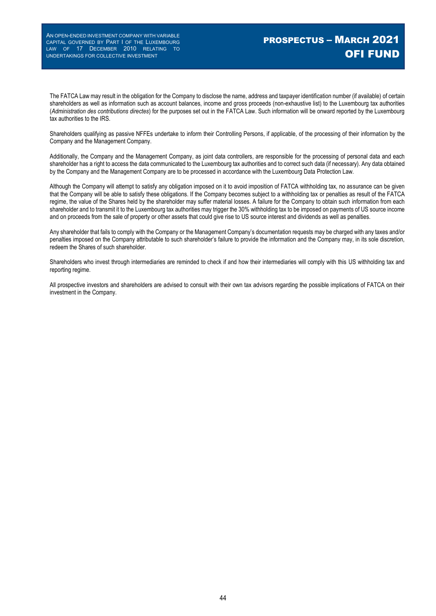# PROSPECTUS – MARCH 2021 OFI FUND

The FATCA Law may result in the obligation for the Company to disclose the name, address and taxpayer identification number (if available) of certain shareholders as well as information such as account balances, income and gross proceeds (non-exhaustive list) to the Luxembourg tax authorities (*Administration des contributions directes*) for the purposes set out in the FATCA Law. Such information will be onward reported by the Luxembourg tax authorities to the IRS.

Shareholders qualifying as passive NFFEs undertake to inform their Controlling Persons, if applicable, of the processing of their information by the Company and the Management Company.

Additionally, the Company and the Management Company, as joint data controllers, are responsible for the processing of personal data and each shareholder has a right to access the data communicated to the Luxembourg tax authorities and to correct such data (if necessary). Any data obtained by the Company and the Management Company are to be processed in accordance with the Luxembourg Data Protection Law.

Although the Company will attempt to satisfy any obligation imposed on it to avoid imposition of FATCA withholding tax, no assurance can be given that the Company will be able to satisfy these obligations. If the Company becomes subject to a withholding tax or penalties as result of the FATCA regime, the value of the Shares held by the shareholder may suffer material losses. A failure for the Company to obtain such information from each shareholder and to transmit it to the Luxembourg tax authorities may trigger the 30% withholding tax to be imposed on payments of US source income and on proceeds from the sale of property or other assets that could give rise to US source interest and dividends as well as penalties.

Any shareholder that fails to comply with the Company or the Management Company's documentation requests may be charged with any taxes and/or penalties imposed on the Company attributable to such shareholder's failure to provide the information and the Company may, in its sole discretion, redeem the Shares of such shareholder.

Shareholders who invest through intermediaries are reminded to check if and how their intermediaries will comply with this US withholding tax and reporting regime.

All prospective investors and shareholders are advised to consult with their own tax advisors regarding the possible implications of FATCA on their investment in the Company.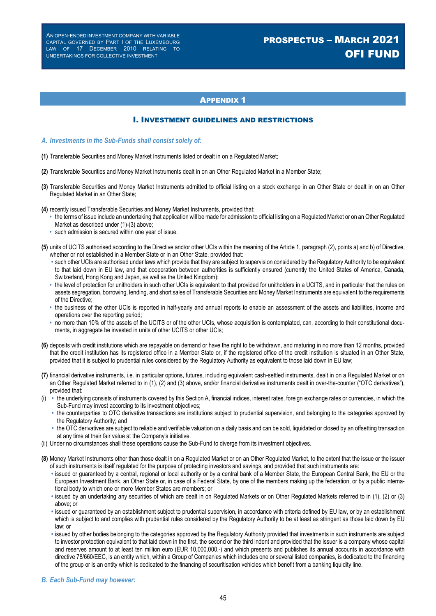# PROSPECTUS – MARCH 2021 OFI FUND

### **APPENDIX 1**

#### I. INVESTMENT GUIDELINES AND RESTRICTIONS

- *A. Investments in the Sub-Funds shall consist solely of:*
- **(1)** Transferable Securities and Money Market Instruments listed or dealt in on a Regulated Market;
- **(2)** Transferable Securities and Money Market Instruments dealt in on an Other Regulated Market in a Member State;
- **(3)** Transferable Securities and Money Market Instruments admitted to official listing on a stock exchange in an Other State or dealt in on an Other Regulated Market in an Other State;
- **(4)** recently issued Transferable Securities and Money Market Instruments, provided that:
	- **•** the terms of issue include an undertaking that application will be made for admission to official listing on a Regulated Market or on an Other Regulated Market as described under (1)-(3) above;
	- **•** such admission is secured within one year of issue.
- **(5)** units of UCITS authorised according to the Directive and/or other UCIs within the meaning of the Article 1, paragraph (2), points a) and b) of Directive, whether or not established in a Member State or in an Other State, provided that:
	- **•** such other UCIs are authorised under laws which provide that they are subject to supervision considered by the Regulatory Authority to be equivalent to that laid down in EU law, and that cooperation between authorities is sufficiently ensured (currently the United States of America, Canada, Switzerland, Hong Kong and Japan, as well as the United Kingdom);
	- **•** the level of protection for unitholders in such other UCIs is equivalent to that provided for unitholders in a UCITS, and in particular that the rules on assets segregation, borrowing, lending, and short sales of Transferable Securities and Money Market Instruments are equivalent to the requirements of the Directive;
	- **•** the business of the other UCIs is reported in half-yearly and annual reports to enable an assessment of the assets and liabilities, income and operations over the reporting period;
	- **•** no more than 10% of the assets of the UCITS or of the other UCIs, whose acquisition is contemplated, can, according to their constitutional documents, in aggregate be invested in units of other UCITS or other UCIs;
- **(6)** deposits with credit institutions which are repayable on demand or have the right to be withdrawn, and maturing in no more than 12 months, provided that the credit institution has its registered office in a Member State or, if the registered office of the credit institution is situated in an Other State, provided that it is subject to prudential rules considered by the Regulatory Authority as equivalent to those laid down in EU law;
- **(7)** financial derivative instruments, i.e. in particular options, futures, including equivalent cash-settled instruments, dealt in on a Regulated Market or on an Other Regulated Market referred to in (1), (2) and (3) above, and/or financial derivative instruments dealt in over-the-counter ("OTC derivatives"), provided that:
- (i) **•** the underlying consists of instruments covered by this Section A, financial indices, interest rates, foreign exchange rates or currencies, in which the Sub-Fund may invest according to its investment objectives;
	- **•** the counterparties to OTC derivative transactions are institutions subject to prudential supervision, and belonging to the categories approved by the Regulatory Authority; and
	- **•** the OTC derivatives are subject to reliable and verifiable valuation on a daily basis and can be sold, liquidated or closed by an offsetting transaction at any time at their fair value at the Company's initiative.
- (ii) Under no circumstances shall these operations cause the Sub-Fund to diverge from its investment objectives.
- **(8)** Money Market Instruments other than those dealt in on a Regulated Market or on an Other Regulated Market, to the extent that the issue or the issuer of such instruments is itself regulated for the purpose of protecting investors and savings, and provided that such instruments are:
	- **•** issued or guaranteed by a central, regional or local authority or by a central bank of a Member State, the European Central Bank, the EU or the European Investment Bank, an Other State or, in case of a Federal State, by one of the members making up the federation, or by a public international body to which one or more Member States are members; or
	- **•** issued by an undertaking any securities of which are dealt in on Regulated Markets or on Other Regulated Markets referred to in (1), (2) or (3) above; or
	- **•** issued or guaranteed by an establishment subject to prudential supervision, in accordance with criteria defined by EU law, or by an establishment which is subject to and complies with prudential rules considered by the Regulatory Authority to be at least as stringent as those laid down by EU law; or
	- **•** issued by other bodies belonging to the categories approved by the Regulatory Authority provided that investments in such instruments are subject to investor protection equivalent to that laid down in the first, the second or the third indent and provided that the issuer is a company whose capital and reserves amount to at least ten million euro (EUR 10,000,000.-) and which presents and publishes its annual accounts in accordance with directive 78/660/EEC, is an entity which, within a Group of Companies which includes one or several listed companies, is dedicated to the financing of the group or is an entity which is dedicated to the financing of securitisation vehicles which benefit from a banking liquidity line.

#### *B. Each Sub-Fund may however:*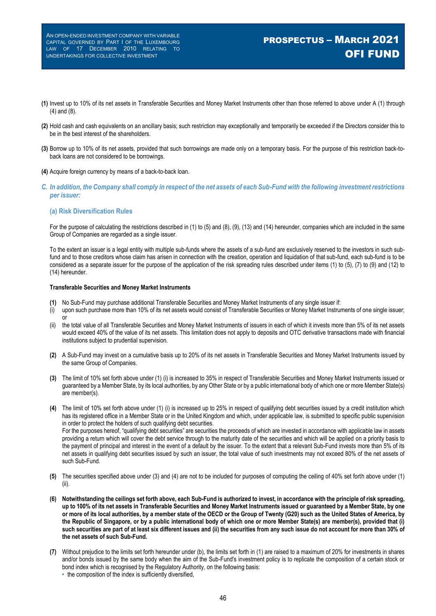- **(1)** Invest up to 10% of its net assets in Transferable Securities and Money Market Instruments other than those referred to above under A (1) through (4) and (8).
- **(2)** Hold cash and cash equivalents on an ancillary basis; such restriction may exceptionally and temporarily be exceeded if the Directors consider this to be in the best interest of the shareholders.
- **(3)** Borrow up to 10% of its net assets, provided that such borrowings are made only on a temporary basis. For the purpose of this restriction back-toback loans are not considered to be borrowings.
- **(4)** Acquire foreign currency by means of a back-to-back loan.
- *C. In addition, the Company shall comply in respect of the net assets of each Sub-Fund with the following investment restrictions per issuer:*

#### **(a) Risk Diversification Rules**

For the purpose of calculating the restrictions described in (1) to (5) and (8), (9), (13) and (14) hereunder, companies which are included in the same Group of Companies are regarded as a single issuer.

To the extent an issuer is a legal entity with multiple sub-funds where the assets of a sub-fund are exclusively reserved to the investors in such subfund and to those creditors whose claim has arisen in connection with the creation, operation and liquidation of that sub-fund, each sub-fund is to be considered as a separate issuer for the purpose of the application of the risk spreading rules described under items (1) to (5), (7) to (9) and (12) to (14) hereunder.

#### **Transferable Securities and Money Market Instruments**

- **(1)** No Sub-Fund may purchase additional Transferable Securities and Money Market Instruments of any single issuer if:
- (i) upon such purchase more than 10% of its net assets would consist of Transferable Securities or Money Market Instruments of one single issuer; or
- (ii) the total value of all Transferable Securities and Money Market Instruments of issuers in each of which it invests more than 5% of its net assets would exceed 40% of the value of its net assets. This limitation does not apply to deposits and OTC derivative transactions made with financial institutions subject to prudential supervision.
- **(2)** A Sub-Fund may invest on a cumulative basis up to 20% of its net assets in Transferable Securities and Money Market Instruments issued by the same Group of Companies.
- **(3)** The limit of 10% set forth above under (1) (i) is increased to 35% in respect of Transferable Securities and Money Market Instruments issued or guaranteed by a Member State, by its local authorities, by any Other State or by a public international body of which one or more Member State(s) are member(s).
- **(4)** The limit of 10% set forth above under (1) (i) is increased up to 25% in respect of qualifying debt securities issued by a credit institution which has its registered office in a Member State or in the United Kingdom and which, under applicable law, is submitted to specific public supervision in order to protect the holders of such qualifying debt securities. For the purposes hereof, "qualifying debt securities" are securities the proceeds of which are invested in accordance with applicable law in assets providing a return which will cover the debt service through to the maturity date of the securities and which will be applied on a priority basis to the payment of principal and interest in the event of a default by the issuer. To the extent that a relevant Sub-Fund invests more than 5% of its net assets in qualifying debt securities issued by such an issuer, the total value of such investments may not exceed 80% of the net assets of such Sub-Fund.
- **(5)** The securities specified above under (3) and (4) are not to be included for purposes of computing the ceiling of 40% set forth above under (1) (ii).
- **(6) Notwithstanding the ceilings set forth above, each Sub-Fund is authorized to invest, in accordance with the principle of risk spreading, up to 100% of its net assets in Transferable Securities and Money Market Instruments issued or guaranteed by a Member State, by one or more of its local authorities, by a member state of the OECD or the Group of Twenty (G20) such as the United States of America, by the Republic of Singapore, or by a public international body of which one or more Member State(s) are member(s), provided that (i) such securities are part of at least six different issues and (ii) the securities from any such issue do not account for more than 30% of the net assets of such Sub-Fund.**
- **(7)** Without prejudice to the limits set forth hereunder under (b), the limits set forth in (1) are raised to a maximum of 20% for investments in shares and/or bonds issued by the same body when the aim of the Sub-Fund's investment policy is to replicate the composition of a certain stock or bond index which is recognised by the Regulatory Authority, on the following basis: **•** the composition of the index is sufficiently diversified,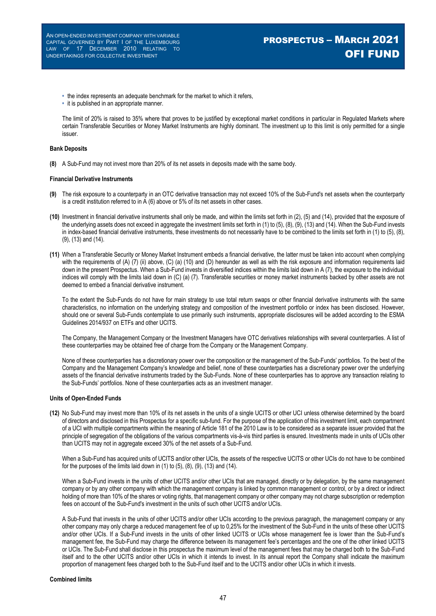- **•** the index represents an adequate benchmark for the market to which it refers,
- **•** it is published in an appropriate manner.

The limit of 20% is raised to 35% where that proves to be justified by exceptional market conditions in particular in Regulated Markets where certain Transferable Securities or Money Market Instruments are highly dominant. The investment up to this limit is only permitted for a single issuer.

#### **Bank Deposits**

**(8)** A Sub-Fund may not invest more than 20% of its net assets in deposits made with the same body.

#### **Financial Derivative Instruments**

- **(9)** The risk exposure to a counterparty in an OTC derivative transaction may not exceed 10% of the Sub-Fund's net assets when the counterparty is a credit institution referred to in A (6) above or 5% of its net assets in other cases.
- **(10)** Investment in financial derivative instruments shall only be made, and within the limits set forth in (2), (5) and (14), provided that the exposure of the underlying assets does not exceed in aggregate the investment limits set forth in (1) to (5), (8), (9), (13) and (14). When the Sub-Fund invests in index-based financial derivative instruments, these investments do not necessarily have to be combined to the limits set forth in (1) to (5), (8), (9), (13) and (14).
- **(11)** When a Transferable Security or Money Market Instrument embeds a financial derivative, the latter must be taken into account when complying with the requirements of (A) (7) (ii) above, (C) (a) (10) and (D) hereunder as well as with the risk exposure and information requirements laid down in the present Prospectus. When a Sub-Fund invests in diversified indices within the limits laid down in A (7), the exposure to the individual indices will comply with the limits laid down in (C) (a) (7). Transferable securities or money market instruments backed by other assets are not deemed to embed a financial derivative instrument.

To the extent the Sub-Funds do not have for main strategy to use total return swaps or other financial derivative instruments with the same characteristics, no information on the underlying strategy and composition of the investment portfolio or index has been disclosed. However, should one or several Sub-Funds contemplate to use primarily such instruments, appropriate disclosures will be added according to the ESMA Guidelines 2014/937 on ETFs and other UCITS.

The Company, the Management Company or the Investment Managers have OTC derivatives relationships with several counterparties. A list of these counterparties may be obtained free of charge from the Company or the Management Company.

None of these counterparties has a discretionary power over the composition or the management of the Sub-Funds' portfolios. To the best of the Company and the Management Company's knowledge and belief, none of these counterparties has a discretionary power over the underlying assets of the financial derivative instruments traded by the Sub-Funds. None of these counterparties has to approve any transaction relating to the Sub-Funds' portfolios. None of these counterparties acts as an investment manager.

#### **Units of Open-Ended Funds**

**(12)** No Sub-Fund may invest more than 10% of its net assets in the units of a single UCITS or other UCI unless otherwise determined by the board of directors and disclosed in this Prospectus for a specific sub-fund. For the purpose of the application of this investment limit, each compartment of a UCI with multiple compartments within the meaning of Article 181 of the 2010 Law is to be considered as a separate issuer provided that the principle of segregation of the obligations of the various compartments vis-à-vis third parties is ensured. Investments made in units of UCIs other than UCITS may not in aggregate exceed 30% of the net assets of a Sub-Fund.

When a Sub-Fund has acquired units of UCITS and/or other UCIs, the assets of the respective UCITS or other UCIs do not have to be combined for the purposes of the limits laid down in  $(1)$  to  $(5)$ ,  $(8)$ ,  $(9)$ ,  $(13)$  and  $(14)$ .

When a Sub-Fund invests in the units of other UCITS and/or other UCIs that are managed, directly or by delegation, by the same management company or by any other company with which the management company is linked by common management or control, or by a direct or indirect holding of more than 10% of the shares or voting rights, that management company or other company may not charge subscription or redemption fees on account of the Sub-Fund's investment in the units of such other UCITS and/or UCIs.

A Sub-Fund that invests in the units of other UCITS and/or other UCIs according to the previous paragraph, the management company or any other company may only charge a reduced management fee of up to 0,25% for the investment of the Sub-Fund in the units of these other UCITS and/or other UCIs. If a Sub-Fund invests in the units of other linked UCITS or UCIs whose management fee is lower than the Sub-Fund's management fee, the Sub-Fund may charge the difference between its management fee's percentages and the one of the other linked UCITS or UCIs. The Sub-Fund shall disclose in this prospectus the maximum level of the management fees that may be charged both to the Sub-Fund itself and to the other UCITS and/or other UCIs in which it intends to invest. In its annual report the Company shall indicate the maximum proportion of management fees charged both to the Sub-Fund itself and to the UCITS and/or other UCIs in which it invests.

#### **Combined limits**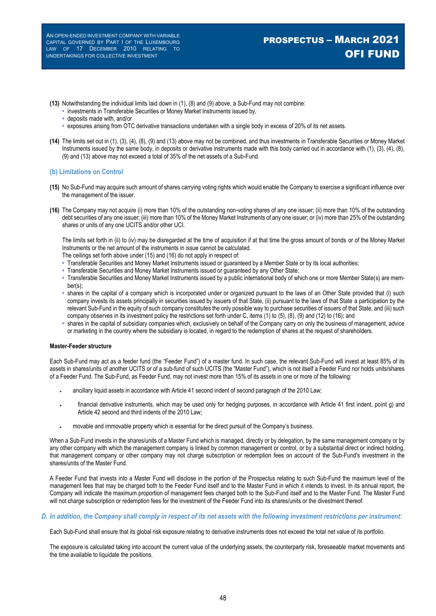# PROSPECTUS – MARCH 2021 OFI FUND

- **(13)** Notwithstanding the individual limits laid down in (1), (8) and (9) above, a Sub-Fund may not combine:
	- **•** investments in Transferable Securities or Money Market Instruments issued by,
	- **•** deposits made with, and/or
	- **•** exposures arising from OTC derivative transactions undertaken with a single body in excess of 20% of its net assets.
- **(14)** The limits set out in (1), (3), (4), (8), (9) and (13) above may not be combined, and thus investments in Transferable Securities or Money Market Instruments issued by the same body, in deposits or derivative instruments made with this body carried out in accordance with (1), (3), (4), (8), (9) and (13) above may not exceed a total of 35% of the net assets of a Sub-Fund.

#### **(b) Limitations on Control**

- **(15)** No Sub-Fund may acquire such amount of shares carrying voting rights which would enable the Company to exercise a significant influence over the management of the issuer.
- **(16)** The Company may not acquire (i) more than 10% of the outstanding non-voting shares of any one issuer; (ii) more than 10% of the outstanding debt securities of any one issuer; (iii) more than 10% of the Money Market Instruments of any one issuer; or (iv) more than 25% of the outstanding shares or units of any one UCITS and/or other UCI.

The limits set forth in (ii) to (iv) may be disregarded at the time of acquisition if at that time the gross amount of bonds or of the Money Market Instruments or the net amount of the instruments in issue cannot be calculated.

- The ceilings set forth above under (15) and (16) do not apply in respect of:
- **•** Transferable Securities and Money Market Instruments issued or guaranteed by a Member State or by its local authorities;
- **•** Transferable Securities and Money Market Instruments issued or guaranteed by any Other State;
- **•** Transferable Securities and Money Market Instruments issued by a public international body of which one or more Member State(s) are member(s);
- **•** shares in the capital of a company which is incorporated under or organized pursuant to the laws of an Other State provided that (i) such company invests its assets principally in securities issued by issuers of that State, (ii) pursuant to the laws of that State a participation by the relevant Sub-Fund in the equity of such company constitutes the only possible way to purchase securities of issuers of that State, and (iii) such company observes in its investment policy the restrictions set forth under C, items (1) to (5), (8), (9) and (12) to (16); and
- **•** shares in the capital of subsidiary companies which, exclusively on behalf of the Company carry on only the business of management, advice or marketing in the country where the subsidiary is located, in regard to the redemption of shares at the request of shareholders.

#### **Master-Feeder structure**

Each Sub-Fund may act as a feeder fund (the "Feeder Fund") of a master fund. In such case, the relevant Sub-Fund will invest at least 85% of its assets in shares/units of another UCITS or of a sub-fund of such UCITS (the "Master Fund"), which is not itself a Feeder Fund nor holds units/shares of a Feeder Fund. The Sub-Fund, as Feeder Fund, may not invest more than 15% of its assets in one or more of the following:

- ancillary liquid assets in accordance with Article 41 second indent of second paragraph of the 2010 Law;
- financial derivative instruments, which may be used only for hedging purposes, in accordance with Article 41 first indent, point g) and Article 42 second and third indents of the 2010 Law;
- movable and immovable property which is essential for the direct pursuit of the Company's business.

When a Sub-Fund invests in the shares/units of a Master Fund which is managed, directly or by delegation, by the same management company or by any other company with which the management company is linked by common management or control, or by a substantial direct or indirect holding, that management company or other company may not charge subscription or redemption fees on account of the Sub-Fund's investment in the shares/units of the Master Fund.

A Feeder Fund that invests into a Master Fund will disclose in the portion of the Prospectus relating to such Sub-Fund the maximum level of the management fees that may be charged both to the Feeder Fund itself and to the Master Fund in which it intends to invest. In its annual report, the Company will indicate the maximum proportion of management fees charged both to the Sub-Fund itself and to the Master Fund. The Master Fund will not charge subscription or redemption fees for the investment of the Feeder Fund into its shares/units or the divestment thereof.

### *D. In addition, the Company shall comply in respect of its net assets with the following investment restrictions per instrument:*

Each Sub-Fund shall ensure that its global risk exposure relating to derivative instruments does not exceed the total net value of its portfolio.

The exposure is calculated taking into account the current value of the underlying assets, the counterparty risk, foreseeable market movements and the time available to liquidate the positions.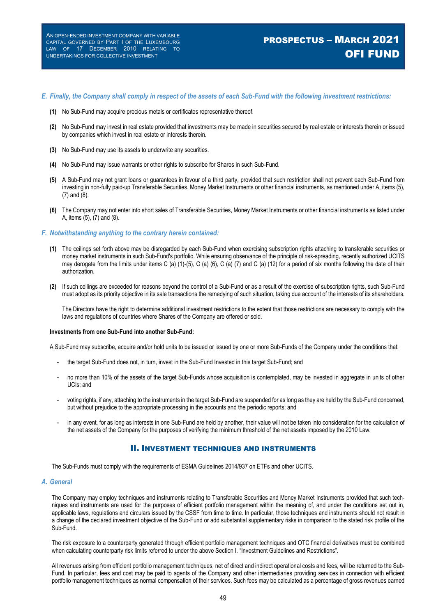# PROSPECTUS – MARCH 2021 OFI FUND

#### *E. Finally, the Company shall comply in respect of the assets of each Sub-Fund with the following investment restrictions:*

- **(1)** No Sub-Fund may acquire precious metals or certificates representative thereof.
- **(2)** No Sub-Fund may invest in real estate provided that investments may be made in securities secured by real estate or interests therein or issued by companies which invest in real estate or interests therein.
- **(3)** No Sub-Fund may use its assets to underwrite any securities.
- **(4)** No Sub-Fund may issue warrants or other rights to subscribe for Shares in such Sub-Fund.
- **(5)** A Sub-Fund may not grant loans or guarantees in favour of a third party, provided that such restriction shall not prevent each Sub-Fund from investing in non-fully paid-up Transferable Securities, Money Market Instruments or other financial instruments, as mentioned under A, items (5), (7) and (8).
- **(6)** The Company may not enter into short sales of Transferable Securities, Money Market Instruments or other financial instruments as listed under A, items (5), (7) and (8).

#### *F. Notwithstanding anything to the contrary herein contained:*

- **(1)** The ceilings set forth above may be disregarded by each Sub-Fund when exercising subscription rights attaching to transferable securities or money market instruments in such Sub-Fund's portfolio. While ensuring observance of the principle of risk-spreading, recently authorized UCITS may derogate from the limits under items C (a) (1)-(5), C (a) (6), C (a) (7) and C (a) (12) for a period of six months following the date of their authorization.
- **(2)** If such ceilings are exceeded for reasons beyond the control of a Sub-Fund or as a result of the exercise of subscription rights, such Sub-Fund must adopt as its priority objective in its sale transactions the remedying of such situation, taking due account of the interests of its shareholders.

The Directors have the right to determine additional investment restrictions to the extent that those restrictions are necessary to comply with the laws and regulations of countries where Shares of the Company are offered or sold.

#### **Investments from one Sub-Fund into another Sub-Fund:**

A Sub-Fund may subscribe, acquire and/or hold units to be issued or issued by one or more Sub-Funds of the Company under the conditions that:

- the target Sub-Fund does not, in turn, invest in the Sub-Fund Invested in this target Sub-Fund; and
- no more than 10% of the assets of the target Sub-Funds whose acquisition is contemplated, may be invested in aggregate in units of other UCIs; and
- voting rights, if any, attaching to the instruments in the target Sub-Fund are suspended for as long as they are held by the Sub-Fund concerned, but without prejudice to the appropriate processing in the accounts and the periodic reports; and
- in any event, for as long as interests in one Sub-Fund are held by another, their value will not be taken into consideration for the calculation of the net assets of the Company for the purposes of verifying the minimum threshold of the net assets imposed by the 2010 Law.

#### II. INVESTMENT TECHNIQUES AND INSTRUMENTS

The Sub-Funds must comply with the requirements of ESMA Guidelines 2014/937 on ETFs and other UCITS.

#### *A. General*

The Company may employ techniques and instruments relating to Transferable Securities and Money Market Instruments provided that such techniques and instruments are used for the purposes of efficient portfolio management within the meaning of, and under the conditions set out in, applicable laws, regulations and circulars issued by the CSSF from time to time. In particular, those techniques and instruments should not result in a change of the declared investment objective of the Sub-Fund or add substantial supplementary risks in comparison to the stated risk profile of the Sub-Fund.

The risk exposure to a counterparty generated through efficient portfolio management techniques and OTC financial derivatives must be combined when calculating counterparty risk limits referred to under the above Section I*.* "Investment Guidelines and Restrictions".

All revenues arising from efficient portfolio management techniques, net of direct and indirect operational costs and fees, will be returned to the Sub-Fund. In particular, fees and cost may be paid to agents of the Company and other intermediaries providing services in connection with efficient portfolio management techniques as normal compensation of their services. Such fees may be calculated as a percentage of gross revenues earned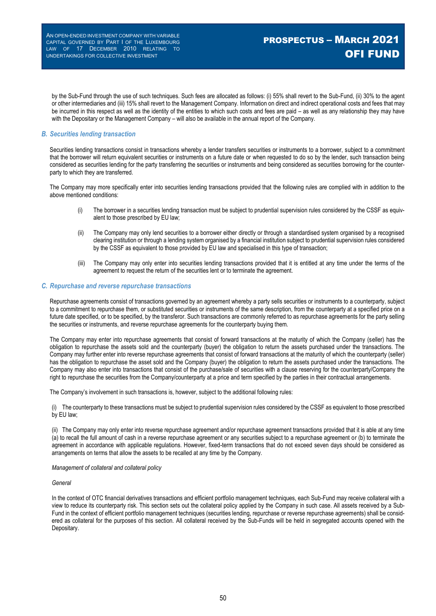by the Sub-Fund through the use of such techniques. Such fees are allocated as follows: (i) 55% shall revert to the Sub-Fund, (ii) 30% to the agent or other intermediaries and (iii) 15% shall revert to the Management Company. Information on direct and indirect operational costs and fees that may be incurred in this respect as well as the identity of the entities to which such costs and fees are paid – as well as any relationship they may have with the Depositary or the Management Company – will also be available in the annual report of the Company.

#### *B. Securities lending transaction*

Securities lending transactions consist in transactions whereby a lender transfers securities or instruments to a borrower, subject to a commitment that the borrower will return equivalent securities or instruments on a future date or when requested to do so by the lender, such transaction being considered as securities lending for the party transferring the securities or instruments and being considered as securities borrowing for the counterparty to which they are transferred.

The Company may more specifically enter into securities lending transactions provided that the following rules are complied with in addition to the above mentioned conditions:

- (i) The borrower in a securities lending transaction must be subject to prudential supervision rules considered by the CSSF as equivalent to those prescribed by EU law;
- (ii) The Company may only lend securities to a borrower either directly or through a standardised system organised by a recognised clearing institution or through a lending system organised by a financial institution subject to prudential supervision rules considered by the CSSF as equivalent to those provided by EU law and specialised in this type of transaction;
- (iii) The Company may only enter into securities lending transactions provided that it is entitled at any time under the terms of the agreement to request the return of the securities lent or to terminate the agreement.

#### *C. Repurchase and reverse repurchase transactions*

Repurchase agreements consist of transactions governed by an agreement whereby a party sells securities or instruments to a counterparty, subject to a commitment to repurchase them, or substituted securities or instruments of the same description, from the counterparty at a specified price on a future date specified, or to be specified, by the transferor. Such transactions are commonly referred to as repurchase agreements for the party selling the securities or instruments, and reverse repurchase agreements for the counterparty buying them.

The Company may enter into repurchase agreements that consist of forward transactions at the maturity of which the Company (seller) has the obligation to repurchase the assets sold and the counterparty (buyer) the obligation to return the assets purchased under the transactions. The Company may further enter into reverse repurchase agreements that consist of forward transactions at the maturity of which the counterparty (seller) has the obligation to repurchase the asset sold and the Company (buyer) the obligation to return the assets purchased under the transactions. The Company may also enter into transactions that consist of the purchase/sale of securities with a clause reserving for the counterparty/Company the right to repurchase the securities from the Company/counterparty at a price and term specified by the parties in their contractual arrangements.

The Company's involvement in such transactions is, however, subject to the additional following rules:

(i) The counterparty to these transactions must be subject to prudential supervision rules considered by the CSSF as equivalent to those prescribed by EU law;

(ii) The Company may only enter into reverse repurchase agreement and/or repurchase agreement transactions provided that it is able at any time (a) to recall the full amount of cash in a reverse repurchase agreement or any securities subject to a repurchase agreement or (b) to terminate the agreement in accordance with applicable regulations. However, fixed-term transactions that do not exceed seven days should be considered as arrangements on terms that allow the assets to be recalled at any time by the Company.

#### *Management of collateral and collateral policy*

#### *General*

In the context of OTC financial derivatives transactions and efficient portfolio management techniques, each Sub-Fund may receive collateral with a view to reduce its counterparty risk. This section sets out the collateral policy applied by the Company in such case. All assets received by a Sub-Fund in the context of efficient portfolio management techniques (securities lending, repurchase or reverse repurchase agreements) shall be considered as collateral for the purposes of this section. All collateral received by the Sub-Funds will be held in segregated accounts opened with the Depositary.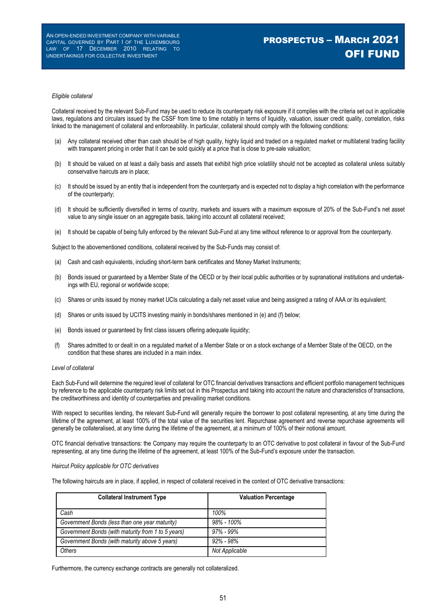# PROSPECTUS – MARCH 2021 OFI FUND

#### *Eligible collateral*

Collateral received by the relevant Sub-Fund may be used to reduce its counterparty risk exposure if it complies with the criteria set out in applicable laws, regulations and circulars issued by the CSSF from time to time notably in terms of liquidity, valuation, issuer credit quality, correlation, risks linked to the management of collateral and enforceability. In particular, collateral should comply with the following conditions:

- (a) Any collateral received other than cash should be of high quality, highly liquid and traded on a regulated market or multilateral trading facility with transparent pricing in order that it can be sold quickly at a price that is close to pre-sale valuation;
- (b) It should be valued on at least a daily basis and assets that exhibit high price volatility should not be accepted as collateral unless suitably conservative haircuts are in place;
- (c) It should be issued by an entity that is independent from the counterparty and is expected not to display a high correlation with the performance of the counterparty;
- (d) It should be sufficiently diversified in terms of country, markets and issuers with a maximum exposure of 20% of the Sub-Fund's net asset value to any single issuer on an aggregate basis, taking into account all collateral received;
- (e) It should be capable of being fully enforced by the relevant Sub-Fund at any time without reference to or approval from the counterparty.

Subject to the abovementioned conditions, collateral received by the Sub-Funds may consist of:

- (a) Cash and cash equivalents, including short-term bank certificates and Money Market Instruments;
- (b) Bonds issued or guaranteed by a Member State of the OECD or by their local public authorities or by supranational institutions and undertakings with EU, regional or worldwide scope;
- (c) Shares or units issued by money market UCIs calculating a daily net asset value and being assigned a rating of AAA or its equivalent;
- (d) Shares or units issued by UCITS investing mainly in bonds/shares mentioned in (e) and (f) below;
- (e) Bonds issued or guaranteed by first class issuers offering adequate liquidity;
- (f) Shares admitted to or dealt in on a regulated market of a Member State or on a stock exchange of a Member State of the OECD, on the condition that these shares are included in a main index.

#### *Level of collateral*

Each Sub-Fund will determine the required level of collateral for OTC financial derivatives transactions and efficient portfolio management techniques by reference to the applicable counterparty risk limits set out in this Prospectus and taking into account the nature and characteristics of transactions, the creditworthiness and identity of counterparties and prevailing market conditions.

With respect to securities lending, the relevant Sub-Fund will generally require the borrower to post collateral representing, at any time during the lifetime of the agreement, at least 100% of the total value of the securities lent. Repurchase agreement and reverse repurchase agreements will generally be collateralised, at any time during the lifetime of the agreement, at a minimum of 100% of their notional amount.

OTC financial derivative transactions: the Company may require the counterparty to an OTC derivative to post collateral in favour of the Sub-Fund representing, at any time during the lifetime of the agreement, at least 100% of the Sub-Fund's exposure under the transaction.

#### *Haircut Policy applicable for OTC derivatives*

The following haircuts are in place, if applied, in respect of collateral received in the context of OTC derivative transactions:

| <b>Collateral Instrument Type</b>                  | <b>Valuation Percentage</b> |  |  |
|----------------------------------------------------|-----------------------------|--|--|
| Cash                                               | 100%                        |  |  |
| Government Bonds (less than one year maturity)     | $98\% - 100\%$              |  |  |
| Government Bonds (with maturity from 1 to 5 years) | $.97\% - .99\%$             |  |  |
| Government Bonds (with maturity above 5 years)     | $.92\% - .98\%$             |  |  |
| Others                                             | Not Applicable              |  |  |

Furthermore, the currency exchange contracts are generally not collateralized.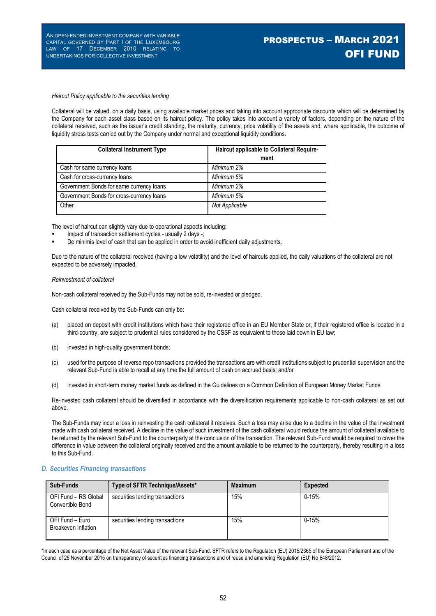#### *Haircut Policy applicable to the securities lending*

Collateral will be valued, on a daily basis, using available market prices and taking into account appropriate discounts which will be determined by the Company for each asset class based on its haircut policy. The policy takes into account a variety of factors, depending on the nature of the collateral received, such as the issuer's credit standing, the maturity, currency, price volatility of the assets and, where applicable, the outcome of liquidity stress tests carried out by the Company under normal and exceptional liquidity conditions.

| <b>Collateral Instrument Type</b>         | Haircut applicable to Collateral Require- |  |
|-------------------------------------------|-------------------------------------------|--|
|                                           | ment                                      |  |
| Cash for same currency loans              | Minimum 2%                                |  |
| Cash for cross-currency loans             | Minimum 5%                                |  |
| Government Bonds for same currency loans  | Minimum 2%                                |  |
| Government Bonds for cross-currency loans | Minimum 5%                                |  |
| Other                                     | Not Applicable                            |  |

The level of haircut can slightly vary due to operational aspects including:

- Impact of transaction settlement cycles usually 2 days -;
- De minimis level of cash that can be applied in order to avoid inefficient daily adjustments.

Due to the nature of the collateral received (having a low volatility) and the level of haircuts applied, the daily valuations of the collateral are not expected to be adversely impacted.

#### *Reinvestment of collateral*

Non-cash collateral received by the Sub-Funds may not be sold, re-invested or pledged.

Cash collateral received by the Sub-Funds can only be:

- (a) placed on deposit with credit institutions which have their registered office in an EU Member State or, if their registered office is located in a third-country, are subject to prudential rules considered by the CSSF as equivalent to those laid down in EU law;
- (b) invested in high-quality government bonds;
- (c) used for the purpose of reverse repo transactions provided the transactions are with credit institutions subject to prudential supervision and the relevant Sub-Fund is able to recall at any time the full amount of cash on accrued basis; and/or
- (d) invested in short-term money market funds as defined in the Guidelines on a Common Definition of European Money Market Funds.

Re-invested cash collateral should be diversified in accordance with the diversification requirements applicable to non-cash collateral as set out above.

The Sub-Funds may incur a loss in reinvesting the cash collateral it receives. Such a loss may arise due to a decline in the value of the investment made with cash collateral received. A decline in the value of such investment of the cash collateral would reduce the amount of collateral available to be returned by the relevant Sub-Fund to the counterparty at the conclusion of the transaction. The relevant Sub-Fund would be required to cover the difference in value between the collateral originally received and the amount available to be returned to the counterparty, thereby resulting in a loss to this Sub-Fund.

#### *D. Securities Financing transactions*

| Sub-Funds                                | Type of SFTR Technique/Assets*  | <b>Maximum</b> | <b>Expected</b> |
|------------------------------------------|---------------------------------|----------------|-----------------|
| OFI Fund - RS Global<br>Convertible Bond | securities lending transactions | 15%            | $0 - 15%$       |
| OFI Fund – Euro<br>Breakeven Inflation   | securities lending transactions | 15%            | $0 - 15%$       |

\*In each case as a percentage of the Net Asset Value of the relevant Sub-Fund. SFTR refers to the Regulation (EU) 2015/2365 of the European Parliament and of the Council of 25 November 2015 on transparency of securities financing transactions and of reuse and amending Regulation (EU) No 648/2012.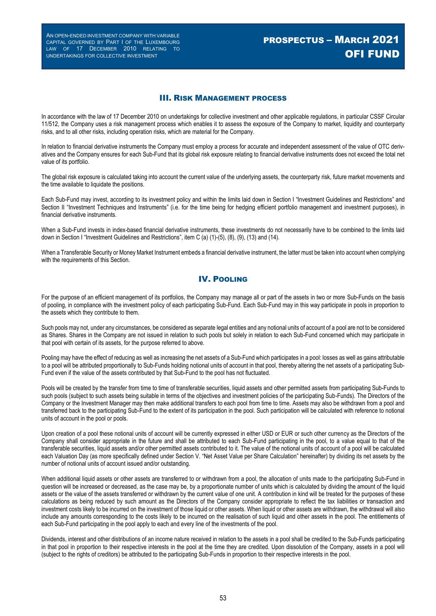# PROSPECTUS – MARCH 2021 OFI FUND

### III. RISK MANAGEMENT PROCESS

In accordance with the law of 17 December 2010 on undertakings for collective investment and other applicable regulations, in particular CSSF Circular 11/512, the Company uses a risk management process which enables it to assess the exposure of the Company to market, liquidity and counterparty risks, and to all other risks, including operation risks, which are material for the Company.

In relation to financial derivative instruments the Company must employ a process for accurate and independent assessment of the value of OTC derivatives and the Company ensures for each Sub-Fund that its global risk exposure relating to financial derivative instruments does not exceed the total net value of its portfolio.

The global risk exposure is calculated taking into account the current value of the underlying assets, the counterparty risk, future market movements and the time available to liquidate the positions.

Each Sub-Fund may invest, according to its investment policy and within the limits laid down in Section I "Investment Guidelines and Restrictions" and Section II "Investment Techniques and Instruments" (i.e. for the time being for hedging efficient portfolio management and investment purposes), in financial derivative instruments.

When a Sub-Fund invests in index-based financial derivative instruments, these investments do not necessarily have to be combined to the limits laid down in Section I "Investment Guidelines and Restrictions", item C (a) (1)-(5), (8), (9), (13) and (14).

When a Transferable Security or Money Market Instrument embeds a financial derivative instrument, the latter must be taken into account when complying with the requirements of this Section.

### IV. POOLING

For the purpose of an efficient management of its portfolios, the Company may manage all or part of the assets in two or more Sub-Funds on the basis of pooling, in compliance with the investment policy of each participating Sub-Fund. Each Sub-Fund may in this way participate in pools in proportion to the assets which they contribute to them.

Such pools may not, under any circumstances, be considered as separate legal entities and any notional units of account of a pool are not to be considered as Shares. Shares in the Company are not issued in relation to such pools but solely in relation to each Sub-Fund concerned which may participate in that pool with certain of its assets, for the purpose referred to above.

Pooling may have the effect of reducing as well as increasing the net assets of a Sub-Fund which participates in a pool: losses as well as gains attributable to a pool will be attributed proportionally to Sub-Funds holding notional units of account in that pool, thereby altering the net assets of a participating Sub-Fund even if the value of the assets contributed by that Sub-Fund to the pool has not fluctuated.

Pools will be created by the transfer from time to time of transferable securities, liquid assets and other permitted assets from participating Sub-Funds to such pools (subject to such assets being suitable in terms of the objectives and investment policies of the participating Sub-Funds). The Directors of the Company or the Investment Manager may then make additional transfers to each pool from time to time. Assets may also be withdrawn from a pool and transferred back to the participating Sub-Fund to the extent of its participation in the pool. Such participation will be calculated with reference to notional units of account in the pool or pools.

Upon creation of a pool these notional units of account will be currently expressed in either USD or EUR or such other currency as the Directors of the Company shall consider appropriate in the future and shall be attributed to each Sub-Fund participating in the pool, to a value equal to that of the transferable securities, liquid assets and/or other permitted assets contributed to it. The value of the notional units of account of a pool will be calculated each Valuation Day (as more specifically defined under Section V. "Net Asset Value per Share Calculation" hereinafter) by dividing its net assets by the number of notional units of account issued and/or outstanding.

When additional liquid assets or other assets are transferred to or withdrawn from a pool, the allocation of units made to the participating Sub-Fund in question will be increased or decreased, as the case may be, by a proportionate number of units which is calculated by dividing the amount of the liquid assets or the value of the assets transferred or withdrawn by the current value of one unit. A contribution in kind will be treated for the purposes of these calculations as being reduced by such amount as the Directors of the Company consider appropriate to reflect the tax liabilities or transaction and investment costs likely to be incurred on the investment of those liquid or other assets. When liquid or other assets are withdrawn, the withdrawal will also include any amounts corresponding to the costs likely to be incurred on the realisation of such liquid and other assets in the pool. The entitlements of each Sub-Fund participating in the pool apply to each and every line of the investments of the pool.

Dividends, interest and other distributions of an income nature received in relation to the assets in a pool shall be credited to the Sub-Funds participating in that pool in proportion to their respective interests in the pool at the time they are credited. Upon dissolution of the Company, assets in a pool will (subject to the rights of creditors) be attributed to the participating Sub-Funds in proportion to their respective interests in the pool.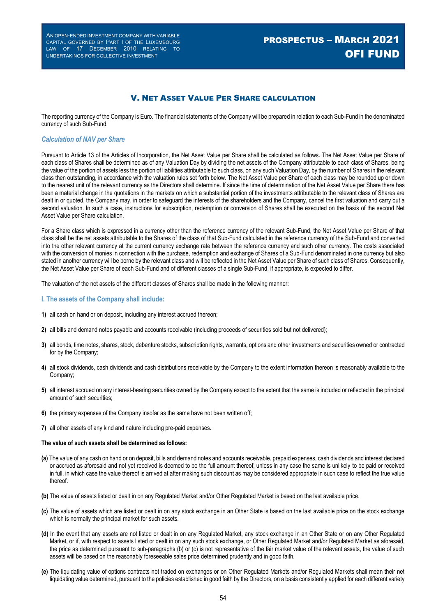# V. NET ASSET VALUE PER SHARE CALCULATION

The reporting currency of the Company is Euro. The financial statements of the Company will be prepared in relation to each Sub-Fund in the denominated currency of such Sub-Fund.

#### *Calculation of NAV per Share*

Pursuant to Article 13 of the Articles of Incorporation, the Net Asset Value per Share shall be calculated as follows. The Net Asset Value per Share of each class of Shares shall be determined as of any Valuation Day by dividing the net assets of the Company attributable to each class of Shares, being the value of the portion of assets less the portion of liabilities attributable to such class, on any such Valuation Day, by the number of Shares in the relevant class then outstanding, in accordance with the valuation rules set forth below. The Net Asset Value per Share of each class may be rounded up or down to the nearest unit of the relevant currency as the Directors shall determine. If since the time of determination of the Net Asset Value per Share there has been a material change in the quotations in the markets on which a substantial portion of the investments attributable to the relevant class of Shares are dealt in or quoted, the Company may, in order to safeguard the interests of the shareholders and the Company, cancel the first valuation and carry out a second valuation. In such a case, instructions for subscription, redemption or conversion of Shares shall be executed on the basis of the second Net Asset Value per Share calculation.

For a Share class which is expressed in a currency other than the reference currency of the relevant Sub-Fund, the Net Asset Value per Share of that class shall be the net assets attributable to the Shares of the class of that Sub-Fund calculated in the reference currency of the Sub-Fund and converted into the other relevant currency at the current currency exchange rate between the reference currency and such other currency. The costs associated with the conversion of monies in connection with the purchase, redemption and exchange of Shares of a Sub-Fund denominated in one currency but also stated in another currency will be borne by the relevant class and will be reflected in the Net Asset Value per Share of such class of Shares. Consequently, the Net Asset Value per Share of each Sub-Fund and of different classes of a single Sub-Fund, if appropriate, is expected to differ.

The valuation of the net assets of the different classes of Shares shall be made in the following manner:

#### **I. The assets of the Company shall include:**

- **1)** all cash on hand or on deposit, including any interest accrued thereon;
- **2)** all bills and demand notes payable and accounts receivable (including proceeds of securities sold but not delivered);
- **3)** all bonds, time notes, shares, stock, debenture stocks, subscription rights, warrants, options and other investments and securities owned or contracted for by the Company;
- **4)** all stock dividends, cash dividends and cash distributions receivable by the Company to the extent information thereon is reasonably available to the Company;
- **5)** all interest accrued on any interest-bearing securities owned by the Company except to the extent that the same is included or reflected in the principal amount of such securities;
- **6)** the primary expenses of the Company insofar as the same have not been written off;
- **7)** all other assets of any kind and nature including pre-paid expenses.

#### **The value of such assets shall be determined as follows:**

- **(a)** The value of any cash on hand or on deposit, bills and demand notes and accounts receivable, prepaid expenses, cash dividends and interest declared or accrued as aforesaid and not yet received is deemed to be the full amount thereof, unless in any case the same is unlikely to be paid or received in full, in which case the value thereof is arrived at after making such discount as may be considered appropriate in such case to reflect the true value thereof.
- **(b)** The value of assets listed or dealt in on any Regulated Market and/or Other Regulated Market is based on the last available price.
- **(c)** The value of assets which are listed or dealt in on any stock exchange in an Other State is based on the last available price on the stock exchange which is normally the principal market for such assets.
- **(d)** In the event that any assets are not listed or dealt in on any Regulated Market, any stock exchange in an Other State or on any Other Regulated Market, or if, with respect to assets listed or dealt in on any such stock exchange, or Other Regulated Market and/or Regulated Market as aforesaid, the price as determined pursuant to sub-paragraphs (b) or (c) is not representative of the fair market value of the relevant assets, the value of such assets will be based on the reasonably foreseeable sales price determined prudently and in good faith.
- **(e)** The liquidating value of options contracts not traded on exchanges or on Other Regulated Markets and/or Regulated Markets shall mean their net liquidating value determined, pursuant to the policies established in good faith by the Directors, on a basis consistently applied for each different variety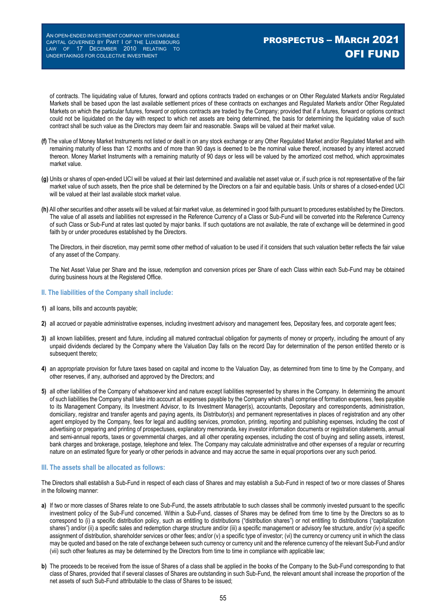of contracts. The liquidating value of futures, forward and options contracts traded on exchanges or on Other Regulated Markets and/or Regulated Markets shall be based upon the last available settlement prices of these contracts on exchanges and Regulated Markets and/or Other Regulated Markets on which the particular futures, forward or options contracts are traded by the Company; provided that if a futures, forward or options contract could not be liquidated on the day with respect to which net assets are being determined, the basis for determining the liquidating value of such contract shall be such value as the Directors may deem fair and reasonable. Swaps will be valued at their market value.

- **(f)** The value of Money Market Instruments not listed or dealt in on any stock exchange or any Other Regulated Market and/or Regulated Market and with remaining maturity of less than 12 months and of more than 90 days is deemed to be the nominal value thereof, increased by any interest accrued thereon. Money Market Instruments with a remaining maturity of 90 days or less will be valued by the amortized cost method, which approximates market value.
- **(g)** Units or shares of open-ended UCI will be valued at their last determined and available net asset value or, if such price is not representative of the fair market value of such assets, then the price shall be determined by the Directors on a fair and equitable basis. Units or shares of a closed-ended UCI will be valued at their last available stock market value.
- **(h)** All other securities and other assets will be valued at fair market value, as determined in good faith pursuant to procedures established by the Directors. The value of all assets and liabilities not expressed in the Reference Currency of a Class or Sub-Fund will be converted into the Reference Currency of such Class or Sub-Fund at rates last quoted by major banks. If such quotations are not available, the rate of exchange will be determined in good faith by or under procedures established by the Directors.

The Directors, in their discretion, may permit some other method of valuation to be used if it considers that such valuation better reflects the fair value of any asset of the Company.

The Net Asset Value per Share and the issue, redemption and conversion prices per Share of each Class within each Sub-Fund may be obtained during business hours at the Registered Office.

#### **II. The liabilities of the Company shall include:**

- **1)** all loans, bills and accounts payable;
- **2)** all accrued or payable administrative expenses, including investment advisory and management fees, Depositary fees, and corporate agent fees;
- **3)** all known liabilities, present and future, including all matured contractual obligation for payments of money or property, including the amount of any unpaid dividends declared by the Company where the Valuation Day falls on the record Day for determination of the person entitled thereto or is subsequent thereto;
- **4)** an appropriate provision for future taxes based on capital and income to the Valuation Day, as determined from time to time by the Company, and other reserves, if any, authorised and approved by the Directors; and
- **5)** all other liabilities of the Company of whatsoever kind and nature except liabilities represented by shares in the Company. In determining the amount of such liabilities the Company shall take into account all expenses payable by the Company which shall comprise of formation expenses, fees payable to its Management Company, its Investment Advisor, to its Investment Manager(s), accountants, Depositary and correspondents, administration, domiciliary, registrar and transfer agents and paying agents, its Distributor(s) and permanent representatives in places of registration and any other agent employed by the Company, fees for legal and auditing services, promotion, printing, reporting and publishing expenses, including the cost of advertising or preparing and printing of prospectuses, explanatory memoranda, key investor information documents or registration statements, annual and semi-annual reports, taxes or governmental charges, and all other operating expenses, including the cost of buying and selling assets, interest, bank charges and brokerage, postage, telephone and telex. The Company may calculate administrative and other expenses of a regular or recurring nature on an estimated figure for yearly or other periods in advance and may accrue the same in equal proportions over any such period.

#### **III. The assets shall be allocated as follows:**

The Directors shall establish a Sub-Fund in respect of each class of Shares and may establish a Sub-Fund in respect of two or more classes of Shares in the following manner:

- **a)** If two or more classes of Shares relate to one Sub-Fund, the assets attributable to such classes shall be commonly invested pursuant to the specific investment policy of the Sub-Fund concerned. Within a Sub-Fund, classes of Shares may be defined from time to time by the Directors so as to correspond to (i) a specific distribution policy, such as entitling to distributions ("distribution shares") or not entitling to distributions ("capitalization shares") and/or (ii) a specific sales and redemption charge structure and/or (iii) a specific management or advisory fee structure, and/or (iv) a specific assignment of distribution, shareholder services or other fees; and/or (v) a specific type of investor; (vi) the currency or currency unit in which the class may be quoted and based on the rate of exchange between such currency or currency unit and the reference currency of the relevant Sub-Fund and/or (vii) such other features as may be determined by the Directors from time to time in compliance with applicable law;
- **b)** The proceeds to be received from the issue of Shares of a class shall be applied in the books of the Company to the Sub-Fund corresponding to that class of Shares, provided that if several classes of Shares are outstanding in such Sub-Fund, the relevant amount shall increase the proportion of the net assets of such Sub-Fund attributable to the class of Shares to be issued;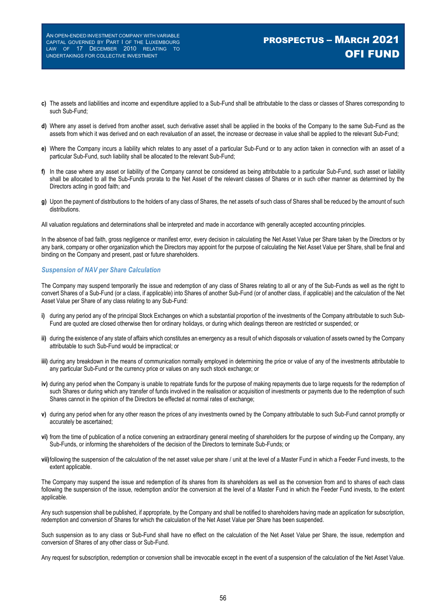# PROSPECTUS – MARCH 2021 OFI FUND

- **c)** The assets and liabilities and income and expenditure applied to a Sub-Fund shall be attributable to the class or classes of Shares corresponding to such Sub-Fund;
- **d)** Where any asset is derived from another asset, such derivative asset shall be applied in the books of the Company to the same Sub-Fund as the assets from which it was derived and on each revaluation of an asset, the increase or decrease in value shall be applied to the relevant Sub-Fund;
- **e)** Where the Company incurs a liability which relates to any asset of a particular Sub-Fund or to any action taken in connection with an asset of a particular Sub-Fund, such liability shall be allocated to the relevant Sub-Fund;
- **f)** In the case where any asset or liability of the Company cannot be considered as being attributable to a particular Sub-Fund, such asset or liability shall be allocated to all the Sub-Funds prorata to the Net Asset of the relevant classes of Shares or in such other manner as determined by the Directors acting in good faith; and
- **g)** Upon the payment of distributions to the holders of any class of Shares, the net assets of such class of Shares shall be reduced by the amount of such distributions.
- All valuation regulations and determinations shall be interpreted and made in accordance with generally accepted accounting principles.

In the absence of bad faith, gross negligence or manifest error, every decision in calculating the Net Asset Value per Share taken by the Directors or by any bank, company or other organization which the Directors may appoint for the purpose of calculating the Net Asset Value per Share, shall be final and binding on the Company and present, past or future shareholders.

#### *Suspension of NAV per Share Calculation*

The Company may suspend temporarily the issue and redemption of any class of Shares relating to all or any of the Sub-Funds as well as the right to convert Shares of a Sub-Fund (or a class, if applicable) into Shares of another Sub-Fund (or of another class, if applicable) and the calculation of the Net Asset Value per Share of any class relating to any Sub-Fund:

- **i)** during any period any of the principal Stock Exchanges on which a substantial proportion of the investments of the Company attributable to such Sub-Fund are quoted are closed otherwise then for ordinary holidays, or during which dealings thereon are restricted or suspended; or
- **ii)** during the existence of any state of affairs which constitutes an emergency as a result of which disposals or valuation of assets owned by the Company attributable to such Sub-Fund would be impractical; or
- **iii)** during any breakdown in the means of communication normally employed in determining the price or value of any of the investments attributable to any particular Sub-Fund or the currency price or values on any such stock exchange; or
- **iv)** during any period when the Company is unable to repatriate funds for the purpose of making repayments due to large requests for the redemption of such Shares or during which any transfer of funds involved in the realisation or acquisition of investments or payments due to the redemption of such Shares cannot in the opinion of the Directors be effected at normal rates of exchange;
- **v)** during any period when for any other reason the prices of any investments owned by the Company attributable to such Sub-Fund cannot promptly or accurately be ascertained;
- **vi)** from the time of publication of a notice convening an extraordinary general meeting of shareholders for the purpose of winding up the Company, any Sub-Funds, or informing the shareholders of the decision of the Directors to terminate Sub-Funds; or
- **vii)**following the suspension of the calculation of the net asset value per share / unit at the level of a Master Fund in which a Feeder Fund invests, to the extent applicable.

The Company may suspend the issue and redemption of its shares from its shareholders as well as the conversion from and to shares of each class following the suspension of the issue, redemption and/or the conversion at the level of a Master Fund in which the Feeder Fund invests, to the extent applicable.

Any such suspension shall be published, if appropriate, by the Company and shall be notified to shareholders having made an application for subscription, redemption and conversion of Shares for which the calculation of the Net Asset Value per Share has been suspended.

Such suspension as to any class or Sub-Fund shall have no effect on the calculation of the Net Asset Value per Share, the issue, redemption and conversion of Shares of any other class or Sub-Fund.

Any request for subscription, redemption or conversion shall be irrevocable except in the event of a suspension of the calculation of the Net Asset Value.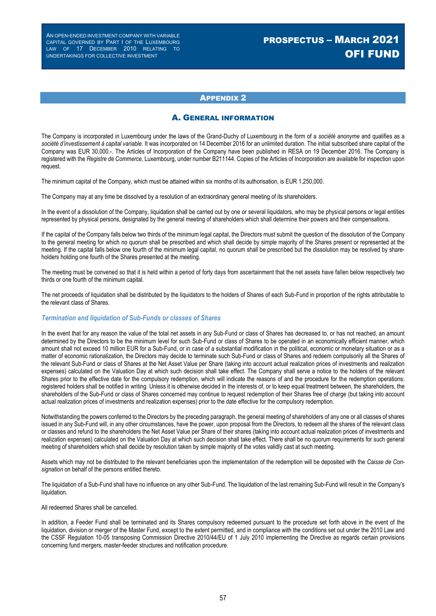# PROSPECTUS – MARCH 2021 OFI FUND

### APPENDIX 2

### A. GENERAL INFORMATION

The Company is incorporated in Luxembourg under the laws of the Grand-Duchy of Luxembourg in the form of a *société anonyme* and qualifies as a *société d'investissement à capital variable*. It was incorporated on 14 December 2016 for an unlimited duration. The initial subscribed share capital of the Company was EUR 30,000.-. The Articles of Incorporation of the Company have been published in RESA on 19 December 2016. The Company is registered with the *Registre de Commerce*, Luxembourg, under number B211144. Copies of the Articles of Incorporation are available for inspection upon request.

The minimum capital of the Company, which must be attained within six months of its authorisation, is EUR 1,250,000.

The Company may at any time be dissolved by a resolution of an extraordinary general meeting of its shareholders.

In the event of a dissolution of the Company, liquidation shall be carried out by one or several liquidators, who may be physical persons or legal entities represented by physical persons, designated by the general meeting of shareholders which shall determine their powers and their compensations.

If the capital of the Company falls below two thirds of the minimum legal capital, the Directors must submit the question of the dissolution of the Company to the general meeting for which no quorum shall be prescribed and which shall decide by simple majority of the Shares present or represented at the meeting. If the capital falls below one fourth of the minimum legal capital, no quorum shall be prescribed but the dissolution may be resolved by shareholders holding one fourth of the Shares presented at the meeting.

The meeting must be convened so that it is held within a period of forty days from ascertainment that the net assets have fallen below respectively two thirds or one fourth of the minimum capital.

The net proceeds of liquidation shall be distributed by the liquidators to the holders of Shares of each Sub-Fund in proportion of the rights attributable to the relevant class of Shares.

#### *Termination and liquidation of Sub-Funds or classes of Shares*

In the event that for any reason the value of the total net assets in any Sub-Fund or class of Shares has decreased to, or has not reached, an amount determined by the Directors to be the minimum level for such Sub-Fund or class of Shares to be operated in an economically efficient manner, which amount shall not exceed 10 million EUR for a Sub-Fund, or in case of a substantial modification in the political, economic or monetary situation or as a matter of economic rationalization, the Directors may decide to terminate such Sub-Fund or class of Shares and redeem compulsorily all the Shares of the relevant Sub-Fund or class of Shares at the Net Asset Value per Share (taking into account actual realization prices of investments and realization expenses) calculated on the Valuation Day at which such decision shall take effect. The Company shall serve a notice to the holders of the relevant Shares prior to the effective date for the compulsory redemption, which will indicate the reasons of and the procedure for the redemption operations: registered holders shall be notified in writing. Unless it is otherwise decided in the interests of, or to keep equal treatment between, the shareholders, the shareholders of the Sub-Fund or class of Shares concerned may continue to request redemption of their Shares free of charge (but taking into account actual realization prices of investments and realization expenses) prior to the date effective for the compulsory redemption.

Notwithstanding the powers conferred to the Directors by the preceding paragraph, the general meeting of shareholders of any one or all classes of shares issued in any Sub-Fund will, in any other circumstances, have the power, upon proposal from the Directors, to redeem all the shares of the relevant class or classes and refund to the shareholders the Net Asset Value per Share of their shares (taking into account actual realization prices of investments and realization expenses) calculated on the Valuation Day at which such decision shall take effect. There shall be no quorum requirements for such general meeting of shareholders which shall decide by resolution taken by simple majority of the votes validly cast at such meeting.

Assets which may not be distributed to the relevant beneficiaries upon the implementation of the redemption will be deposited with the *Caisse de Consignation* on behalf of the persons entitled thereto.

The liquidation of a Sub-Fund shall have no influence on any other Sub-Fund. The liquidation of the last remaining Sub-Fund will result in the Company's liquidation.

All redeemed Shares shall be cancelled.

In addition, a Feeder Fund shall be terminated and its Shares compulsory redeemed pursuant to the procedure set forth above in the event of the liquidation, division or merger of the Master Fund, except to the extent permitted, and in compliance with the conditions set out under the 2010 Law and the CSSF Regulation 10-05 transposing Commission Directive 2010/44/EU of 1 July 2010 implementing the Directive as regards certain provisions concerning fund mergers, master-feeder structures and notification procedure.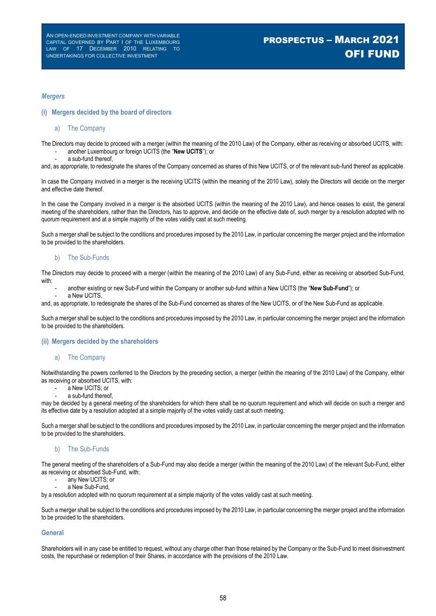#### *Mergers*

#### **(i) Mergers decided by the board of directors**

### a) The Company

The Directors may decide to proceed with a merger (within the meaning of the 2010 Law) of the Company, either as receiving or absorbed UCITS, with: - another Luxembourg or foreign UCITS (the "**New UCITS**"); or

a sub-fund thereof.

and, as appropriate, to redesignate the shares of the Company concerned as shares of this New UCITS, or of the relevant sub-fund thereof as applicable.

In case the Company involved in a merger is the receiving UCITS (within the meaning of the 2010 Law), solely the Directors will decide on the merger and effective date thereof.

In the case the Company involved in a merger is the absorbed UCITS (within the meaning of the 2010 Law), and hence ceases to exist, the general meeting of the shareholders, rather than the Directors, has to approve, and decide on the effective date of, such merger by a resolution adopted with no quorum requirement and at a simple majority of the votes validly cast at such meeting.

Such a merger shall be subject to the conditions and procedures imposed by the 2010 Law, in particular concerning the merger project and the information to be provided to the shareholders.

#### b) The Sub-Funds

The Directors may decide to proceed with a merger (within the meaning of the 2010 Law) of any Sub-Fund, either as receiving or absorbed Sub-Fund, with:

- another existing or new Sub-Fund within the Company or another sub-fund within a New UCITS (the "**New Sub-Fund**"); or a New UCITS,
- and, as appropriate, to redesignate the shares of the Sub-Fund concerned as shares of the New UCITS, or of the New Sub-Fund as applicable.

Such a merger shall be subject to the conditions and procedures imposed by the 2010 Law, in particular concerning the merger project and the information to be provided to the shareholders.

#### **(ii) Mergers decided by the shareholders**

#### a) The Company

Notwithstanding the powers conferred to the Directors by the preceding section, a merger (within the meaning of the 2010 Law) of the Company, either as receiving or absorbed UCITS, with:

- a New UCITS; or
- a sub-fund thereof,

may be decided by a general meeting of the shareholders for which there shall be no quorum requirement and which will decide on such a merger and its effective date by a resolution adopted at a simple majority of the votes validly cast at such meeting.

Such a merger shall be subject to the conditions and procedures imposed by the 2010 Law, in particular concerning the merger project and the information to be provided to the shareholders.

#### b) The Sub-Funds

The general meeting of the shareholders of a Sub-Fund may also decide a merger (within the meaning of the 2010 Law) of the relevant Sub-Fund, either as receiving or absorbed Sub-Fund, with:

- any New UCITS; or
- a New Sub-Fund

by a resolution adopted with no quorum requirement at a simple majority of the votes validly cast at such meeting.

Such a merger shall be subject to the conditions and procedures imposed by the 2010 Law, in particular concerning the merger project and the information to be provided to the shareholders.

#### **General**

Shareholders will in any case be entitled to request, without any charge other than those retained by the Company or the Sub-Fund to meet disinvestment costs, the repurchase or redemption of their Shares, in accordance with the provisions of the 2010 Law.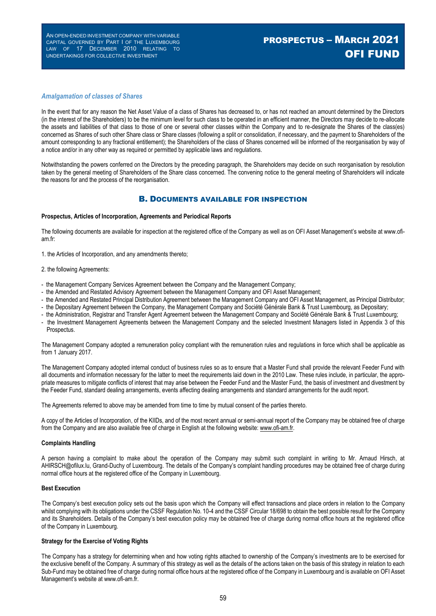# PROSPECTUS – MARCH 2021 OFI FUND

#### *Amalgamation of classes of Shares*

In the event that for any reason the Net Asset Value of a class of Shares has decreased to, or has not reached an amount determined by the Directors (in the interest of the Shareholders) to be the minimum level for such class to be operated in an efficient manner, the Directors may decide to re-allocate the assets and liabilities of that class to those of one or several other classes within the Company and to re-designate the Shares of the class(es) concerned as Shares of such other Share class or Share classes (following a split or consolidation, if necessary, and the payment to Shareholders of the amount corresponding to any fractional entitlement); the Shareholders of the class of Shares concerned will be informed of the reorganisation by way of a notice and/or in any other way as required or permitted by applicable laws and regulations.

Notwithstanding the powers conferred on the Directors by the preceding paragraph, the Shareholders may decide on such reorganisation by resolution taken by the general meeting of Shareholders of the Share class concerned. The convening notice to the general meeting of Shareholders will indicate the reasons for and the process of the reorganisation.

### B. DOCUMENTS AVAILABLE FOR INSPECTION

#### **Prospectus, Articles of Incorporation, Agreements and Periodical Reports**

The following documents are available for inspection at the registered office of the Company as well as on OFI Asset Management's website at www.ofiam.fr:

1. the Articles of Incorporation, and any amendments thereto;

- 2. the following Agreements:
- the Management Company Services Agreement between the Company and the Management Company;
- the Amended and Restated Advisory Agreement between the Management Company and OFI Asset Management;
- the Amended and Restated Principal Distribution Agreement between the Management Company and OFI Asset Management, as Principal Distributor;
- the Depositary Agreement between the Company, the Management Company and Société Générale Bank & Trust Luxembourg, as Depositary;
- the Administration, Registrar and Transfer Agent Agreement between the Management Company and Société Générale Bank & Trust Luxembourg;
- the Investment Management Agreements between the Management Company and the selected Investment Managers listed in Appendix 3 of this Prospectus.

The Management Company adopted a remuneration policy compliant with the remuneration rules and regulations in force which shall be applicable as from 1 January 2017.

The Management Company adopted internal conduct of business rules so as to ensure that a Master Fund shall provide the relevant Feeder Fund with all documents and information necessary for the latter to meet the requirements laid down in the 2010 Law. These rules include, in particular, the appropriate measures to mitigate conflicts of interest that may arise between the Feeder Fund and the Master Fund, the basis of investment and divestment by the Feeder Fund, standard dealing arrangements, events affecting dealing arrangements and standard arrangements for the audit report.

The Agreements referred to above may be amended from time to time by mutual consent of the parties thereto.

A copy of the Articles of Incorporation, of the KIIDs, and of the most recent annual or semi-annual report of the Company may be obtained free of charge from the Company and are also available free of charge in English at the following website: www.ofi-am.fr.

#### **Complaints Handling**

A person having a complaint to make about the operation of the Company may submit such complaint in writing to Mr. Arnaud Hirsch, at AHIRSCH@ofilux.lu, Grand-Duchy of Luxembourg. The details of the Company's complaint handling procedures may be obtained free of charge during normal office hours at the registered office of the Company in Luxembourg.

#### **Best Execution**

The Company's best execution policy sets out the basis upon which the Company will effect transactions and place orders in relation to the Company whilst complying with its obligations under the CSSF Regulation No. 10-4 and the CSSF Circular 18/698 to obtain the best possible result for the Company and its Shareholders. Details of the Company's best execution policy may be obtained free of charge during normal office hours at the registered office of the Company in Luxembourg.

#### **Strategy for the Exercise of Voting Rights**

The Company has a strategy for determining when and how voting rights attached to ownership of the Company's investments are to be exercised for the exclusive benefit of the Company. A summary of this strategy as well as the details of the actions taken on the basis of this strategy in relation to each Sub-Fund may be obtained free of charge during normal office hours at the registered office of the Company in Luxembourg and is available on OFI Asset Management's website at www.ofi-am.fr.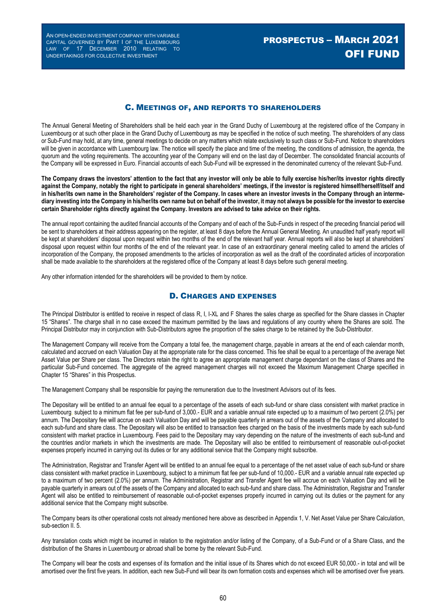# PROSPECTUS – MARCH 2021 OFI FUND

### C. MEETINGS OF, AND REPORTS TO SHAREHOLDERS

The Annual General Meeting of Shareholders shall be held each year in the Grand Duchy of Luxembourg at the registered office of the Company in Luxembourg or at such other place in the Grand Duchy of Luxembourg as may be specified in the notice of such meeting. The shareholders of any class or Sub-Fund may hold, at any time, general meetings to decide on any matters which relate exclusively to such class or Sub-Fund. Notice to shareholders will be given in accordance with Luxembourg law. The notice will specify the place and time of the meeting, the conditions of admission, the agenda, the quorum and the voting requirements. The accounting year of the Company will end on the last day of December. The consolidated financial accounts of the Company will be expressed in Euro. Financial accounts of each Sub-Fund will be expressed in the denominated currency of the relevant Sub-Fund.

**The Company draws the investors' attention to the fact that any investor will only be able to fully exercise his/her/its investor rights directly against the Company, notably the right to participate in general shareholders' meetings, if the investor is registered himself/herself/itself and in his/her/its own name in the Shareholders' register of the Company. In cases where an investor invests in the Company through an intermediary investing into the Company in his/her/its own name but on behalf of the investor, it may not always be possible for the investor to exercise certain Shareholder rights directly against the Company. Investors are advised to take advice on their rights.**

The annual report containing the audited financial accounts of the Company and of each of the Sub-Funds in respect of the preceding financial period will be sent to shareholders at their address appearing on the register, at least 8 days before the Annual General Meeting. An unaudited half yearly report will be kept at shareholders' disposal upon request within two months of the end of the relevant half year. Annual reports will also be kept at shareholders' disposal upon request within four months of the end of the relevant year. In case of an extraordinary general meeting called to amend the articles of incorporation of the Company, the proposed amendments to the articles of incorporation as well as the draft of the coordinated articles of incorporation shall be made available to the shareholders at the registered office of the Company at least 8 days before such general meeting.

Any other information intended for the shareholders will be provided to them by notice.

### D. CHARGES AND EXPENSES

The Principal Distributor is entitled to receive in respect of class R, I, I-XL and F Shares the sales charge as specified for the Share classes in Chapter 15 "Shares". The charge shall in no case exceed the maximum permitted by the laws and regulations of any country where the Shares are sold. The Principal Distributor may in conjunction with Sub-Distributors agree the proportion of the sales charge to be retained by the Sub-Distributor.

The Management Company will receive from the Company a total fee, the management charge, payable in arrears at the end of each calendar month, calculated and accrued on each Valuation Day at the appropriate rate for the class concerned. This fee shall be equal to a percentage of the average Net Asset Value per Share per class. The Directors retain the right to agree an appropriate management charge dependant on the class of Shares and the particular Sub-Fund concerned. The aggregate of the agreed management charges will not exceed the Maximum Management Charge specified in Chapter 15 "Shares" in this Prospectus.

The Management Company shall be responsible for paying the remuneration due to the Investment Advisors out of its fees.

The Depositary will be entitled to an annual fee equal to a percentage of the assets of each sub-fund or share class consistent with market practice in Luxembourg, subject to a minimum flat fee per sub-fund of 3,000.- EUR and a variable annual rate expected up to a maximum of two percent (2.0%) per annum. The Depositary fee will accrue on each Valuation Day and will be payable quarterly in arrears out of the assets of the Company and allocated to each sub-fund and share class. The Depositary will also be entitled to transaction fees charged on the basis of the investments made by each sub-fund consistent with market practice in Luxembourg. Fees paid to the Depositary may vary depending on the nature of the investments of each sub-fund and the countries and/or markets in which the investments are made. The Depositary will also be entitled to reimbursement of reasonable out-of-pocket expenses properly incurred in carrying out its duties or for any additional service that the Company might subscribe.

The Administration, Registrar and Transfer Agent will be entitled to an annual fee equal to a percentage of the net asset value of each sub-fund or share class consistent with market practice in Luxembourg, subject to a minimum flat fee per sub-fund of 10,000.- EUR and a variable annual rate expected up to a maximum of two percent (2.0%) per annum. The Administration, Registrar and Transfer Agent fee will accrue on each Valuation Day and will be payable quarterly in arrears out of the assets of the Company and allocated to each sub-fund and share class. The Administration, Registrar and Transfer Agent will also be entitled to reimbursement of reasonable out-of-pocket expenses properly incurred in carrying out its duties or the payment for any additional service that the Company might subscribe.

The Company bears its other operational costs not already mentioned here above as described in Appendix 1, V. Net Asset Value per Share Calculation, sub-section II. 5.

Any translation costs which might be incurred in relation to the registration and/or listing of the Company, of a Sub-Fund or of a Share Class, and the distribution of the Shares in Luxembourg or abroad shall be borne by the relevant Sub-Fund.

The Company will bear the costs and expenses of its formation and the initial issue of its Shares which do not exceed EUR 50,000.- in total and will be amortised over the first five years. In addition, each new Sub-Fund will bear its own formation costs and expenses which will be amortised over five years.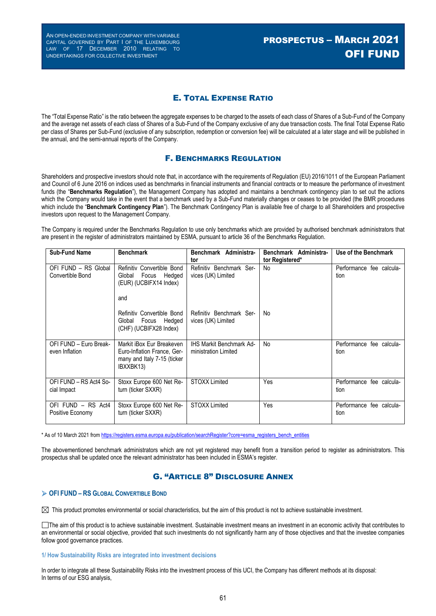### E. TOTAL EXPENSE RATIO

The "Total Expense Ratio" is the ratio between the aggregate expenses to be charged to the assets of each class of Shares of a Sub-Fund of the Company and the average net assets of each class of Shares of a Sub-Fund of the Company exclusive of any due transaction costs. The final Total Expense Ratio per class of Shares per Sub-Fund (exclusive of any subscription, redemption or conversion fee) will be calculated at a later stage and will be published in the annual, and the semi-annual reports of the Company.

### F. BENCHMARKS REGULATION

Shareholders and prospective investors should note that, in accordance with the requirements of Regulation (EU) 2016/1011 of the European Parliament and Council of 6 June 2016 on indices used as benchmarks in financial instruments and financial contracts or to measure the performance of investment funds (the "**Benchmarks Regulation**"), the Management Company has adopted and maintains a benchmark contingency plan to set out the actions which the Company would take in the event that a benchmark used by a Sub-Fund materially changes or ceases to be provided (the BMR procedures which include the "**Benchmark Contingency Plan**"). The Benchmark Contingency Plan is available free of charge to all Shareholders and prospective investors upon request to the Management Company.

The Company is required under the Benchmarks Regulation to use only benchmarks which are provided by authorised benchmark administrators that are present in the register of administrators maintained by ESMA, pursuant to article 36 of the Benchmarks Regulation.

| <b>Sub-Fund Name</b>                     | <b>Benchmark</b>                                                                                     | Benchmark Administra-<br>tor                            | Benchmark Administra-<br>tor Registered* | Use of the Benchmark             |
|------------------------------------------|------------------------------------------------------------------------------------------------------|---------------------------------------------------------|------------------------------------------|----------------------------------|
| OFI FUND - RS Global<br>Convertible Bond | Refinitiv Convertible Bond<br>Global<br>Focus<br>Hedged<br>(EUR) (UCBIFX14 Index)<br>and             | Refinitiv Benchmark Ser-<br>vices (UK) Limited          | No                                       | Performance fee calcula-<br>tion |
|                                          | Refinitiv Convertible Bond<br>Focus Hedged<br>Global<br>(CHF) (UCBIFX28 Index)                       | Refinitiv Benchmark Ser-<br>vices (UK) Limited          | No                                       |                                  |
| OFI FUND - Euro Break-<br>even Inflation | Markit iBox Eur Breakeven<br>Euro-Inflation France, Ger-<br>many and Italy 7-15 (ticker<br>IBXXBK13) | <b>IHS Markit Benchmark Ad-</b><br>ministration Limited | No                                       | Performance fee calcula-<br>tion |
| OFI FUND - RS Act4 So-<br>cial Impact    | Stoxx Europe 600 Net Re-<br>turn (ticker SXXR)                                                       | <b>STOXX Limited</b>                                    | Yes                                      | Performance fee calcula-<br>tion |
| OFI FUND - RS Act4<br>Positive Economy   | Stoxx Europe 600 Net Re-<br>turn (ticker SXXR)                                                       | <b>STOXX Limited</b>                                    | Yes                                      | Performance fee calcula-<br>tion |

\* As of 10 March 2021 from https://registers.esma.europa.eu/publication/searchRegister?core=esma\_registers\_bench\_entities

The abovementioned benchmark administrators which are not yet registered may benefit from a transition period to register as administrators. This prospectus shall be updated once the relevant administrator has been included in ESMA's register.

### G. "ARTICLE 8" DISCLOSURE ANNEX

#### **OFI FUND – RS GLOBAL CONVERTIBLE BOND**

 $\boxtimes$  This product promotes environmental or social characteristics, but the aim of this product is not to achieve sustainable investment.

The aim of this product is to achieve sustainable investment. Sustainable investment means an investment in an economic activity that contributes to an environmental or social objective, provided that such investments do not significantly harm any of those objectives and that the investee companies follow good governance practices.

#### **1/ How Sustainability Risks are integrated into investment decisions**

In order to integrate all these Sustainability Risks into the investment process of this UCI, the Company has different methods at its disposal: In terms of our ESG analysis,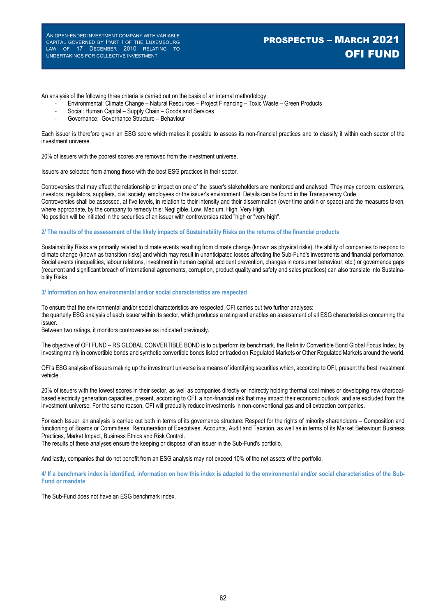# PROSPECTUS – MARCH 2021 OFI FUND

An analysis of the following three criteria is carried out on the basis of an internal methodology:

- Environmental: Climate Change Natural Resources Project Financing Toxic Waste Green Products
- Social: Human Capital Supply Chain Goods and Services
- Governance: Governance Structure Behaviour

Each issuer is therefore given an ESG score which makes it possible to assess its non-financial practices and to classify it within each sector of the investment universe.

20% of issuers with the poorest scores are removed from the investment universe.

Issuers are selected from among those with the best ESG practices in their sector.

Controversies that may affect the relationship or impact on one of the issuer's stakeholders are monitored and analysed. They may concern: customers, investors, regulators, suppliers, civil society, employees or the issuer's environment. Details can be found in the Transparency Code. Controversies shall be assessed, at five levels, in relation to their intensity and their dissemination (over time and/in or space) and the measures taken, where appropriate, by the company to remedy this: Negligible, Low, Medium, High, Very High. No position will be initiated in the securities of an issuer with controversies rated "high or "very high".

#### **2/ The results of the assessment of the likely impacts of Sustainability Risks on the returns of the financial products**

Sustainability Risks are primarily related to climate events resulting from climate change (known as physical risks), the ability of companies to respond to climate change (known as transition risks) and which may result in unanticipated losses affecting the Sub-Fund's investments and financial performance. Social events (inequalities, labour relations, investment in human capital, accident prevention, changes in consumer behaviour, etc.) or governance gaps (recurrent and significant breach of international agreements, corruption, product quality and safety and sales practices) can also translate into Sustainability Risks.

#### **3/ Information on how environmental and/or social characteristics are respected**

To ensure that the environmental and/or social characteristics are respected, OFI carries out two further analyses: the quarterly ESG analysis of each issuer within its sector, which produces a rating and enables an assessment of all ESG characteristics concerning the issuer.

Between two ratings, it monitors controversies as indicated previously.

The objective of OFI FUND – RS GLOBAL CONVERTIBLE BOND is to outperform its benchmark, the Refinitiv Convertible Bond Global Focus Index, by investing mainly in convertible bonds and synthetic convertible bonds listed or traded on Regulated Markets or Other Regulated Markets around the world.

OFI's ESG analysis of issuers making up the investment universe is a means of identifying securities which, according to OFI, present the best investment vehicle.

20% of issuers with the lowest scores in their sector, as well as companies directly or indirectly holding thermal coal mines or developing new charcoalbased electricity generation capacities, present, according to OFI, a non-financial risk that may impact their economic outlook, and are excluded from the investment universe. For the same reason, OFI will gradually reduce investments in non-conventional gas and oil extraction companies.

For each Issuer, an analysis is carried out both in terms of its governance structure: Respect for the rights of minority shareholders – Composition and functioning of Boards or Committees, Remuneration of Executives, Accounts, Audit and Taxation, as well as in terms of its Market Behaviour: Business Practices, Market Impact, Business Ethics and Risk Control.

The results of these analyses ensure the keeping or disposal of an issuer in the Sub-Fund's portfolio.

And lastly, companies that do not benefit from an ESG analysis may not exceed 10% of the net assets of the portfolio.

**4/ If a benchmark index is identified, information on how this index is adapted to the environmental and/or social characteristics of the Sub-Fund or mandate** 

The Sub-Fund does not have an ESG benchmark index.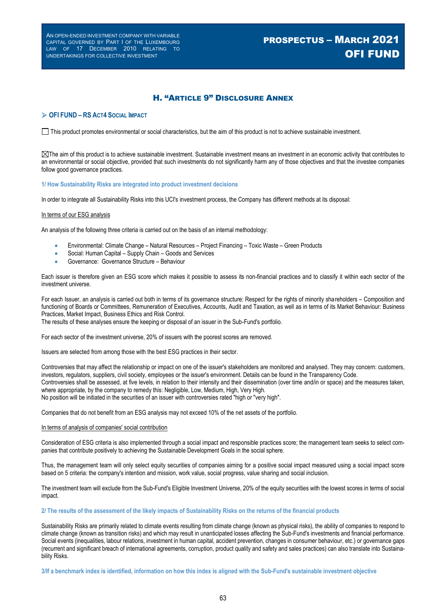# PROSPECTUS – MARCH 2021 OFI FUND

### H. "ARTICLE 9" DISCLOSURE ANNEX

#### **OFI FUND – RS ACT4 SOCIAL IMPACT**

This product promotes environmental or social characteristics, but the aim of this product is not to achieve sustainable investment.

 $\boxtimes$ The aim of this product is to achieve sustainable investment. Sustainable investment means an investment in an economic activity that contributes to an environmental or social objective, provided that such investments do not significantly harm any of those objectives and that the investee companies follow good governance practices.

#### **1/ How Sustainability Risks are integrated into product investment decisions**

In order to integrate all Sustainability Risks into this UCI's investment process, the Company has different methods at its disposal:

#### In terms of our ESG analysis

An analysis of the following three criteria is carried out on the basis of an internal methodology:

- Environmental: Climate Change Natural Resources Project Financing Toxic Waste Green Products
- Social: Human Capital Supply Chain Goods and Services
- Governance: Governance Structure Behaviour

Each issuer is therefore given an ESG score which makes it possible to assess its non-financial practices and to classify it within each sector of the investment universe.

For each Issuer, an analysis is carried out both in terms of its governance structure: Respect for the rights of minority shareholders – Composition and functioning of Boards or Committees, Remuneration of Executives, Accounts, Audit and Taxation, as well as in terms of its Market Behaviour: Business Practices, Market Impact, Business Ethics and Risk Control.

The results of these analyses ensure the keeping or disposal of an issuer in the Sub-Fund's portfolio.

For each sector of the investment universe, 20% of issuers with the poorest scores are removed.

Issuers are selected from among those with the best ESG practices in their sector.

Controversies that may affect the relationship or impact on one of the issuer's stakeholders are monitored and analysed. They may concern: customers, investors, regulators, suppliers, civil society, employees or the issuer's environment. Details can be found in the Transparency Code. Controversies shall be assessed, at five levels, in relation to their intensity and their dissemination (over time and/in or space) and the measures taken, where appropriate, by the company to remedy this: Negligible, Low, Medium, High, Very High. No position will be initiated in the securities of an issuer with controversies rated "high or "very high".

Companies that do not benefit from an ESG analysis may not exceed 10% of the net assets of the portfolio.

#### In terms of analysis of companies' social contribution

Consideration of ESG criteria is also implemented through a social impact and responsible practices score; the management team seeks to select companies that contribute positively to achieving the Sustainable Development Goals in the social sphere.

Thus, the management team will only select equity securities of companies aiming for a positive social impact measured using a social impact score based on 5 criteria: the company's intention and mission, work value, social progress, value sharing and social inclusion.

The investment team will exclude from the Sub-Fund's Eligible Investment Universe, 20% of the equity securities with the lowest scores in terms of social impact.

#### **2/ The results of the assessment of the likely impacts of Sustainability Risks on the returns of the financial products**

Sustainability Risks are primarily related to climate events resulting from climate change (known as physical risks), the ability of companies to respond to climate change (known as transition risks) and which may result in unanticipated losses affecting the Sub-Fund's investments and financial performance. Social events (inequalities, labour relations, investment in human capital, accident prevention, changes in consumer behaviour, etc.) or governance gaps (recurrent and significant breach of international agreements, corruption, product quality and safety and sales practices) can also translate into Sustainability Risks.

**3/If a benchmark index is identified, information on how this index is aligned with the Sub-Fund's sustainable investment objective**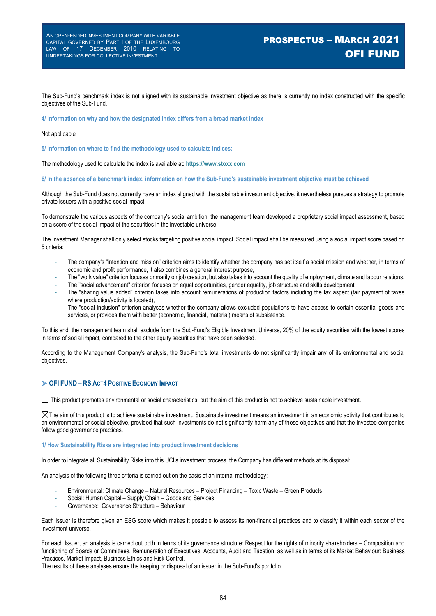# PROSPECTUS – MARCH 2021 OFI FUND

The Sub-Fund's benchmark index is not aligned with its sustainable investment objective as there is currently no index constructed with the specific objectives of the Sub-Fund.

**4/ Information on why and how the designated index differs from a broad market index**

#### Not applicable

**5/ Information on where to find the methodology used to calculate indices:** 

The methodology used to calculate the index is available at: **https://www.stoxx.com**

**6/ In the absence of a benchmark index, information on how the Sub-Fund's sustainable investment objective must be achieved** 

Although the Sub-Fund does not currently have an index aligned with the sustainable investment objective, it nevertheless pursues a strategy to promote private issuers with a positive social impact.

To demonstrate the various aspects of the company's social ambition, the management team developed a proprietary social impact assessment, based on a score of the social impact of the securities in the investable universe.

The Investment Manager shall only select stocks targeting positive social impact. Social impact shall be measured using a social impact score based on 5 criteria:

- The company's "intention and mission" criterion aims to identify whether the company has set itself a social mission and whether, in terms of economic and profit performance, it also combines a general interest purpose,
- The "work value" criterion focuses primarily on job creation, but also takes into account the quality of employment, climate and labour relations,
- The "social advancement" criterion focuses on equal opportunities, gender equality, job structure and skills development.
- The "sharing value added" criterion takes into account remunerations of production factors including the tax aspect (fair payment of taxes where production/activity is located),
- The "social inclusion" criterion analyses whether the company allows excluded populations to have access to certain essential goods and services, or provides them with better (economic, financial, material) means of subsistence.

To this end, the management team shall exclude from the Sub-Fund's Eligible Investment Universe, 20% of the equity securities with the lowest scores in terms of social impact, compared to the other equity securities that have been selected.

According to the Management Company's analysis, the Sub-Fund's total investments do not significantly impair any of its environmental and social objectives.

#### **OFI FUND – RS ACT4 POSITIVE ECONOMY IMPACT**

This product promotes environmental or social characteristics, but the aim of this product is not to achieve sustainable investment.

 $\boxtimes$ The aim of this product is to achieve sustainable investment. Sustainable investment means an investment in an economic activity that contributes to an environmental or social objective, provided that such investments do not significantly harm any of those objectives and that the investee companies follow good governance practices.

#### **1/ How Sustainability Risks are integrated into product investment decisions**

In order to integrate all Sustainability Risks into this UCI's investment process, the Company has different methods at its disposal:

An analysis of the following three criteria is carried out on the basis of an internal methodology:

- Environmental: Climate Change Natural Resources Project Financing Toxic Waste Green Products
- Social: Human Capital Supply Chain Goods and Services
- Governance: Governance Structure Behaviour

Each issuer is therefore given an ESG score which makes it possible to assess its non-financial practices and to classify it within each sector of the investment universe.

For each Issuer, an analysis is carried out both in terms of its governance structure: Respect for the rights of minority shareholders – Composition and functioning of Boards or Committees, Remuneration of Executives, Accounts, Audit and Taxation, as well as in terms of its Market Behaviour: Business Practices, Market Impact, Business Ethics and Risk Control.

The results of these analyses ensure the keeping or disposal of an issuer in the Sub-Fund's portfolio.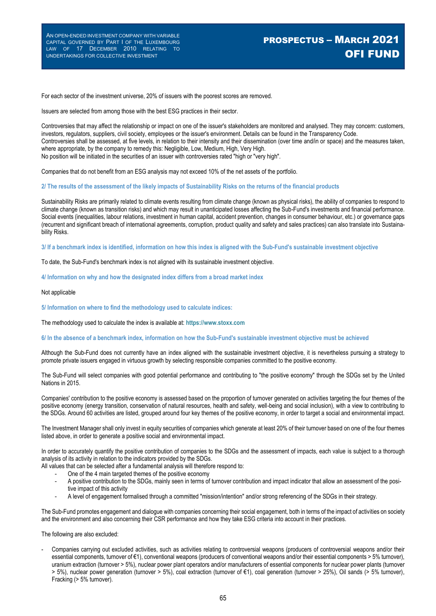# PROSPECTUS – MARCH 2021 OFI FUND

For each sector of the investment universe, 20% of issuers with the poorest scores are removed.

Issuers are selected from among those with the best ESG practices in their sector.

Controversies that may affect the relationship or impact on one of the issuer's stakeholders are monitored and analysed. They may concern: customers, investors, regulators, suppliers, civil society, employees or the issuer's environment. Details can be found in the Transparency Code. Controversies shall be assessed, at five levels, in relation to their intensity and their dissemination (over time and/in or space) and the measures taken, where appropriate, by the company to remedy this: Negligible, Low, Medium, High, Very High. No position will be initiated in the securities of an issuer with controversies rated "high or "very high".

Companies that do not benefit from an ESG analysis may not exceed 10% of the net assets of the portfolio.

**2/ The results of the assessment of the likely impacts of Sustainability Risks on the returns of the financial products** 

Sustainability Risks are primarily related to climate events resulting from climate change (known as physical risks), the ability of companies to respond to climate change (known as transition risks) and which may result in unanticipated losses affecting the Sub-Fund's investments and financial performance. Social events (inequalities, labour relations, investment in human capital, accident prevention, changes in consumer behaviour, etc.) or governance gaps (recurrent and significant breach of international agreements, corruption, product quality and safety and sales practices) can also translate into Sustainability Risks.

**3/ If a benchmark index is identified, information on how this index is aligned with the Sub-Fund's sustainable investment objective** 

To date, the Sub-Fund's benchmark index is not aligned with its sustainable investment objective.

**4/ Information on why and how the designated index differs from a broad market index**

#### Not applicable

**5/ Information on where to find the methodology used to calculate indices:** 

The methodology used to calculate the index is available at: **https://www.stoxx.com**

**6/ In the absence of a benchmark index, information on how the Sub-Fund's sustainable investment objective must be achieved** 

Although the Sub-Fund does not currently have an index aligned with the sustainable investment objective, it is nevertheless pursuing a strategy to promote private issuers engaged in virtuous growth by selecting responsible companies committed to the positive economy.

The Sub-Fund will select companies with good potential performance and contributing to "the positive economy" through the SDGs set by the United Nations in 2015.

Companies' contribution to the positive economy is assessed based on the proportion of turnover generated on activities targeting the four themes of the positive economy (energy transition, conservation of natural resources, health and safety, well-being and social inclusion), with a view to contributing to the SDGs. Around 60 activities are listed, grouped around four key themes of the positive economy, in order to target a social and environmental impact.

The Investment Manager shall only invest in equity securities of companies which generate at least 20% of their turnover based on one of the four themes listed above, in order to generate a positive social and environmental impact.

In order to accurately quantify the positive contribution of companies to the SDGs and the assessment of impacts, each value is subject to a thorough analysis of its activity in relation to the indicators provided by the SDGs.

All values that can be selected after a fundamental analysis will therefore respond to:

- One of the 4 main targeted themes of the positive economy
- A positive contribution to the SDGs, mainly seen in terms of turnover contribution and impact indicator that allow an assessment of the positive impact of this activity
- A level of engagement formalised through a committed "mission/intention" and/or strong referencing of the SDGs in their strategy.

The Sub-Fund promotes engagement and dialogue with companies concerning their social engagement, both in terms of the impact of activities on society and the environment and also concerning their CSR performance and how they take ESG criteria into account in their practices.

The following are also excluded:

- Companies carrying out excluded activities, such as activities relating to controversial weapons (producers of controversial weapons and/or their essential components, turnover of €1), conventional weapons (producers of conventional weapons and/or their essential components > 5% turnover), uranium extraction (turnover > 5%), nuclear power plant operators and/or manufacturers of essential components for nuclear power plants (turnover > 5%), nuclear power generation (turnover > 5%), coal extraction (turnover of €1), coal generation (turnover > 25%), Oil sands (> 5% turnover), Fracking (> 5% turnover).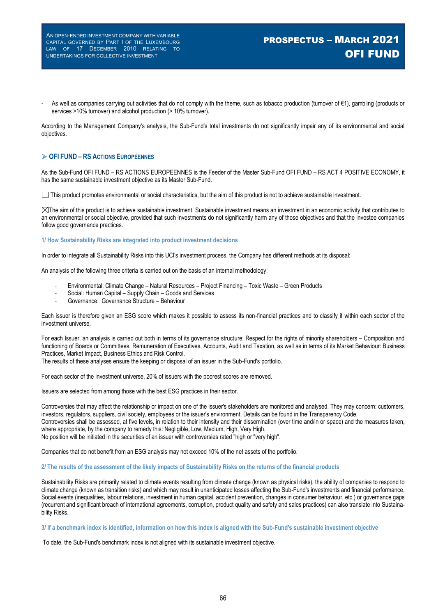# PROSPECTUS – MARCH 2021 OFI FUND

As well as companies carrying out activities that do not comply with the theme, such as tobacco production (turnover of €1), gambling (products or services >10% turnover) and alcohol production (> 10% turnover).

According to the Management Company's analysis, the Sub-Fund's total investments do not significantly impair any of its environmental and social objectives.

### **OFI FUND – RS ACTIONS EUROPÉENNES**

As the Sub-Fund OFI FUND – RS ACTIONS EUROPEENNES is the Feeder of the Master Sub-Fund OFI FUND – RS ACT 4 POSITIVE ECONOMY, it has the same sustainable investment objective as its Master Sub-Fund.

This product promotes environmental or social characteristics, but the aim of this product is not to achieve sustainable investment.

 $\boxtimes$ The aim of this product is to achieve sustainable investment. Sustainable investment means an investment in an economic activity that contributes to an environmental or social objective, provided that such investments do not significantly harm any of those objectives and that the investee companies follow good governance practices.

#### **1/ How Sustainability Risks are integrated into product investment decisions**

In order to integrate all Sustainability Risks into this UCI's investment process, the Company has different methods at its disposal:

An analysis of the following three criteria is carried out on the basis of an internal methodology:

- Environmental: Climate Change Natural Resources Project Financing Toxic Waste Green Products
- Social: Human Capital Supply Chain Goods and Services
- Governance: Governance Structure Behaviour

Each issuer is therefore given an ESG score which makes it possible to assess its non-financial practices and to classify it within each sector of the investment universe.

For each Issuer, an analysis is carried out both in terms of its governance structure: Respect for the rights of minority shareholders – Composition and functioning of Boards or Committees, Remuneration of Executives, Accounts, Audit and Taxation, as well as in terms of its Market Behaviour: Business Practices, Market Impact, Business Ethics and Risk Control.

The results of these analyses ensure the keeping or disposal of an issuer in the Sub-Fund's portfolio.

For each sector of the investment universe, 20% of issuers with the poorest scores are removed.

Issuers are selected from among those with the best ESG practices in their sector.

Controversies that may affect the relationship or impact on one of the issuer's stakeholders are monitored and analysed. They may concern: customers, investors, regulators, suppliers, civil society, employees or the issuer's environment. Details can be found in the Transparency Code. Controversies shall be assessed, at five levels, in relation to their intensity and their dissemination (over time and/in or space) and the measures taken, where appropriate, by the company to remedy this: Negligible, Low, Medium, High, Very High. No position will be initiated in the securities of an issuer with controversies rated "high or "very high".

Companies that do not benefit from an ESG analysis may not exceed 10% of the net assets of the portfolio.

#### **2/ The results of the assessment of the likely impacts of Sustainability Risks on the returns of the financial products**

Sustainability Risks are primarily related to climate events resulting from climate change (known as physical risks), the ability of companies to respond to climate change (known as transition risks) and which may result in unanticipated losses affecting the Sub-Fund's investments and financial performance. Social events (inequalities, labour relations, investment in human capital, accident prevention, changes in consumer behaviour, etc.) or governance gaps (recurrent and significant breach of international agreements, corruption, product quality and safety and sales practices) can also translate into Sustainability Risks.

#### **3/ If a benchmark index is identified, information on how this index is aligned with the Sub-Fund's sustainable investment objective**

To date, the Sub-Fund's benchmark index is not aligned with its sustainable investment objective.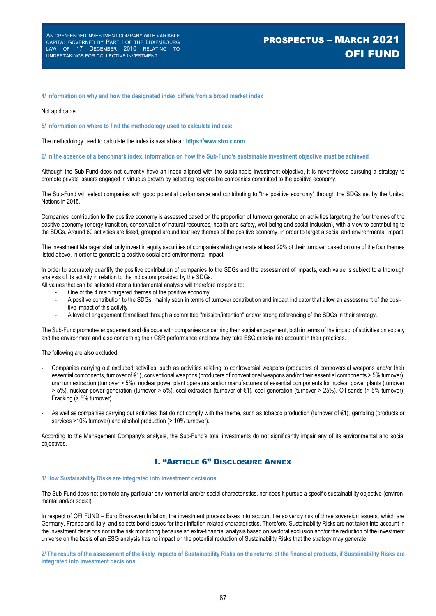#### **4/ Information on why and how the designated index differs from a broad market index**

#### Not applicable

**5/ Information on where to find the methodology used to calculate indices:** 

The methodology used to calculate the index is available at: **https://www.stoxx.com**

#### **6/ In the absence of a benchmark index, information on how the Sub-Fund's sustainable investment objective must be achieved**

Although the Sub-Fund does not currently have an index aligned with the sustainable investment objective, it is nevertheless pursuing a strategy to promote private issuers engaged in virtuous growth by selecting responsible companies committed to the positive economy.

The Sub-Fund will select companies with good potential performance and contributing to "the positive economy" through the SDGs set by the United Nations in 2015.

Companies' contribution to the positive economy is assessed based on the proportion of turnover generated on activities targeting the four themes of the positive economy (energy transition, conservation of natural resources, health and safety, well-being and social inclusion), with a view to contributing to the SDGs. Around 60 activities are listed, grouped around four key themes of the positive economy, in order to target a social and environmental impact.

The Investment Manager shall only invest in equity securities of companies which generate at least 20% of their turnover based on one of the four themes listed above, in order to generate a positive social and environmental impact.

In order to accurately quantify the positive contribution of companies to the SDGs and the assessment of impacts, each value is subject to a thorough analysis of its activity in relation to the indicators provided by the SDGs.

All values that can be selected after a fundamental analysis will therefore respond to:

- One of the 4 main targeted themes of the positive economy
- A positive contribution to the SDGs, mainly seen in terms of turnover contribution and impact indicator that allow an assessment of the positive impact of this activity
- A level of engagement formalised through a committed "mission/intention" and/or strong referencing of the SDGs in their strategy.

The Sub-Fund promotes engagement and dialogue with companies concerning their social engagement, both in terms of the impact of activities on society and the environment and also concerning their CSR performance and how they take ESG criteria into account in their practices.

The following are also excluded:

- Companies carrying out excluded activities, such as activities relating to controversial weapons (producers of controversial weapons and/or their essential components, turnover of €1), conventional weapons (producers of conventional weapons and/or their essential components > 5% turnover), uranium extraction (turnover > 5%), nuclear power plant operators and/or manufacturers of essential components for nuclear power plants (turnover > 5%), nuclear power generation (turnover > 5%), coal extraction (turnover of €1), coal generation (turnover > 25%), Oil sands (> 5% turnover), Fracking (> 5% turnover).
- As well as companies carrying out activities that do not comply with the theme, such as tobacco production (turnover of €1), gambling (products or services >10% turnover) and alcohol production (> 10% turnover).

According to the Management Company's analysis, the Sub-Fund's total investments do not significantly impair any of its environmental and social objectives.

### I. "ARTICLE 6" DISCLOSURE ANNEX

#### **1/ How Sustainability Risks are integrated into investment decisions**

The Sub-Fund does not promote any particular environmental and/or social characteristics, nor does it pursue a specific sustainability objective (environmental and/or social).

In respect of OFI FUND – Euro Breakeven Inflation, the investment process takes into account the solvency risk of three sovereign issuers, which are Germany, France and Italy, and selects bond issues for their inflation related characteristics. Therefore, Sustainability Risks are not taken into account in the investment decisions nor in the risk monitoring because an extra-financial analysis based on sectoral exclusion and/or the reduction of the investment universe on the basis of an ESG analysis has no impact on the potential reduction of Sustainability Risks that the strategy may generate.

**2/ The results of the assessment of the likely impacts of Sustainability Risks on the returns of the financial products, if Sustainability Risks are integrated into investment decisions**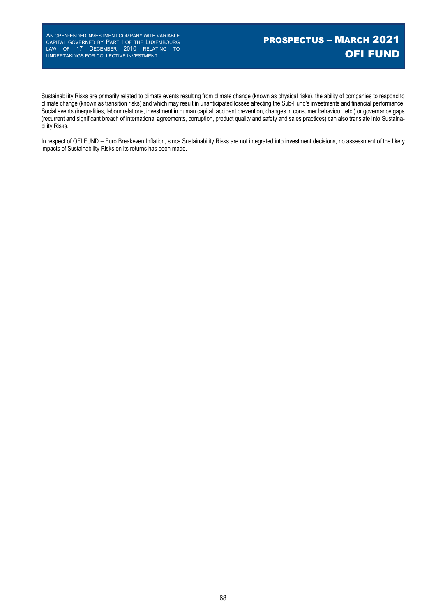Sustainability Risks are primarily related to climate events resulting from climate change (known as physical risks), the ability of companies to respond to climate change (known as transition risks) and which may result in unanticipated losses affecting the Sub-Fund's investments and financial performance. Social events (inequalities, labour relations, investment in human capital, accident prevention, changes in consumer behaviour, etc.) or governance gaps (recurrent and significant breach of international agreements, corruption, product quality and safety and sales practices) can also translate into Sustainability Risks.

In respect of OFI FUND – Euro Breakeven Inflation, since Sustainability Risks are not integrated into investment decisions, no assessment of the likely impacts of Sustainability Risks on its returns has been made.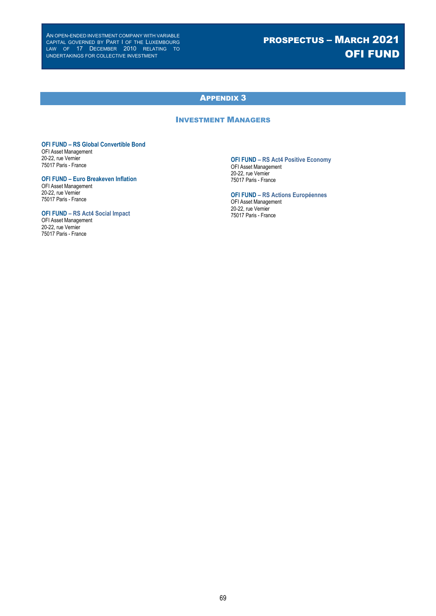# PROSPECTUS – MARCH 2021 OFI FUND

# APPENDIX 3

# INVESTMENT MANAGERS

### **OFI FUND – RS Global Convertible Bond**

OFI Asset Management 20-22, rue Vernier 75017 Paris - France

### **OFI FUND – Euro Breakeven Inflation**

OFI Asset Management 20-22, rue Vernier 75017 Paris - France

### **OFI FUND – RS Act4 Social Impact**

OFI Asset Management 20-22, rue Vernier 75017 Paris - France

### **OFI FUND – RS Act4 Positive Economy**

OFI Asset Management 20-22, rue Vernier 75017 Paris - France

**OFI FUND – RS Actions Européennes** OFI Asset Management

20-22, rue Vernier 75017 Paris - France